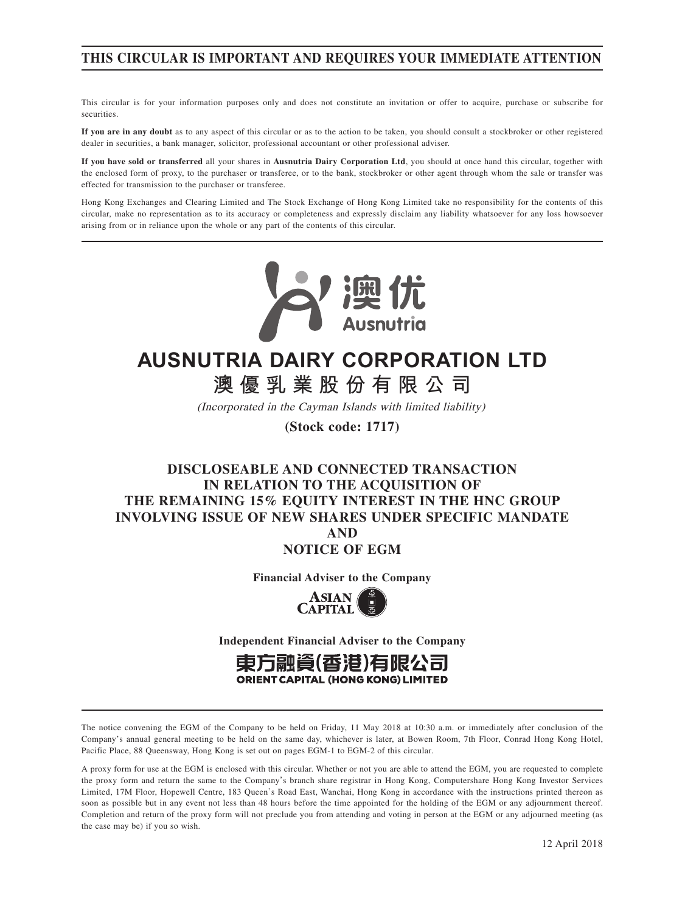# **THIS CIRCULAR IS IMPORTANT AND REQUIRES YOUR IMMEDIATE ATTENTION**

This circular is for your information purposes only and does not constitute an invitation or offer to acquire, purchase or subscribe for securities.

**If you are in any doubt** as to any aspect of this circular or as to the action to be taken, you should consult a stockbroker or other registered dealer in securities, a bank manager, solicitor, professional accountant or other professional adviser.

**If you have sold or transferred** all your shares in **Ausnutria Dairy Corporation Ltd**, you should at once hand this circular, together with the enclosed form of proxy, to the purchaser or transferee, or to the bank, stockbroker or other agent through whom the sale or transfer was effected for transmission to the purchaser or transferee.

Hong Kong Exchanges and Clearing Limited and The Stock Exchange of Hong Kong Limited take no responsibility for the contents of this circular, make no representation as to its accuracy or completeness and expressly disclaim any liability whatsoever for any loss howsoever arising from or in reliance upon the whole or any part of the contents of this circular.



# **AUSNUTRIA DAIRY CORPORATION LTD**

# **澳優乳業股份有限公司**

(Incorporated in the Cayman Islands with limited liability)

**(Stock code: 1717)**

# **DISCLOSEABLE AND CONNECTED TRANSACTION IN RELATION TO THE ACQUISITION OF THE REMAINING 15% EQUITY INTEREST IN THE HNC GROUP INVOLVING ISSUE OF NEW SHARES UNDER SPECIFIC MANDATE AND**

**NOTICE OF EGM**

**Financial Adviser to the Company**



**Independent Financial Adviser to the Company**



The notice convening the EGM of the Company to be held on Friday, 11 May 2018 at 10:30 a.m. or immediately after conclusion of the Company's annual general meeting to be held on the same day, whichever is later, at Bowen Room, 7th Floor, Conrad Hong Kong Hotel, Pacific Place, 88 Queensway, Hong Kong is set out on pages EGM-1 to EGM-2 of this circular.

A proxy form for use at the EGM is enclosed with this circular. Whether or not you are able to attend the EGM, you are requested to complete the proxy form and return the same to the Company's branch share registrar in Hong Kong, Computershare Hong Kong Investor Services Limited, 17M Floor, Hopewell Centre, 183 Queen's Road East, Wanchai, Hong Kong in accordance with the instructions printed thereon as soon as possible but in any event not less than 48 hours before the time appointed for the holding of the EGM or any adjournment thereof. Completion and return of the proxy form will not preclude you from attending and voting in person at the EGM or any adjourned meeting (as the case may be) if you so wish.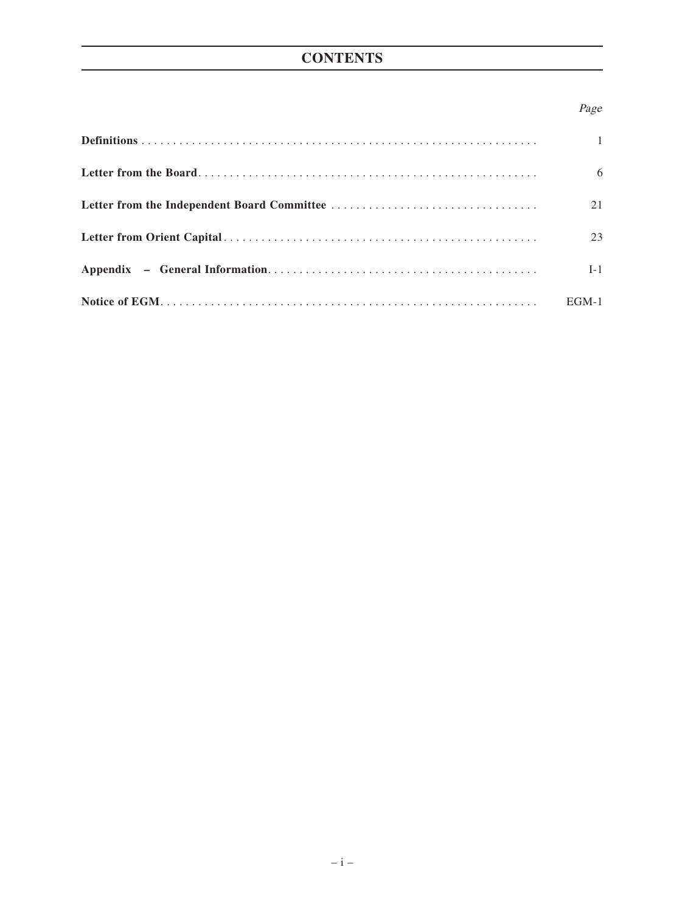# **CONTENTS**

# Page

| $\mathbf{1}$ |
|--------------|
| 6            |
| 21           |
| 23           |
| $I-1$        |
| $EGM-1$      |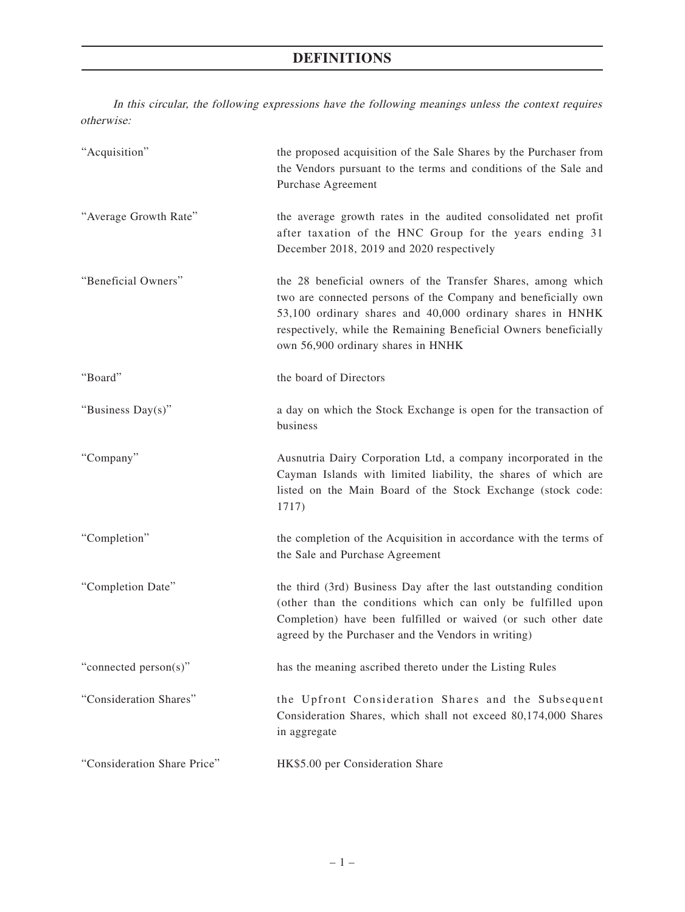In this circular, the following expressions have the following meanings unless the context requires otherwise:

| "Acquisition"               | the proposed acquisition of the Sale Shares by the Purchaser from<br>the Vendors pursuant to the terms and conditions of the Sale and<br>Purchase Agreement                                                                                                                                          |
|-----------------------------|------------------------------------------------------------------------------------------------------------------------------------------------------------------------------------------------------------------------------------------------------------------------------------------------------|
| "Average Growth Rate"       | the average growth rates in the audited consolidated net profit<br>after taxation of the HNC Group for the years ending 31<br>December 2018, 2019 and 2020 respectively                                                                                                                              |
| "Beneficial Owners"         | the 28 beneficial owners of the Transfer Shares, among which<br>two are connected persons of the Company and beneficially own<br>53,100 ordinary shares and 40,000 ordinary shares in HNHK<br>respectively, while the Remaining Beneficial Owners beneficially<br>own 56,900 ordinary shares in HNHK |
| "Board"                     | the board of Directors                                                                                                                                                                                                                                                                               |
| "Business Day(s)"           | a day on which the Stock Exchange is open for the transaction of<br>business                                                                                                                                                                                                                         |
| "Company"                   | Ausnutria Dairy Corporation Ltd, a company incorporated in the<br>Cayman Islands with limited liability, the shares of which are<br>listed on the Main Board of the Stock Exchange (stock code:<br>1717)                                                                                             |
| "Completion"                | the completion of the Acquisition in accordance with the terms of<br>the Sale and Purchase Agreement                                                                                                                                                                                                 |
| "Completion Date"           | the third (3rd) Business Day after the last outstanding condition<br>(other than the conditions which can only be fulfilled upon<br>Completion) have been fulfilled or waived (or such other date<br>agreed by the Purchaser and the Vendors in writing)                                             |
| "connected person(s)"       | has the meaning ascribed thereto under the Listing Rules                                                                                                                                                                                                                                             |
| "Consideration Shares"      | the Upfront Consideration Shares and the Subsequent<br>Consideration Shares, which shall not exceed 80,174,000 Shares<br>in aggregate                                                                                                                                                                |
| "Consideration Share Price" | HK\$5.00 per Consideration Share                                                                                                                                                                                                                                                                     |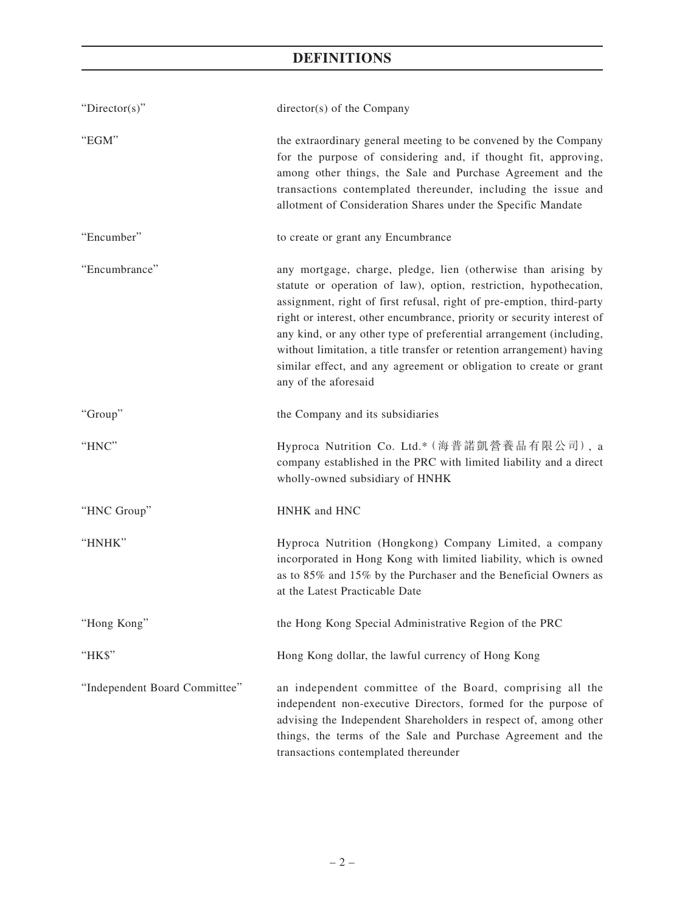| "Director(s)"                 | director(s) of the Company                                                                                                                                                                                                                                                                                                                                                                                                                                                                                                          |
|-------------------------------|-------------------------------------------------------------------------------------------------------------------------------------------------------------------------------------------------------------------------------------------------------------------------------------------------------------------------------------------------------------------------------------------------------------------------------------------------------------------------------------------------------------------------------------|
| "EGM"                         | the extraordinary general meeting to be convened by the Company<br>for the purpose of considering and, if thought fit, approving,<br>among other things, the Sale and Purchase Agreement and the<br>transactions contemplated thereunder, including the issue and<br>allotment of Consideration Shares under the Specific Mandate                                                                                                                                                                                                   |
| "Encumber"                    | to create or grant any Encumbrance                                                                                                                                                                                                                                                                                                                                                                                                                                                                                                  |
| "Encumbrance"                 | any mortgage, charge, pledge, lien (otherwise than arising by<br>statute or operation of law), option, restriction, hypothecation,<br>assignment, right of first refusal, right of pre-emption, third-party<br>right or interest, other encumbrance, priority or security interest of<br>any kind, or any other type of preferential arrangement (including,<br>without limitation, a title transfer or retention arrangement) having<br>similar effect, and any agreement or obligation to create or grant<br>any of the aforesaid |
| "Group"                       | the Company and its subsidiaries                                                                                                                                                                                                                                                                                                                                                                                                                                                                                                    |
| "HNC"                         | Hyproca Nutrition Co. Ltd.* (海普諾凱營養品有限公司), a<br>company established in the PRC with limited liability and a direct<br>wholly-owned subsidiary of HNHK                                                                                                                                                                                                                                                                                                                                                                               |
| "HNC Group"                   | HNHK and HNC                                                                                                                                                                                                                                                                                                                                                                                                                                                                                                                        |
| "HNHK"                        | Hyproca Nutrition (Hongkong) Company Limited, a company<br>incorporated in Hong Kong with limited liability, which is owned<br>as to 85% and 15% by the Purchaser and the Beneficial Owners as<br>at the Latest Practicable Date                                                                                                                                                                                                                                                                                                    |
| "Hong Kong'                   | the Hong Kong Special Administrative Region of the PRC                                                                                                                                                                                                                                                                                                                                                                                                                                                                              |
| "HK\$"                        | Hong Kong dollar, the lawful currency of Hong Kong                                                                                                                                                                                                                                                                                                                                                                                                                                                                                  |
| "Independent Board Committee" | an independent committee of the Board, comprising all the<br>independent non-executive Directors, formed for the purpose of<br>advising the Independent Shareholders in respect of, among other<br>things, the terms of the Sale and Purchase Agreement and the<br>transactions contemplated thereunder                                                                                                                                                                                                                             |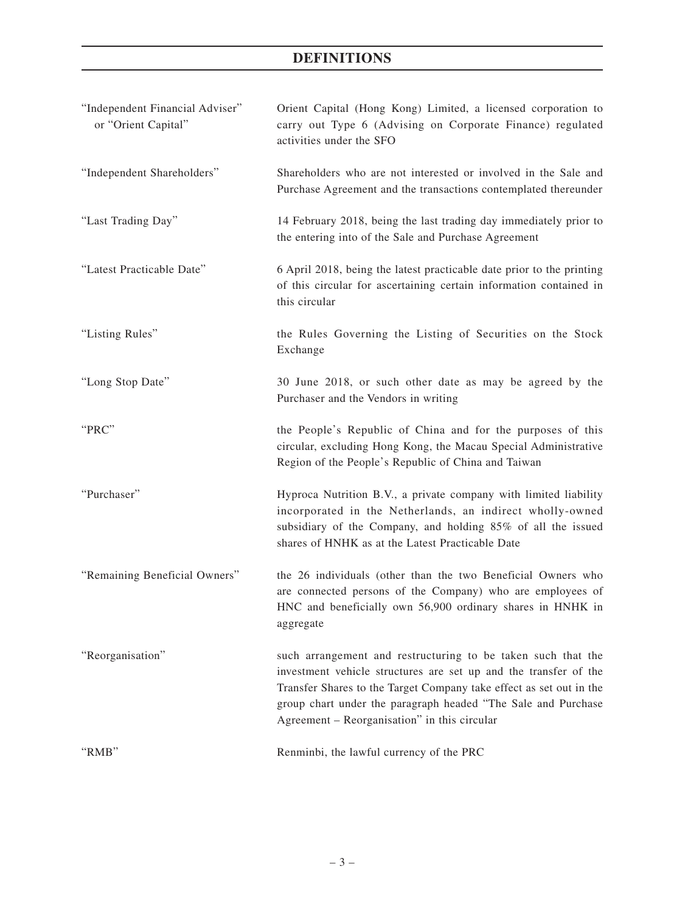| "Independent Financial Adviser"<br>or "Orient Capital" | Orient Capital (Hong Kong) Limited, a licensed corporation to<br>carry out Type 6 (Advising on Corporate Finance) regulated<br>activities under the SFO                                                                                                                                                                  |
|--------------------------------------------------------|--------------------------------------------------------------------------------------------------------------------------------------------------------------------------------------------------------------------------------------------------------------------------------------------------------------------------|
| "Independent Shareholders"                             | Shareholders who are not interested or involved in the Sale and<br>Purchase Agreement and the transactions contemplated thereunder                                                                                                                                                                                       |
| "Last Trading Day"                                     | 14 February 2018, being the last trading day immediately prior to<br>the entering into of the Sale and Purchase Agreement                                                                                                                                                                                                |
| "Latest Practicable Date"                              | 6 April 2018, being the latest practicable date prior to the printing<br>of this circular for ascertaining certain information contained in<br>this circular                                                                                                                                                             |
| "Listing Rules"                                        | the Rules Governing the Listing of Securities on the Stock<br>Exchange                                                                                                                                                                                                                                                   |
| "Long Stop Date"                                       | 30 June 2018, or such other date as may be agreed by the<br>Purchaser and the Vendors in writing                                                                                                                                                                                                                         |
| "PRC"                                                  | the People's Republic of China and for the purposes of this<br>circular, excluding Hong Kong, the Macau Special Administrative<br>Region of the People's Republic of China and Taiwan                                                                                                                                    |
| "Purchaser"                                            | Hyproca Nutrition B.V., a private company with limited liability<br>incorporated in the Netherlands, an indirect wholly-owned<br>subsidiary of the Company, and holding 85% of all the issued<br>shares of HNHK as at the Latest Practicable Date                                                                        |
| "Remaining Beneficial Owners"                          | the 26 individuals (other than the two Beneficial Owners who<br>are connected persons of the Company) who are employees of<br>HNC and beneficially own 56,900 ordinary shares in HNHK in<br>aggregate                                                                                                                    |
| "Reorganisation"                                       | such arrangement and restructuring to be taken such that the<br>investment vehicle structures are set up and the transfer of the<br>Transfer Shares to the Target Company take effect as set out in the<br>group chart under the paragraph headed "The Sale and Purchase<br>Agreement – Reorganisation" in this circular |
| "RMB"                                                  | Renminbi, the lawful currency of the PRC                                                                                                                                                                                                                                                                                 |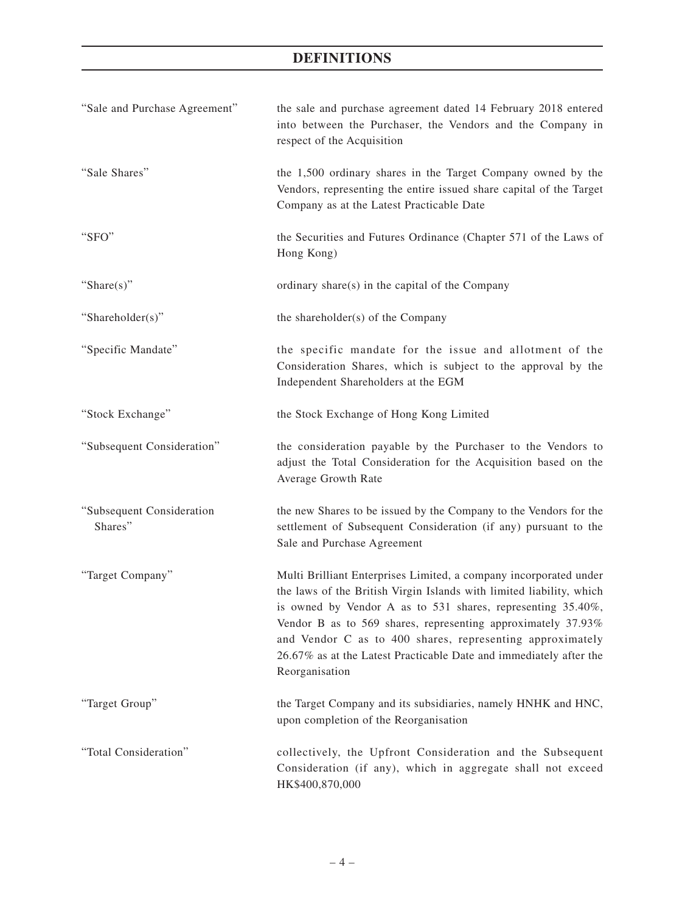| "Sale and Purchase Agreement"        | the sale and purchase agreement dated 14 February 2018 entered<br>into between the Purchaser, the Vendors and the Company in<br>respect of the Acquisition                                                                                                                                                                                                                                                                    |
|--------------------------------------|-------------------------------------------------------------------------------------------------------------------------------------------------------------------------------------------------------------------------------------------------------------------------------------------------------------------------------------------------------------------------------------------------------------------------------|
| "Sale Shares"                        | the 1,500 ordinary shares in the Target Company owned by the<br>Vendors, representing the entire issued share capital of the Target<br>Company as at the Latest Practicable Date                                                                                                                                                                                                                                              |
| "SFO"                                | the Securities and Futures Ordinance (Chapter 571 of the Laws of<br>Hong Kong)                                                                                                                                                                                                                                                                                                                                                |
| "Share(s)"                           | ordinary share(s) in the capital of the Company                                                                                                                                                                                                                                                                                                                                                                               |
| "Shareholder(s)"                     | the shareholder(s) of the Company                                                                                                                                                                                                                                                                                                                                                                                             |
| "Specific Mandate"                   | the specific mandate for the issue and allotment of the<br>Consideration Shares, which is subject to the approval by the<br>Independent Shareholders at the EGM                                                                                                                                                                                                                                                               |
| "Stock Exchange"                     | the Stock Exchange of Hong Kong Limited                                                                                                                                                                                                                                                                                                                                                                                       |
| "Subsequent Consideration"           | the consideration payable by the Purchaser to the Vendors to<br>adjust the Total Consideration for the Acquisition based on the<br>Average Growth Rate                                                                                                                                                                                                                                                                        |
| "Subsequent Consideration<br>Shares" | the new Shares to be issued by the Company to the Vendors for the<br>settlement of Subsequent Consideration (if any) pursuant to the<br>Sale and Purchase Agreement                                                                                                                                                                                                                                                           |
| "Target Company"                     | Multi Brilliant Enterprises Limited, a company incorporated under<br>the laws of the British Virgin Islands with limited liability, which<br>is owned by Vendor A as to 531 shares, representing 35.40%,<br>Vendor B as to 569 shares, representing approximately 37.93%<br>and Vendor C as to 400 shares, representing approximately<br>26.67% as at the Latest Practicable Date and immediately after the<br>Reorganisation |
| "Target Group"                       | the Target Company and its subsidiaries, namely HNHK and HNC,<br>upon completion of the Reorganisation                                                                                                                                                                                                                                                                                                                        |
| "Total Consideration"                | collectively, the Upfront Consideration and the Subsequent<br>Consideration (if any), which in aggregate shall not exceed<br>HK\$400,870,000                                                                                                                                                                                                                                                                                  |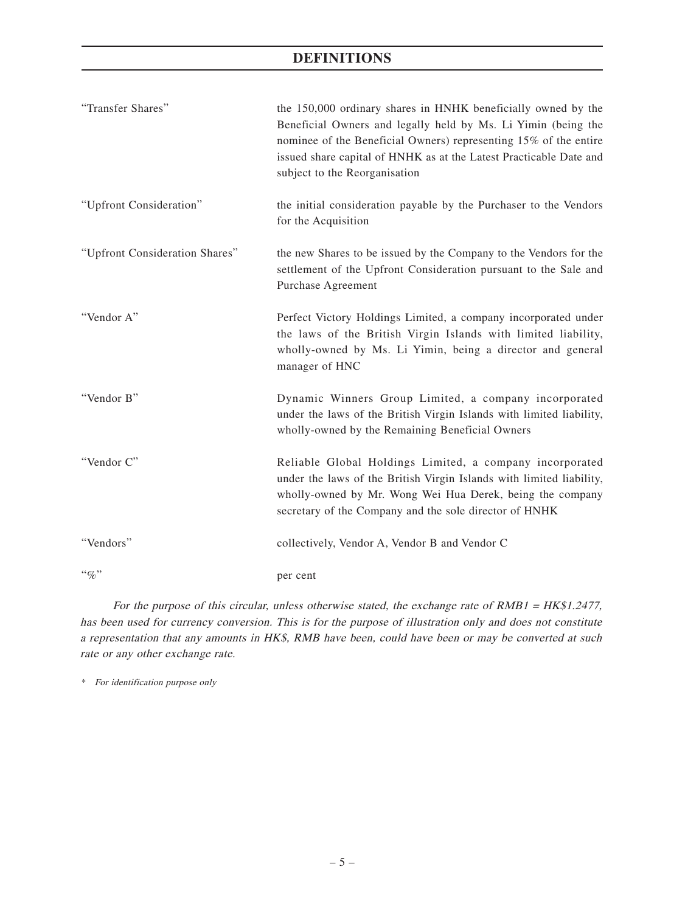| "Transfer Shares"              | the 150,000 ordinary shares in HNHK beneficially owned by the<br>Beneficial Owners and legally held by Ms. Li Yimin (being the<br>nominee of the Beneficial Owners) representing 15% of the entire<br>issued share capital of HNHK as at the Latest Practicable Date and<br>subject to the Reorganisation |
|--------------------------------|-----------------------------------------------------------------------------------------------------------------------------------------------------------------------------------------------------------------------------------------------------------------------------------------------------------|
| "Upfront Consideration"        | the initial consideration payable by the Purchaser to the Vendors<br>for the Acquisition                                                                                                                                                                                                                  |
| "Upfront Consideration Shares" | the new Shares to be issued by the Company to the Vendors for the<br>settlement of the Upfront Consideration pursuant to the Sale and<br>Purchase Agreement                                                                                                                                               |
| "Vendor A"                     | Perfect Victory Holdings Limited, a company incorporated under<br>the laws of the British Virgin Islands with limited liability,<br>wholly-owned by Ms. Li Yimin, being a director and general<br>manager of HNC                                                                                          |
| "Vendor B"                     | Dynamic Winners Group Limited, a company incorporated<br>under the laws of the British Virgin Islands with limited liability,<br>wholly-owned by the Remaining Beneficial Owners                                                                                                                          |
| "Vendor C"                     | Reliable Global Holdings Limited, a company incorporated<br>under the laws of the British Virgin Islands with limited liability,<br>wholly-owned by Mr. Wong Wei Hua Derek, being the company<br>secretary of the Company and the sole director of HNHK                                                   |
| "Vendors"                      | collectively, Vendor A, Vendor B and Vendor C                                                                                                                                                                                                                                                             |
| $``\%"$                        | per cent                                                                                                                                                                                                                                                                                                  |

For the purpose of this circular, unless otherwise stated, the exchange rate of RMB1 = HK\$1.2477, has been used for currency conversion. This is for the purpose of illustration only and does not constitute a representation that any amounts in HK\$, RMB have been, could have been or may be converted at such rate or any other exchange rate.

\* For identification purpose only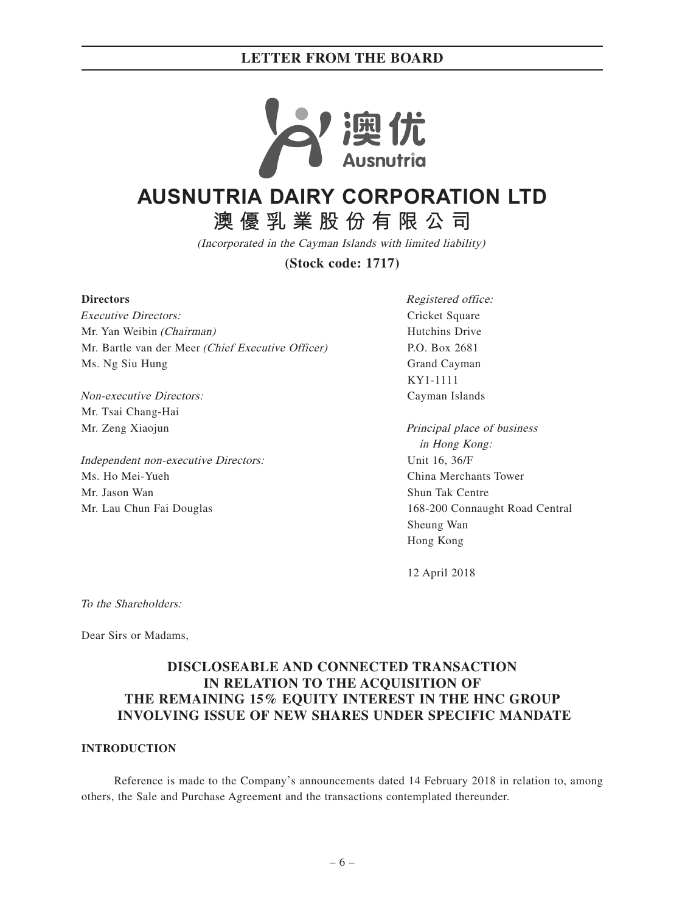

# **AUSNUTRIA DAIRY CORPORATION LTD**

**澳優乳業股份有限公司**

(Incorporated in the Cayman Islands with limited liability)

**(Stock code: 1717)**

#### **Directors**

Executive Directors: Mr. Yan Weibin (Chairman) Mr. Bartle van der Meer (Chief Executive Officer) Ms. Ng Siu Hung

Non-executive Directors: Mr. Tsai Chang-Hai Mr. Zeng Xiaojun

Independent non-executive Directors: Ms. Ho Mei-Yueh Mr. Jason Wan Mr. Lau Chun Fai Douglas

Registered office: Cricket Square Hutchins Drive P.O. Box 2681 Grand Cayman KY1-1111 Cayman Islands

Principal place of business in Hong Kong: Unit 16, 36/F China Merchants Tower Shun Tak Centre 168-200 Connaught Road Central Sheung Wan Hong Kong

12 April 2018

To the Shareholders:

Dear Sirs or Madams,

# **DISCLOSEABLE AND CONNECTED TRANSACTION IN RELATION TO THE ACQUISITION OF THE REMAINING 15% EQUITY INTEREST IN THE HNC GROUP INVOLVING ISSUE OF NEW SHARES UNDER SPECIFIC MANDATE**

#### **INTRODUCTION**

Reference is made to the Company's announcements dated 14 February 2018 in relation to, among others, the Sale and Purchase Agreement and the transactions contemplated thereunder.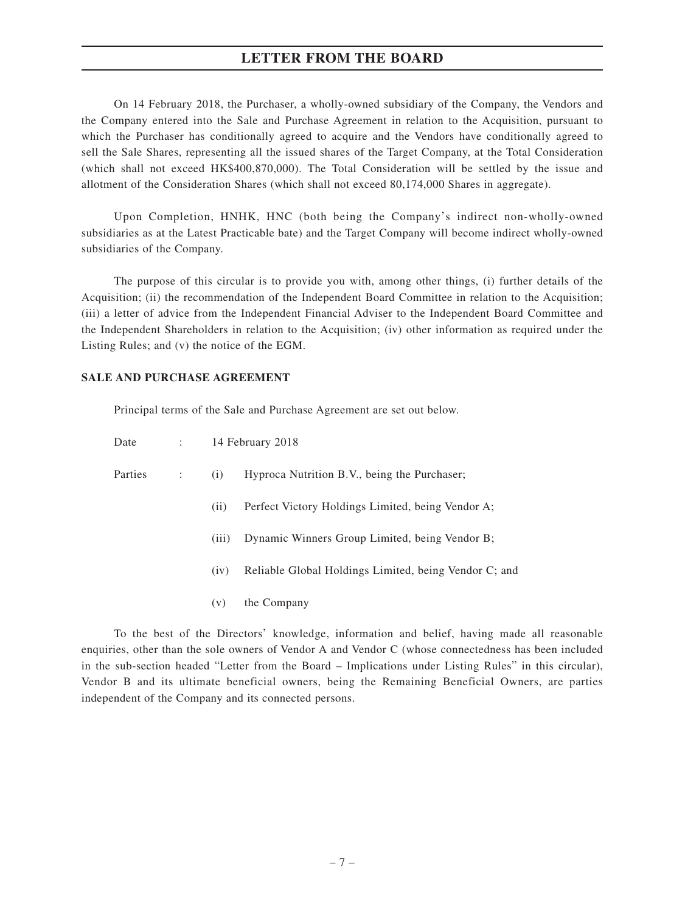On 14 February 2018, the Purchaser, a wholly-owned subsidiary of the Company, the Vendors and the Company entered into the Sale and Purchase Agreement in relation to the Acquisition, pursuant to which the Purchaser has conditionally agreed to acquire and the Vendors have conditionally agreed to sell the Sale Shares, representing all the issued shares of the Target Company, at the Total Consideration (which shall not exceed HK\$400,870,000). The Total Consideration will be settled by the issue and allotment of the Consideration Shares (which shall not exceed 80,174,000 Shares in aggregate).

Upon Completion, HNHK, HNC (both being the Company's indirect non-wholly-owned subsidiaries as at the Latest Practicable bate) and the Target Company will become indirect wholly-owned subsidiaries of the Company.

The purpose of this circular is to provide you with, among other things, (i) further details of the Acquisition; (ii) the recommendation of the Independent Board Committee in relation to the Acquisition; (iii) a letter of advice from the Independent Financial Adviser to the Independent Board Committee and the Independent Shareholders in relation to the Acquisition; (iv) other information as required under the Listing Rules; and (v) the notice of the EGM.

#### **SALE AND PURCHASE AGREEMENT**

Principal terms of the Sale and Purchase Agreement are set out below.

| Date    | $1 - 1 - 1$ |       | 14 February 2018                                      |
|---------|-------------|-------|-------------------------------------------------------|
| Parties | ÷           | (i)   | Hyproca Nutrition B.V., being the Purchaser;          |
|         |             | (i)   | Perfect Victory Holdings Limited, being Vendor A;     |
|         |             | (iii) | Dynamic Winners Group Limited, being Vendor B;        |
|         |             | (iv)  | Reliable Global Holdings Limited, being Vendor C; and |
|         |             | (v)   | the Company                                           |

To the best of the Directors' knowledge, information and belief, having made all reasonable enquiries, other than the sole owners of Vendor A and Vendor C (whose connectedness has been included in the sub-section headed "Letter from the Board – Implications under Listing Rules" in this circular), Vendor B and its ultimate beneficial owners, being the Remaining Beneficial Owners, are parties independent of the Company and its connected persons.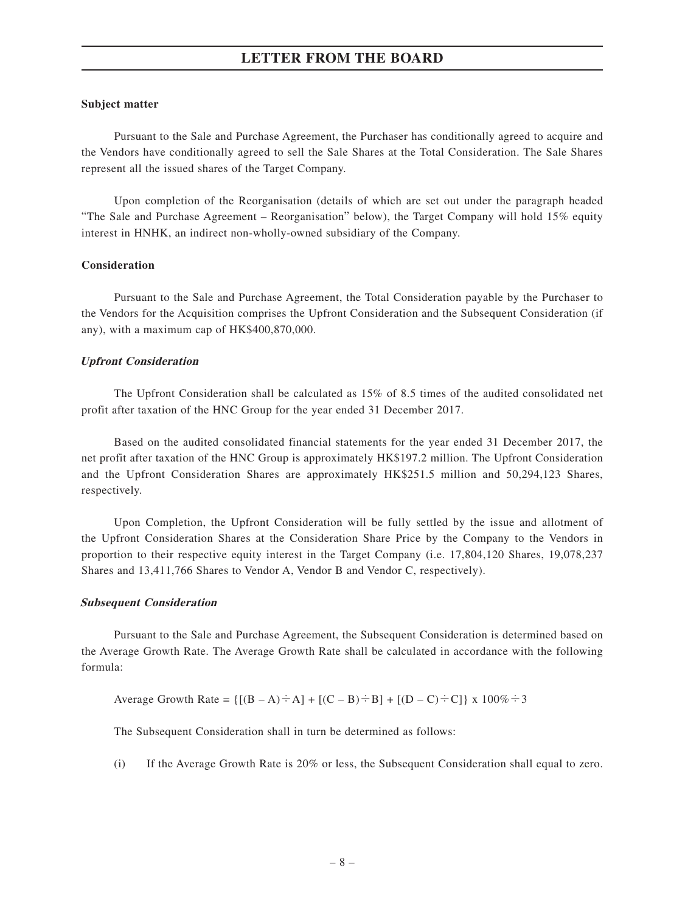### **Subject matter**

Pursuant to the Sale and Purchase Agreement, the Purchaser has conditionally agreed to acquire and the Vendors have conditionally agreed to sell the Sale Shares at the Total Consideration. The Sale Shares represent all the issued shares of the Target Company.

Upon completion of the Reorganisation (details of which are set out under the paragraph headed "The Sale and Purchase Agreement – Reorganisation" below), the Target Company will hold 15% equity interest in HNHK, an indirect non-wholly-owned subsidiary of the Company.

#### **Consideration**

Pursuant to the Sale and Purchase Agreement, the Total Consideration payable by the Purchaser to the Vendors for the Acquisition comprises the Upfront Consideration and the Subsequent Consideration (if any), with a maximum cap of HK\$400,870,000.

#### **Upfront Consideration**

The Upfront Consideration shall be calculated as 15% of 8.5 times of the audited consolidated net profit after taxation of the HNC Group for the year ended 31 December 2017.

Based on the audited consolidated financial statements for the year ended 31 December 2017, the net profit after taxation of the HNC Group is approximately HK\$197.2 million. The Upfront Consideration and the Upfront Consideration Shares are approximately HK\$251.5 million and 50,294,123 Shares, respectively.

Upon Completion, the Upfront Consideration will be fully settled by the issue and allotment of the Upfront Consideration Shares at the Consideration Share Price by the Company to the Vendors in proportion to their respective equity interest in the Target Company (i.e. 17,804,120 Shares, 19,078,237 Shares and 13,411,766 Shares to Vendor A, Vendor B and Vendor C, respectively).

#### **Subsequent Consideration**

Pursuant to the Sale and Purchase Agreement, the Subsequent Consideration is determined based on the Average Growth Rate. The Average Growth Rate shall be calculated in accordance with the following formula:

Average Growth Rate = 
$$
\{[(B - A) \div A] + [(C - B) \div B] + [(D - C) \div C]\}
$$
 x 100%  $\div 3$ 

The Subsequent Consideration shall in turn be determined as follows:

(i) If the Average Growth Rate is 20% or less, the Subsequent Consideration shall equal to zero.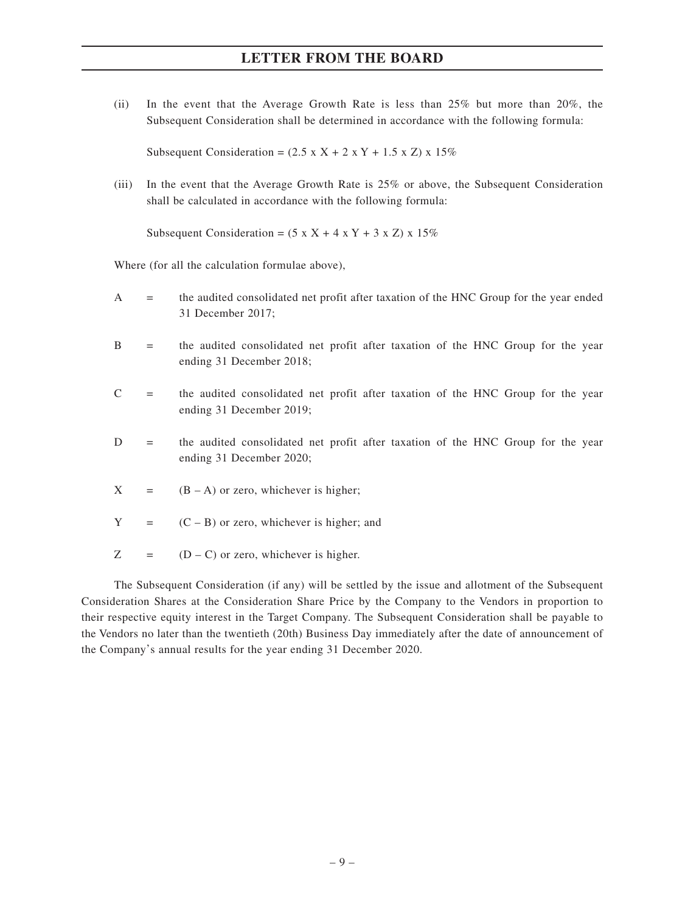(ii) In the event that the Average Growth Rate is less than 25% but more than 20%, the Subsequent Consideration shall be determined in accordance with the following formula:

Subsequent Consideration =  $(2.5 \times X + 2 \times Y + 1.5 \times Z) \times 15\%$ 

(iii) In the event that the Average Growth Rate is 25% or above, the Subsequent Consideration shall be calculated in accordance with the following formula:

Subsequent Consideration =  $(5 \times X + 4 \times Y + 3 \times Z) \times 15\%$ 

Where (for all the calculation formulae above),

- A = the audited consolidated net profit after taxation of the HNC Group for the year ended 31 December 2017;
- B = the audited consolidated net profit after taxation of the HNC Group for the year ending 31 December 2018;
- $C =$  the audited consolidated net profit after taxation of the HNC Group for the year ending 31 December 2019;
- D = the audited consolidated net profit after taxation of the HNC Group for the year ending 31 December 2020;
- $X = (B A)$  or zero, whichever is higher;
- $Y = (C B)$  or zero, whichever is higher; and
- $Z = (D C)$  or zero, whichever is higher.

The Subsequent Consideration (if any) will be settled by the issue and allotment of the Subsequent Consideration Shares at the Consideration Share Price by the Company to the Vendors in proportion to their respective equity interest in the Target Company. The Subsequent Consideration shall be payable to the Vendors no later than the twentieth (20th) Business Day immediately after the date of announcement of the Company's annual results for the year ending 31 December 2020.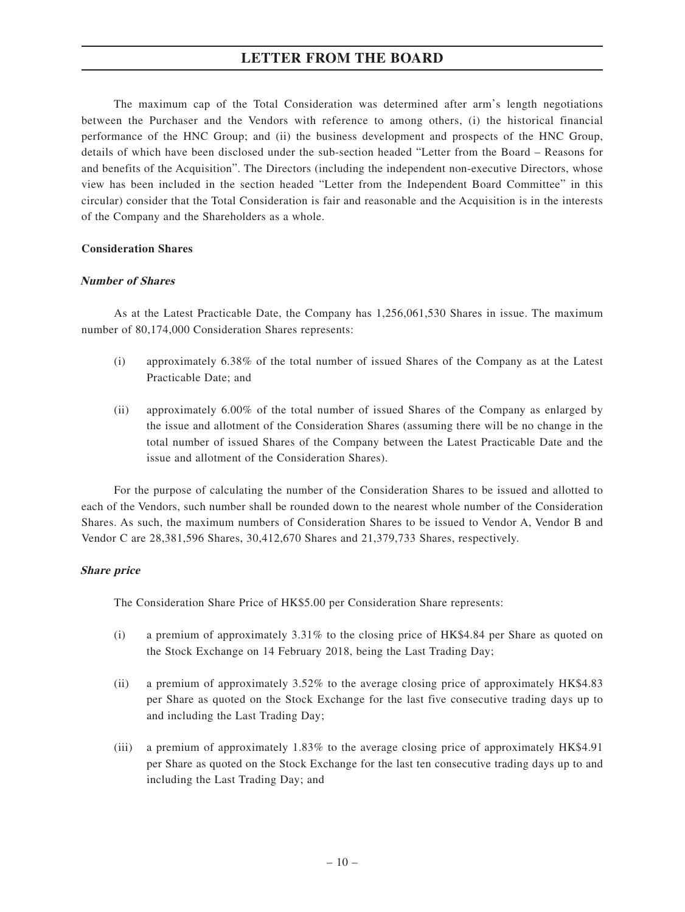The maximum cap of the Total Consideration was determined after arm's length negotiations between the Purchaser and the Vendors with reference to among others, (i) the historical financial performance of the HNC Group; and (ii) the business development and prospects of the HNC Group, details of which have been disclosed under the sub-section headed "Letter from the Board – Reasons for and benefits of the Acquisition". The Directors (including the independent non-executive Directors, whose view has been included in the section headed "Letter from the Independent Board Committee" in this circular) consider that the Total Consideration is fair and reasonable and the Acquisition is in the interests of the Company and the Shareholders as a whole.

#### **Consideration Shares**

#### **Number of Shares**

As at the Latest Practicable Date, the Company has 1,256,061,530 Shares in issue. The maximum number of 80,174,000 Consideration Shares represents:

- (i) approximately 6.38% of the total number of issued Shares of the Company as at the Latest Practicable Date; and
- (ii) approximately 6.00% of the total number of issued Shares of the Company as enlarged by the issue and allotment of the Consideration Shares (assuming there will be no change in the total number of issued Shares of the Company between the Latest Practicable Date and the issue and allotment of the Consideration Shares).

For the purpose of calculating the number of the Consideration Shares to be issued and allotted to each of the Vendors, such number shall be rounded down to the nearest whole number of the Consideration Shares. As such, the maximum numbers of Consideration Shares to be issued to Vendor A, Vendor B and Vendor C are 28,381,596 Shares, 30,412,670 Shares and 21,379,733 Shares, respectively.

### **Share price**

The Consideration Share Price of HK\$5.00 per Consideration Share represents:

- (i) a premium of approximately 3.31% to the closing price of HK\$4.84 per Share as quoted on the Stock Exchange on 14 February 2018, being the Last Trading Day;
- (ii) a premium of approximately 3.52% to the average closing price of approximately HK\$4.83 per Share as quoted on the Stock Exchange for the last five consecutive trading days up to and including the Last Trading Day;
- (iii) a premium of approximately 1.83% to the average closing price of approximately HK\$4.91 per Share as quoted on the Stock Exchange for the last ten consecutive trading days up to and including the Last Trading Day; and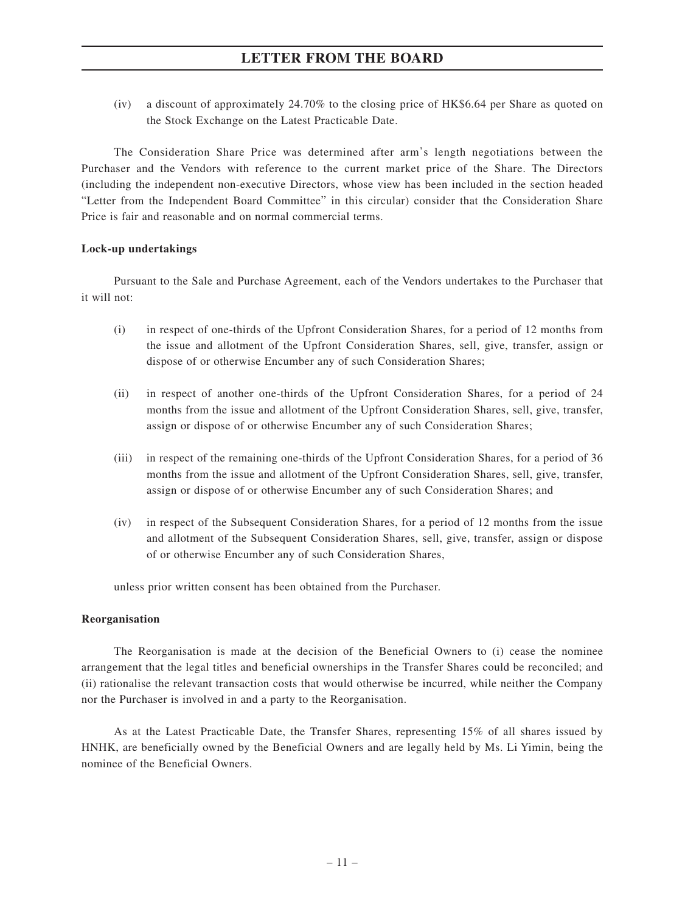(iv) a discount of approximately 24.70% to the closing price of HK\$6.64 per Share as quoted on the Stock Exchange on the Latest Practicable Date.

The Consideration Share Price was determined after arm's length negotiations between the Purchaser and the Vendors with reference to the current market price of the Share. The Directors (including the independent non-executive Directors, whose view has been included in the section headed "Letter from the Independent Board Committee" in this circular) consider that the Consideration Share Price is fair and reasonable and on normal commercial terms.

### **Lock-up undertakings**

Pursuant to the Sale and Purchase Agreement, each of the Vendors undertakes to the Purchaser that it will not:

- (i) in respect of one-thirds of the Upfront Consideration Shares, for a period of 12 months from the issue and allotment of the Upfront Consideration Shares, sell, give, transfer, assign or dispose of or otherwise Encumber any of such Consideration Shares;
- (ii) in respect of another one-thirds of the Upfront Consideration Shares, for a period of 24 months from the issue and allotment of the Upfront Consideration Shares, sell, give, transfer, assign or dispose of or otherwise Encumber any of such Consideration Shares;
- (iii) in respect of the remaining one-thirds of the Upfront Consideration Shares, for a period of 36 months from the issue and allotment of the Upfront Consideration Shares, sell, give, transfer, assign or dispose of or otherwise Encumber any of such Consideration Shares; and
- (iv) in respect of the Subsequent Consideration Shares, for a period of 12 months from the issue and allotment of the Subsequent Consideration Shares, sell, give, transfer, assign or dispose of or otherwise Encumber any of such Consideration Shares,

unless prior written consent has been obtained from the Purchaser.

#### **Reorganisation**

The Reorganisation is made at the decision of the Beneficial Owners to (i) cease the nominee arrangement that the legal titles and beneficial ownerships in the Transfer Shares could be reconciled; and (ii) rationalise the relevant transaction costs that would otherwise be incurred, while neither the Company nor the Purchaser is involved in and a party to the Reorganisation.

As at the Latest Practicable Date, the Transfer Shares, representing 15% of all shares issued by HNHK, are beneficially owned by the Beneficial Owners and are legally held by Ms. Li Yimin, being the nominee of the Beneficial Owners.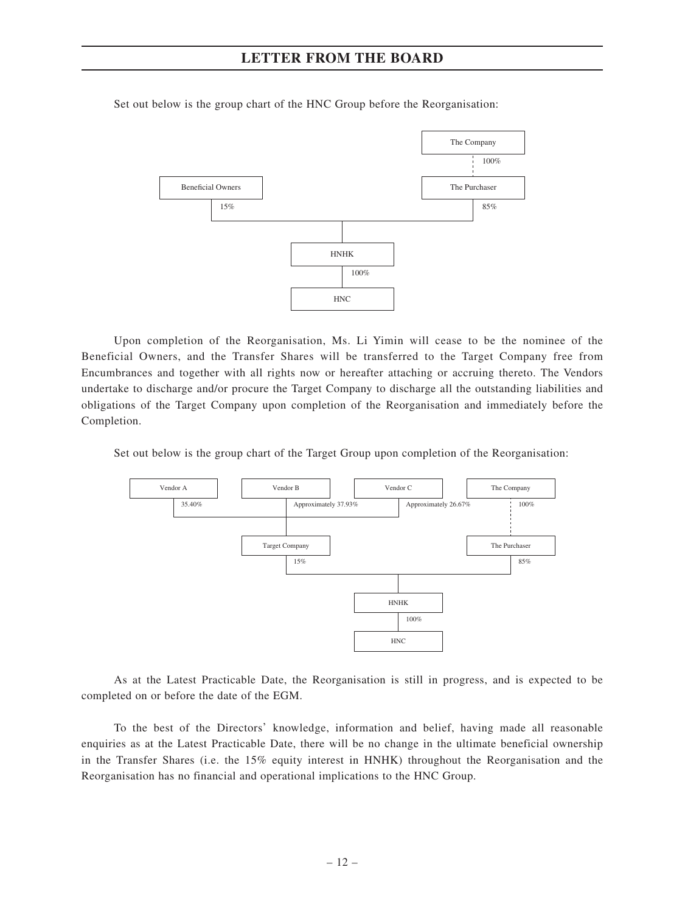

Set out below is the group chart of the HNC Group before the Reorganisation:

Upon completion of the Reorganisation, Ms. Li Yimin will cease to be the nominee of the Beneficial Owners, and the Transfer Shares will be transferred to the Target Company free from Encumbrances and together with all rights now or hereafter attaching or accruing thereto. The Vendors undertake to discharge and/or procure the Target Company to discharge all the outstanding liabilities and obligations of the Target Company upon completion of the Reorganisation and immediately before the Completion.

Set out below is the group chart of the Target Group upon completion of the Reorganisation:



As at the Latest Practicable Date, the Reorganisation is still in progress, and is expected to be completed on or before the date of the EGM.

To the best of the Directors' knowledge, information and belief, having made all reasonable enquiries as at the Latest Practicable Date, there will be no change in the ultimate beneficial ownership in the Transfer Shares (i.e. the 15% equity interest in HNHK) throughout the Reorganisation and the Reorganisation has no financial and operational implications to the HNC Group.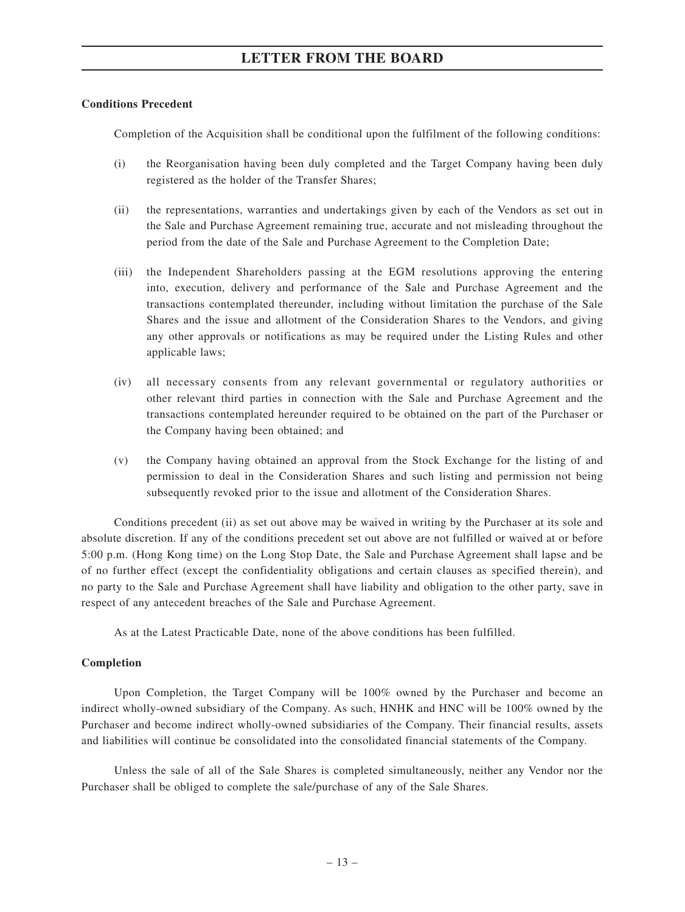# **Conditions Precedent**

Completion of the Acquisition shall be conditional upon the fulfilment of the following conditions:

- (i) the Reorganisation having been duly completed and the Target Company having been duly registered as the holder of the Transfer Shares;
- (ii) the representations, warranties and undertakings given by each of the Vendors as set out in the Sale and Purchase Agreement remaining true, accurate and not misleading throughout the period from the date of the Sale and Purchase Agreement to the Completion Date;
- (iii) the Independent Shareholders passing at the EGM resolutions approving the entering into, execution, delivery and performance of the Sale and Purchase Agreement and the transactions contemplated thereunder, including without limitation the purchase of the Sale Shares and the issue and allotment of the Consideration Shares to the Vendors, and giving any other approvals or notifications as may be required under the Listing Rules and other applicable laws;
- (iv) all necessary consents from any relevant governmental or regulatory authorities or other relevant third parties in connection with the Sale and Purchase Agreement and the transactions contemplated hereunder required to be obtained on the part of the Purchaser or the Company having been obtained; and
- (v) the Company having obtained an approval from the Stock Exchange for the listing of and permission to deal in the Consideration Shares and such listing and permission not being subsequently revoked prior to the issue and allotment of the Consideration Shares.

Conditions precedent (ii) as set out above may be waived in writing by the Purchaser at its sole and absolute discretion. If any of the conditions precedent set out above are not fulfilled or waived at or before 5:00 p.m. (Hong Kong time) on the Long Stop Date, the Sale and Purchase Agreement shall lapse and be of no further effect (except the confidentiality obligations and certain clauses as specified therein), and no party to the Sale and Purchase Agreement shall have liability and obligation to the other party, save in respect of any antecedent breaches of the Sale and Purchase Agreement.

As at the Latest Practicable Date, none of the above conditions has been fulfilled.

# **Completion**

Upon Completion, the Target Company will be 100% owned by the Purchaser and become an indirect wholly-owned subsidiary of the Company. As such, HNHK and HNC will be 100% owned by the Purchaser and become indirect wholly-owned subsidiaries of the Company. Their financial results, assets and liabilities will continue be consolidated into the consolidated financial statements of the Company.

Unless the sale of all of the Sale Shares is completed simultaneously, neither any Vendor nor the Purchaser shall be obliged to complete the sale/purchase of any of the Sale Shares.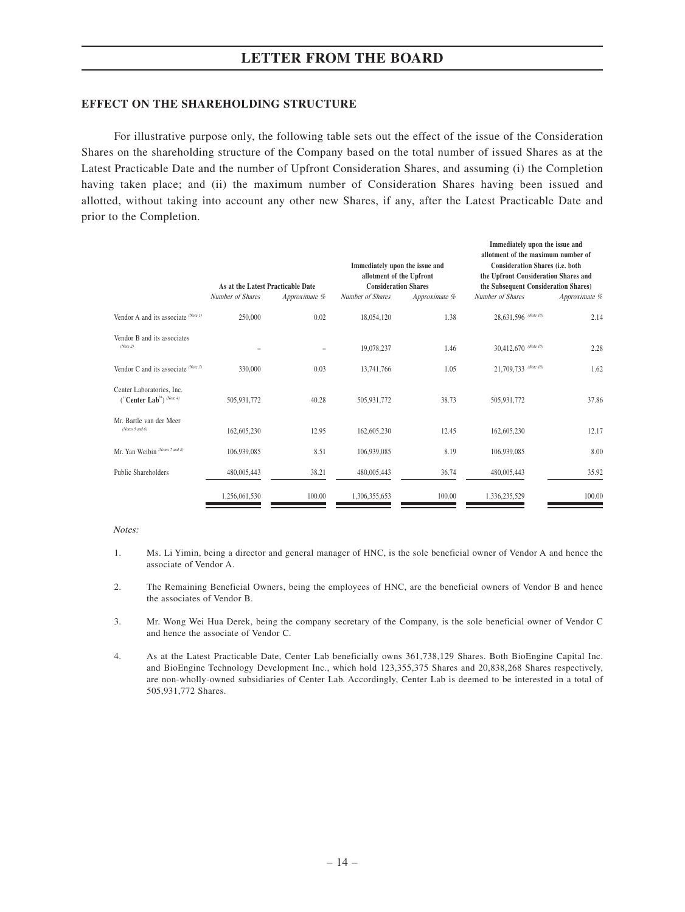#### **EFFECT ON THE SHAREHOLDING STRUCTURE**

For illustrative purpose only, the following table sets out the effect of the issue of the Consideration Shares on the shareholding structure of the Company based on the total number of issued Shares as at the Latest Practicable Date and the number of Upfront Consideration Shares, and assuming (i) the Completion having taken place; and (ii) the maximum number of Consideration Shares having been issued and allotted, without taking into account any other new Shares, if any, after the Latest Practicable Date and prior to the Completion.

|                                                      | As at the Latest Practicable Date |               | Immediately upon the issue and<br>allotment of the Upfront<br><b>Consideration Shares</b> |               | Immediately upon the issue and<br>allotment of the maximum number of<br>Consideration Shares (i.e. both<br>the Upfront Consideration Shares and<br>the Subsequent Consideration Shares) |               |
|------------------------------------------------------|-----------------------------------|---------------|-------------------------------------------------------------------------------------------|---------------|-----------------------------------------------------------------------------------------------------------------------------------------------------------------------------------------|---------------|
|                                                      | Number of Shares                  | Approximate % | Number of Shares                                                                          | Approximate % | Number of Shares                                                                                                                                                                        | Approximate % |
| Vendor A and its associate (Note 1)                  | 250,000                           | 0.02          | 18,054,120                                                                                | 1.38          | 28,631,596 (Note 10)                                                                                                                                                                    | 2.14          |
| Vendor B and its associates<br>(Note 2)              |                                   |               | 19,078,237                                                                                | 1.46          | 30,412,670 (Note 10)                                                                                                                                                                    | 2.28          |
| Vendor C and its associate (Note 3)                  | 330,000                           | 0.03          | 13,741,766                                                                                | 1.05          | 21,709,733 (Note 10)                                                                                                                                                                    | 1.62          |
| Center Laboratories, Inc.<br>("Center Lab") (Note 4) | 505,931,772                       | 40.28         | 505,931,772                                                                               | 38.73         | 505,931,772                                                                                                                                                                             | 37.86         |
| Mr. Bartle van der Meer<br>(Notes $5$ and $6$ )      | 162,605,230                       | 12.95         | 162,605,230                                                                               | 12.45         | 162,605,230                                                                                                                                                                             | 12.17         |
| Mr. Yan Weibin (Notes 7 and 8)                       | 106,939,085                       | 8.51          | 106,939,085                                                                               | 8.19          | 106,939,085                                                                                                                                                                             | 8.00          |
| Public Shareholders                                  | 480,005,443                       | 38.21         | 480,005,443                                                                               | 36.74         | 480,005,443                                                                                                                                                                             | 35.92         |
|                                                      | 1,256,061,530                     | 100.00        | 1,306,355,653                                                                             | 100.00        | 1,336,235,529                                                                                                                                                                           | 100.00        |

Notes:

- 1. Ms. Li Yimin, being a director and general manager of HNC, is the sole beneficial owner of Vendor A and hence the associate of Vendor A.
- 2. The Remaining Beneficial Owners, being the employees of HNC, are the beneficial owners of Vendor B and hence the associates of Vendor B.
- 3. Mr. Wong Wei Hua Derek, being the company secretary of the Company, is the sole beneficial owner of Vendor C and hence the associate of Vendor C.
- 4. As at the Latest Practicable Date, Center Lab beneficially owns 361,738,129 Shares. Both BioEngine Capital Inc. and BioEngine Technology Development Inc., which hold 123,355,375 Shares and 20,838,268 Shares respectively, are non-wholly-owned subsidiaries of Center Lab. Accordingly, Center Lab is deemed to be interested in a total of 505,931,772 Shares.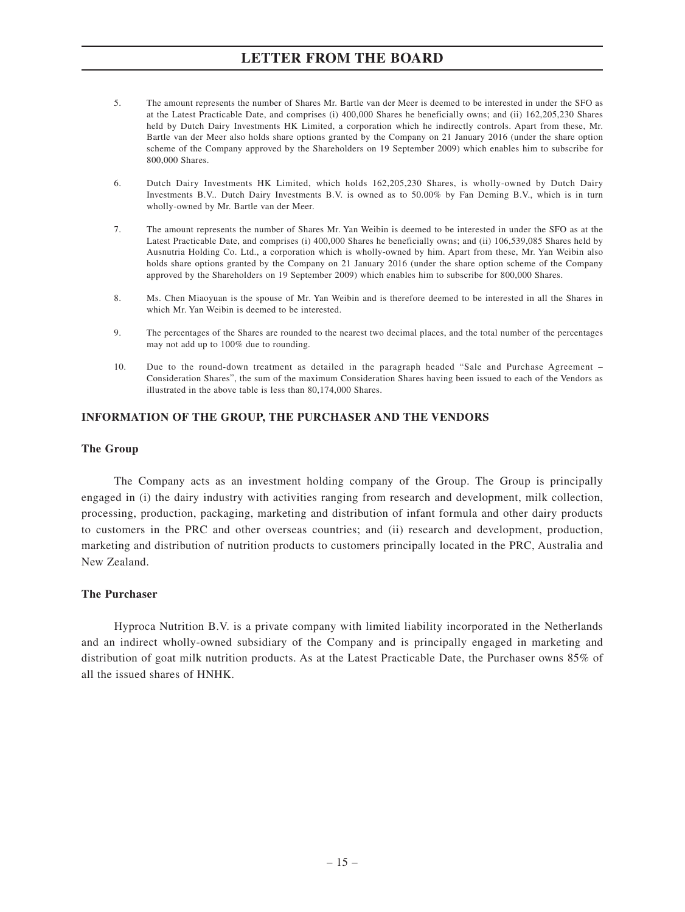- 5. The amount represents the number of Shares Mr. Bartle van der Meer is deemed to be interested in under the SFO as at the Latest Practicable Date, and comprises (i) 400,000 Shares he beneficially owns; and (ii) 162,205,230 Shares held by Dutch Dairy Investments HK Limited, a corporation which he indirectly controls. Apart from these, Mr. Bartle van der Meer also holds share options granted by the Company on 21 January 2016 (under the share option scheme of the Company approved by the Shareholders on 19 September 2009) which enables him to subscribe for 800,000 Shares.
- 6. Dutch Dairy Investments HK Limited, which holds 162,205,230 Shares, is wholly-owned by Dutch Dairy Investments B.V.. Dutch Dairy Investments B.V. is owned as to 50.00% by Fan Deming B.V., which is in turn wholly-owned by Mr. Bartle van der Meer.
- 7. The amount represents the number of Shares Mr. Yan Weibin is deemed to be interested in under the SFO as at the Latest Practicable Date, and comprises (i) 400,000 Shares he beneficially owns; and (ii) 106,539,085 Shares held by Ausnutria Holding Co. Ltd., a corporation which is wholly-owned by him. Apart from these, Mr. Yan Weibin also holds share options granted by the Company on 21 January 2016 (under the share option scheme of the Company approved by the Shareholders on 19 September 2009) which enables him to subscribe for 800,000 Shares.
- 8. Ms. Chen Miaoyuan is the spouse of Mr. Yan Weibin and is therefore deemed to be interested in all the Shares in which Mr. Yan Weibin is deemed to be interested.
- 9. The percentages of the Shares are rounded to the nearest two decimal places, and the total number of the percentages may not add up to 100% due to rounding.
- 10. Due to the round-down treatment as detailed in the paragraph headed "Sale and Purchase Agreement Consideration Shares", the sum of the maximum Consideration Shares having been issued to each of the Vendors as illustrated in the above table is less than 80,174,000 Shares.

### **INFORMATION OF THE GROUP, THE PURCHASER AND THE VENDORS**

#### **The Group**

The Company acts as an investment holding company of the Group. The Group is principally engaged in (i) the dairy industry with activities ranging from research and development, milk collection, processing, production, packaging, marketing and distribution of infant formula and other dairy products to customers in the PRC and other overseas countries; and (ii) research and development, production, marketing and distribution of nutrition products to customers principally located in the PRC, Australia and New Zealand.

### **The Purchaser**

Hyproca Nutrition B.V. is a private company with limited liability incorporated in the Netherlands and an indirect wholly-owned subsidiary of the Company and is principally engaged in marketing and distribution of goat milk nutrition products. As at the Latest Practicable Date, the Purchaser owns 85% of all the issued shares of HNHK.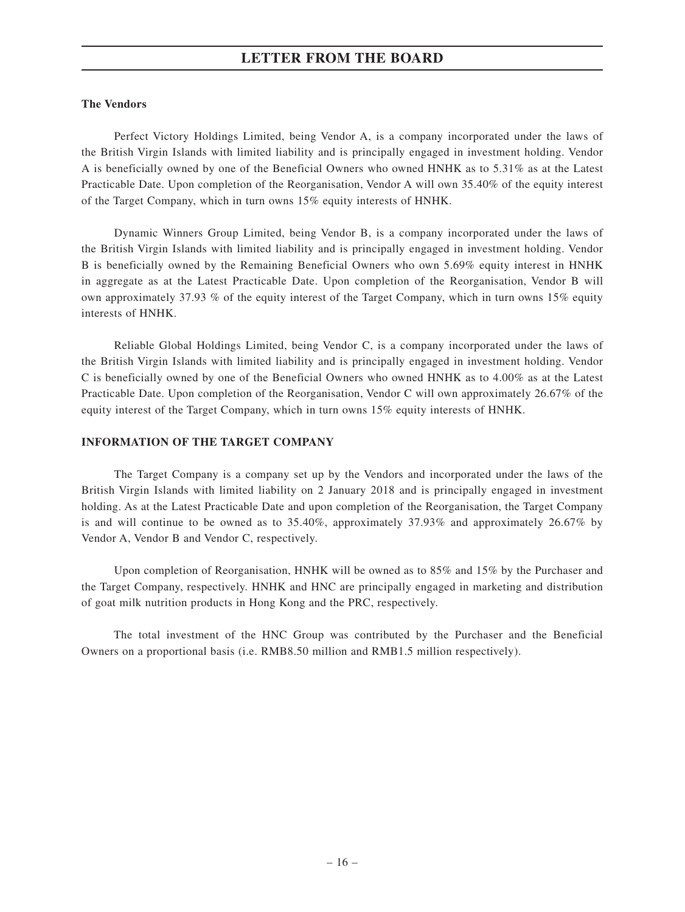#### **The Vendors**

Perfect Victory Holdings Limited, being Vendor A, is a company incorporated under the laws of the British Virgin Islands with limited liability and is principally engaged in investment holding. Vendor A is beneficially owned by one of the Beneficial Owners who owned HNHK as to 5.31% as at the Latest Practicable Date. Upon completion of the Reorganisation, Vendor A will own 35.40% of the equity interest of the Target Company, which in turn owns 15% equity interests of HNHK.

Dynamic Winners Group Limited, being Vendor B, is a company incorporated under the laws of the British Virgin Islands with limited liability and is principally engaged in investment holding. Vendor B is beneficially owned by the Remaining Beneficial Owners who own 5.69% equity interest in HNHK in aggregate as at the Latest Practicable Date. Upon completion of the Reorganisation, Vendor B will own approximately 37.93 % of the equity interest of the Target Company, which in turn owns 15% equity interests of HNHK.

Reliable Global Holdings Limited, being Vendor C, is a company incorporated under the laws of the British Virgin Islands with limited liability and is principally engaged in investment holding. Vendor C is beneficially owned by one of the Beneficial Owners who owned HNHK as to 4.00% as at the Latest Practicable Date. Upon completion of the Reorganisation, Vendor C will own approximately 26.67% of the equity interest of the Target Company, which in turn owns 15% equity interests of HNHK.

#### **INFORMATION OF THE TARGET COMPANY**

The Target Company is a company set up by the Vendors and incorporated under the laws of the British Virgin Islands with limited liability on 2 January 2018 and is principally engaged in investment holding. As at the Latest Practicable Date and upon completion of the Reorganisation, the Target Company is and will continue to be owned as to 35.40%, approximately 37.93% and approximately 26.67% by Vendor A, Vendor B and Vendor C, respectively.

Upon completion of Reorganisation, HNHK will be owned as to 85% and 15% by the Purchaser and the Target Company, respectively. HNHK and HNC are principally engaged in marketing and distribution of goat milk nutrition products in Hong Kong and the PRC, respectively.

The total investment of the HNC Group was contributed by the Purchaser and the Beneficial Owners on a proportional basis (i.e. RMB8.50 million and RMB1.5 million respectively).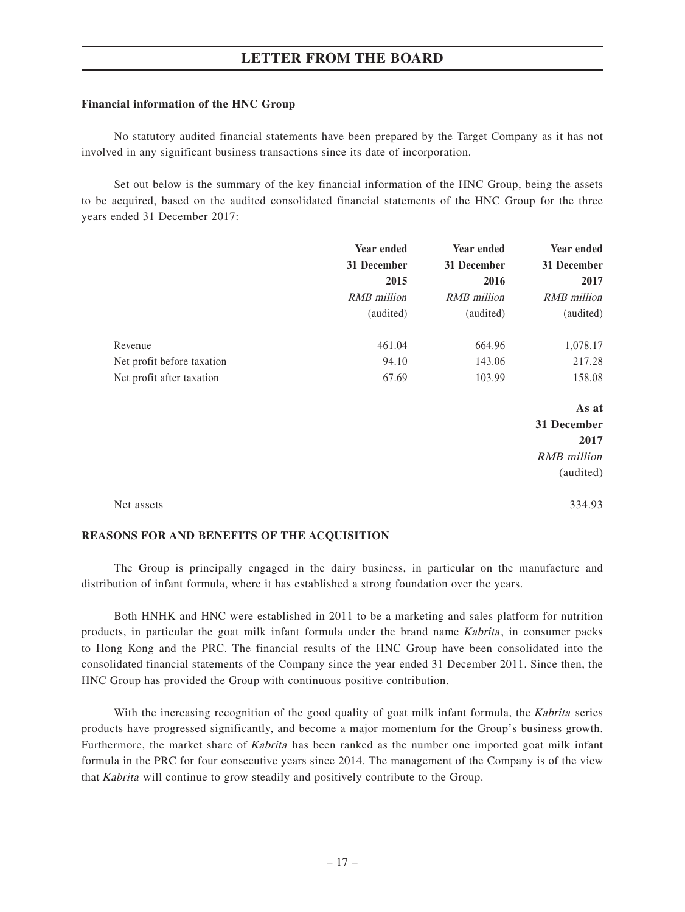#### **Financial information of the HNC Group**

No statutory audited financial statements have been prepared by the Target Company as it has not involved in any significant business transactions since its date of incorporation.

Set out below is the summary of the key financial information of the HNC Group, being the assets to be acquired, based on the audited consolidated financial statements of the HNC Group for the three years ended 31 December 2017:

|                            | Year ended  | Year ended  | Year ended         |
|----------------------------|-------------|-------------|--------------------|
|                            | 31 December | 31 December | 31 December        |
|                            | 2015        | 2016        | 2017               |
|                            | RMB million | RMB million | RMB million        |
|                            | (audited)   | (audited)   | (audited)          |
| Revenue                    | 461.04      | 664.96      | 1,078.17           |
| Net profit before taxation | 94.10       | 143.06      | 217.28             |
| Net profit after taxation  | 67.69       | 103.99      | 158.08             |
|                            |             |             | As at              |
|                            |             |             | 31 December        |
|                            |             |             | 2017               |
|                            |             |             | <b>RMB</b> million |
|                            |             |             | (audited)          |
|                            |             |             |                    |

Net assets 334.93

#### **REASONS FOR AND BENEFITS OF THE ACQUISITION**

The Group is principally engaged in the dairy business, in particular on the manufacture and distribution of infant formula, where it has established a strong foundation over the years.

Both HNHK and HNC were established in 2011 to be a marketing and sales platform for nutrition products, in particular the goat milk infant formula under the brand name Kabrita, in consumer packs to Hong Kong and the PRC. The financial results of the HNC Group have been consolidated into the consolidated financial statements of the Company since the year ended 31 December 2011. Since then, the HNC Group has provided the Group with continuous positive contribution.

With the increasing recognition of the good quality of goat milk infant formula, the Kabrita series products have progressed significantly, and become a major momentum for the Group's business growth. Furthermore, the market share of *Kabrita* has been ranked as the number one imported goat milk infant formula in the PRC for four consecutive years since 2014. The management of the Company is of the view that Kabrita will continue to grow steadily and positively contribute to the Group.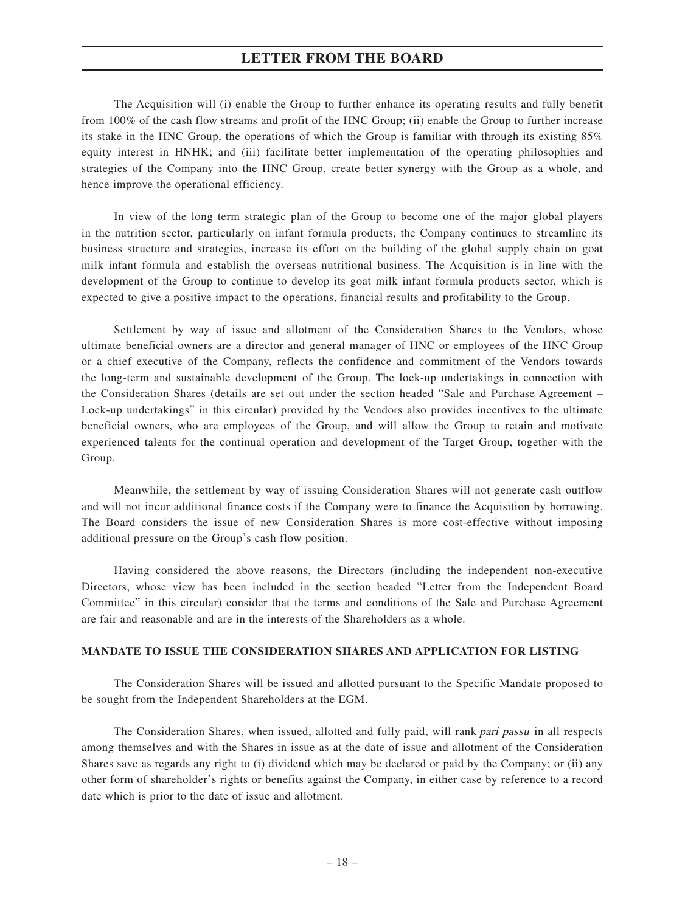The Acquisition will (i) enable the Group to further enhance its operating results and fully benefit from 100% of the cash flow streams and profit of the HNC Group; (ii) enable the Group to further increase its stake in the HNC Group, the operations of which the Group is familiar with through its existing 85% equity interest in HNHK; and (iii) facilitate better implementation of the operating philosophies and strategies of the Company into the HNC Group, create better synergy with the Group as a whole, and hence improve the operational efficiency.

In view of the long term strategic plan of the Group to become one of the major global players in the nutrition sector, particularly on infant formula products, the Company continues to streamline its business structure and strategies, increase its effort on the building of the global supply chain on goat milk infant formula and establish the overseas nutritional business. The Acquisition is in line with the development of the Group to continue to develop its goat milk infant formula products sector, which is expected to give a positive impact to the operations, financial results and profitability to the Group.

Settlement by way of issue and allotment of the Consideration Shares to the Vendors, whose ultimate beneficial owners are a director and general manager of HNC or employees of the HNC Group or a chief executive of the Company, reflects the confidence and commitment of the Vendors towards the long-term and sustainable development of the Group. The lock-up undertakings in connection with the Consideration Shares (details are set out under the section headed "Sale and Purchase Agreement – Lock-up undertakings" in this circular) provided by the Vendors also provides incentives to the ultimate beneficial owners, who are employees of the Group, and will allow the Group to retain and motivate experienced talents for the continual operation and development of the Target Group, together with the Group.

Meanwhile, the settlement by way of issuing Consideration Shares will not generate cash outflow and will not incur additional finance costs if the Company were to finance the Acquisition by borrowing. The Board considers the issue of new Consideration Shares is more cost-effective without imposing additional pressure on the Group's cash flow position.

Having considered the above reasons, the Directors (including the independent non-executive Directors, whose view has been included in the section headed "Letter from the Independent Board Committee" in this circular) consider that the terms and conditions of the Sale and Purchase Agreement are fair and reasonable and are in the interests of the Shareholders as a whole.

#### **MANDATE TO ISSUE THE CONSIDERATION SHARES AND APPLICATION FOR LISTING**

The Consideration Shares will be issued and allotted pursuant to the Specific Mandate proposed to be sought from the Independent Shareholders at the EGM.

The Consideration Shares, when issued, allotted and fully paid, will rank *pari passu* in all respects among themselves and with the Shares in issue as at the date of issue and allotment of the Consideration Shares save as regards any right to (i) dividend which may be declared or paid by the Company; or (ii) any other form of shareholder's rights or benefits against the Company, in either case by reference to a record date which is prior to the date of issue and allotment.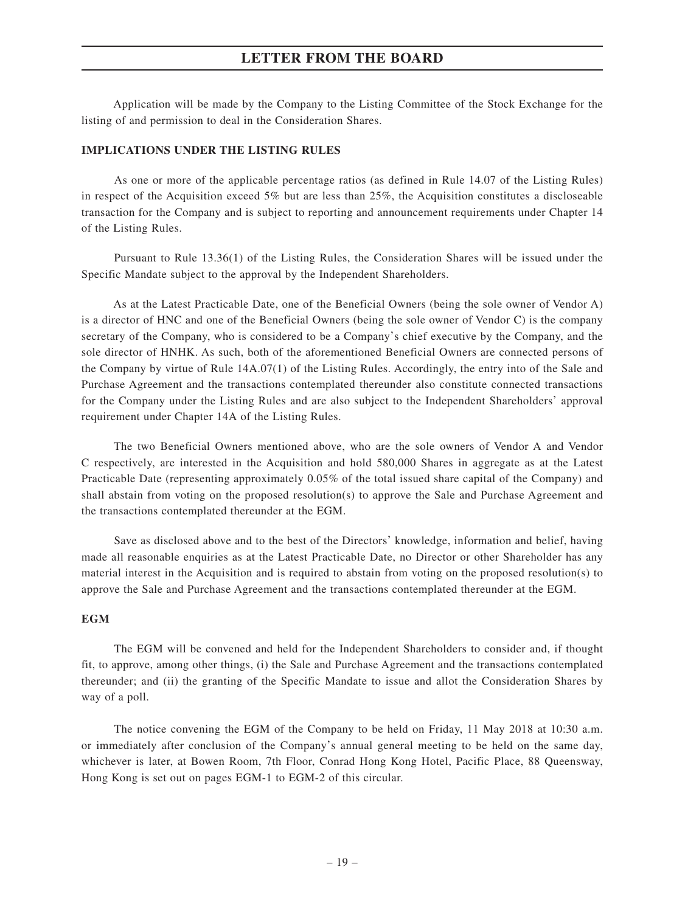Application will be made by the Company to the Listing Committee of the Stock Exchange for the listing of and permission to deal in the Consideration Shares.

#### **IMPLICATIONS UNDER THE LISTING RULES**

As one or more of the applicable percentage ratios (as defined in Rule 14.07 of the Listing Rules) in respect of the Acquisition exceed 5% but are less than 25%, the Acquisition constitutes a discloseable transaction for the Company and is subject to reporting and announcement requirements under Chapter 14 of the Listing Rules.

Pursuant to Rule 13.36(1) of the Listing Rules, the Consideration Shares will be issued under the Specific Mandate subject to the approval by the Independent Shareholders.

As at the Latest Practicable Date, one of the Beneficial Owners (being the sole owner of Vendor A) is a director of HNC and one of the Beneficial Owners (being the sole owner of Vendor C) is the company secretary of the Company, who is considered to be a Company's chief executive by the Company, and the sole director of HNHK. As such, both of the aforementioned Beneficial Owners are connected persons of the Company by virtue of Rule 14A.07(1) of the Listing Rules. Accordingly, the entry into of the Sale and Purchase Agreement and the transactions contemplated thereunder also constitute connected transactions for the Company under the Listing Rules and are also subject to the Independent Shareholders' approval requirement under Chapter 14A of the Listing Rules.

The two Beneficial Owners mentioned above, who are the sole owners of Vendor A and Vendor C respectively, are interested in the Acquisition and hold 580,000 Shares in aggregate as at the Latest Practicable Date (representing approximately 0.05% of the total issued share capital of the Company) and shall abstain from voting on the proposed resolution(s) to approve the Sale and Purchase Agreement and the transactions contemplated thereunder at the EGM.

Save as disclosed above and to the best of the Directors' knowledge, information and belief, having made all reasonable enquiries as at the Latest Practicable Date, no Director or other Shareholder has any material interest in the Acquisition and is required to abstain from voting on the proposed resolution(s) to approve the Sale and Purchase Agreement and the transactions contemplated thereunder at the EGM.

### **EGM**

The EGM will be convened and held for the Independent Shareholders to consider and, if thought fit, to approve, among other things, (i) the Sale and Purchase Agreement and the transactions contemplated thereunder; and (ii) the granting of the Specific Mandate to issue and allot the Consideration Shares by way of a poll.

The notice convening the EGM of the Company to be held on Friday, 11 May 2018 at 10:30 a.m. or immediately after conclusion of the Company's annual general meeting to be held on the same day, whichever is later, at Bowen Room, 7th Floor, Conrad Hong Kong Hotel, Pacific Place, 88 Queensway, Hong Kong is set out on pages EGM-1 to EGM-2 of this circular.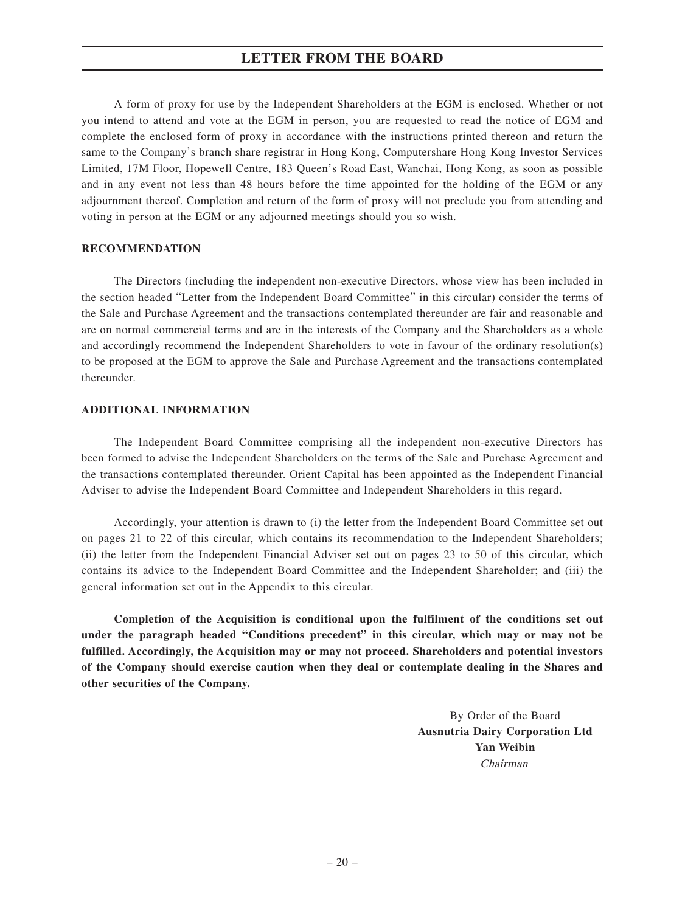A form of proxy for use by the Independent Shareholders at the EGM is enclosed. Whether or not you intend to attend and vote at the EGM in person, you are requested to read the notice of EGM and complete the enclosed form of proxy in accordance with the instructions printed thereon and return the same to the Company's branch share registrar in Hong Kong, Computershare Hong Kong Investor Services Limited, 17M Floor, Hopewell Centre, 183 Queen's Road East, Wanchai, Hong Kong, as soon as possible and in any event not less than 48 hours before the time appointed for the holding of the EGM or any adjournment thereof. Completion and return of the form of proxy will not preclude you from attending and voting in person at the EGM or any adjourned meetings should you so wish.

#### **RECOMMENDATION**

The Directors (including the independent non-executive Directors, whose view has been included in the section headed "Letter from the Independent Board Committee" in this circular) consider the terms of the Sale and Purchase Agreement and the transactions contemplated thereunder are fair and reasonable and are on normal commercial terms and are in the interests of the Company and the Shareholders as a whole and accordingly recommend the Independent Shareholders to vote in favour of the ordinary resolution(s) to be proposed at the EGM to approve the Sale and Purchase Agreement and the transactions contemplated thereunder.

#### **ADDITIONAL INFORMATION**

The Independent Board Committee comprising all the independent non-executive Directors has been formed to advise the Independent Shareholders on the terms of the Sale and Purchase Agreement and the transactions contemplated thereunder. Orient Capital has been appointed as the Independent Financial Adviser to advise the Independent Board Committee and Independent Shareholders in this regard.

Accordingly, your attention is drawn to (i) the letter from the Independent Board Committee set out on pages 21 to 22 of this circular, which contains its recommendation to the Independent Shareholders; (ii) the letter from the Independent Financial Adviser set out on pages 23 to 50 of this circular, which contains its advice to the Independent Board Committee and the Independent Shareholder; and (iii) the general information set out in the Appendix to this circular.

**Completion of the Acquisition is conditional upon the fulfilment of the conditions set out under the paragraph headed "Conditions precedent" in this circular, which may or may not be fulfilled. Accordingly, the Acquisition may or may not proceed. Shareholders and potential investors of the Company should exercise caution when they deal or contemplate dealing in the Shares and other securities of the Company.**

> By Order of the Board **Ausnutria Dairy Corporation Ltd Yan Weibin** Chairman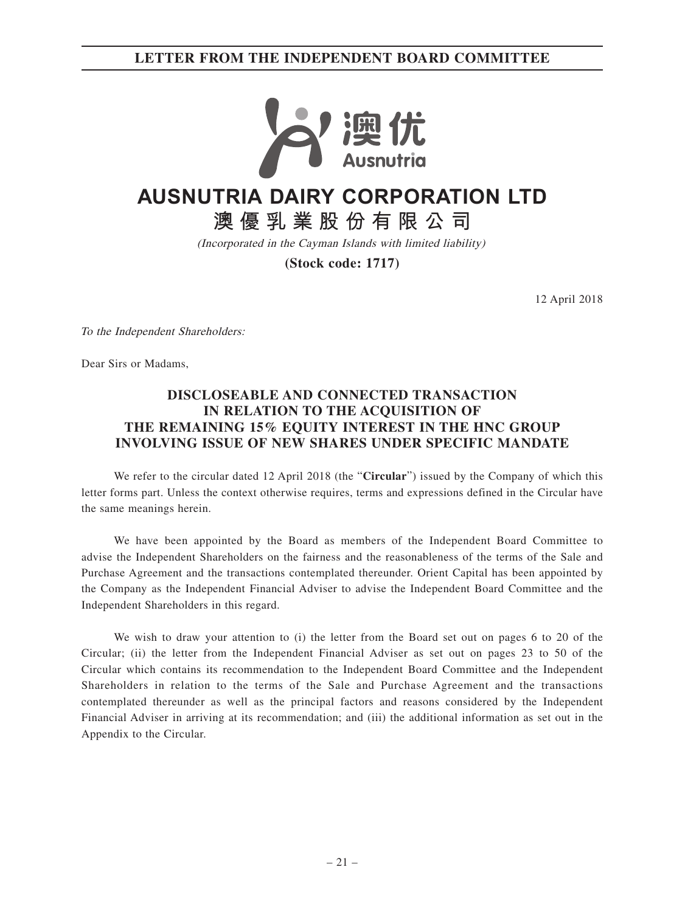**LETTER FROM THE INDEPENDENT BOARD COMMITTEE**



# **AUSNUTRIA DAIRY CORPORATION LTD**

**澳優乳業股份有限公司**

(Incorporated in the Cayman Islands with limited liability)

**(Stock code: 1717)**

12 April 2018

To the Independent Shareholders:

Dear Sirs or Madams,

# **DISCLOSEABLE AND CONNECTED TRANSACTION IN RELATION TO THE ACQUISITION OF THE REMAINING 15% EQUITY INTEREST IN THE HNC GROUP INVOLVING ISSUE OF NEW SHARES UNDER SPECIFIC MANDATE**

We refer to the circular dated 12 April 2018 (the "**Circular**") issued by the Company of which this letter forms part. Unless the context otherwise requires, terms and expressions defined in the Circular have the same meanings herein.

We have been appointed by the Board as members of the Independent Board Committee to advise the Independent Shareholders on the fairness and the reasonableness of the terms of the Sale and Purchase Agreement and the transactions contemplated thereunder. Orient Capital has been appointed by the Company as the Independent Financial Adviser to advise the Independent Board Committee and the Independent Shareholders in this regard.

We wish to draw your attention to (i) the letter from the Board set out on pages 6 to 20 of the Circular; (ii) the letter from the Independent Financial Adviser as set out on pages 23 to 50 of the Circular which contains its recommendation to the Independent Board Committee and the Independent Shareholders in relation to the terms of the Sale and Purchase Agreement and the transactions contemplated thereunder as well as the principal factors and reasons considered by the Independent Financial Adviser in arriving at its recommendation; and (iii) the additional information as set out in the Appendix to the Circular.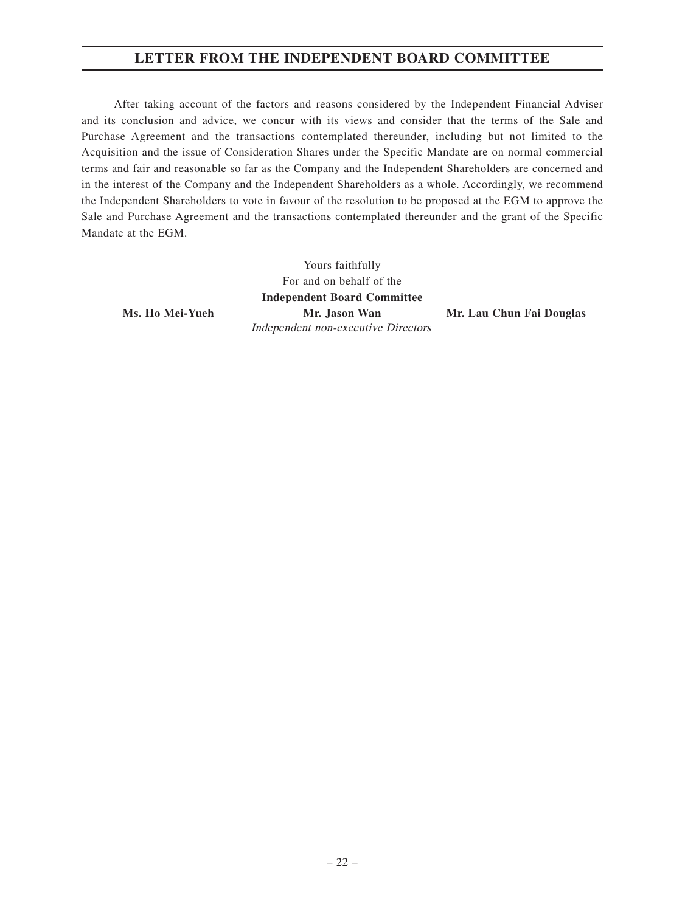# **LETTER FROM THE INDEPENDENT BOARD COMMITTEE**

After taking account of the factors and reasons considered by the Independent Financial Adviser and its conclusion and advice, we concur with its views and consider that the terms of the Sale and Purchase Agreement and the transactions contemplated thereunder, including but not limited to the Acquisition and the issue of Consideration Shares under the Specific Mandate are on normal commercial terms and fair and reasonable so far as the Company and the Independent Shareholders are concerned and in the interest of the Company and the Independent Shareholders as a whole. Accordingly, we recommend the Independent Shareholders to vote in favour of the resolution to be proposed at the EGM to approve the Sale and Purchase Agreement and the transactions contemplated thereunder and the grant of the Specific Mandate at the EGM.

Yours faithfully For and on behalf of the **Independent Board Committee Ms. Ho Mei-Yueh Mr. Jason Wan Mr. Lau Chun Fai Douglas** Independent non-executive Directors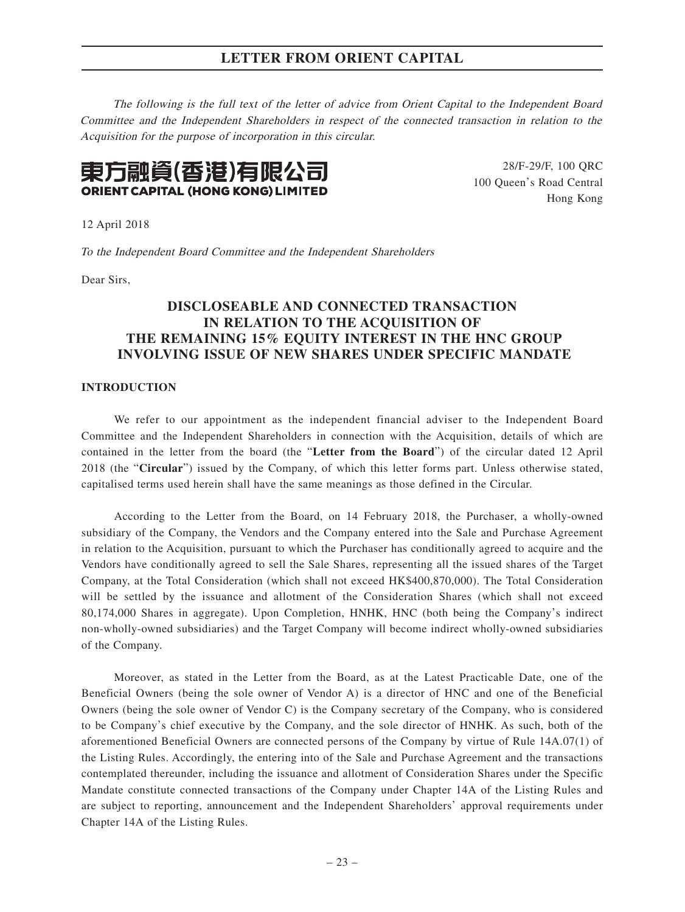The following is the full text of the letter of advice from Orient Capital to the Independent Board Committee and the Independent Shareholders in respect of the connected transaction in relation to the Acquisition for the purpose of incorporation in this circular.



28/F-29/F, 100 QRC 100 Queen's Road Central Hong Kong

12 April 2018

To the Independent Board Committee and the Independent Shareholders

Dear Sirs,

# **DISCLOSEABLE AND CONNECTED TRANSACTION IN RELATION TO THE ACQUISITION OF THE REMAINING 15% EQUITY INTEREST IN THE HNC GROUP INVOLVING ISSUE OF NEW SHARES UNDER SPECIFIC MANDATE**

## **INTRODUCTION**

We refer to our appointment as the independent financial adviser to the Independent Board Committee and the Independent Shareholders in connection with the Acquisition, details of which are contained in the letter from the board (the "**Letter from the Board**") of the circular dated 12 April 2018 (the "**Circular**") issued by the Company, of which this letter forms part. Unless otherwise stated, capitalised terms used herein shall have the same meanings as those defined in the Circular.

According to the Letter from the Board, on 14 February 2018, the Purchaser, a wholly-owned subsidiary of the Company, the Vendors and the Company entered into the Sale and Purchase Agreement in relation to the Acquisition, pursuant to which the Purchaser has conditionally agreed to acquire and the Vendors have conditionally agreed to sell the Sale Shares, representing all the issued shares of the Target Company, at the Total Consideration (which shall not exceed HK\$400,870,000). The Total Consideration will be settled by the issuance and allotment of the Consideration Shares (which shall not exceed 80,174,000 Shares in aggregate). Upon Completion, HNHK, HNC (both being the Company's indirect non-wholly-owned subsidiaries) and the Target Company will become indirect wholly-owned subsidiaries of the Company.

Moreover, as stated in the Letter from the Board, as at the Latest Practicable Date, one of the Beneficial Owners (being the sole owner of Vendor A) is a director of HNC and one of the Beneficial Owners (being the sole owner of Vendor C) is the Company secretary of the Company, who is considered to be Company's chief executive by the Company, and the sole director of HNHK. As such, both of the aforementioned Beneficial Owners are connected persons of the Company by virtue of Rule 14A.07(1) of the Listing Rules. Accordingly, the entering into of the Sale and Purchase Agreement and the transactions contemplated thereunder, including the issuance and allotment of Consideration Shares under the Specific Mandate constitute connected transactions of the Company under Chapter 14A of the Listing Rules and are subject to reporting, announcement and the Independent Shareholders' approval requirements under Chapter 14A of the Listing Rules.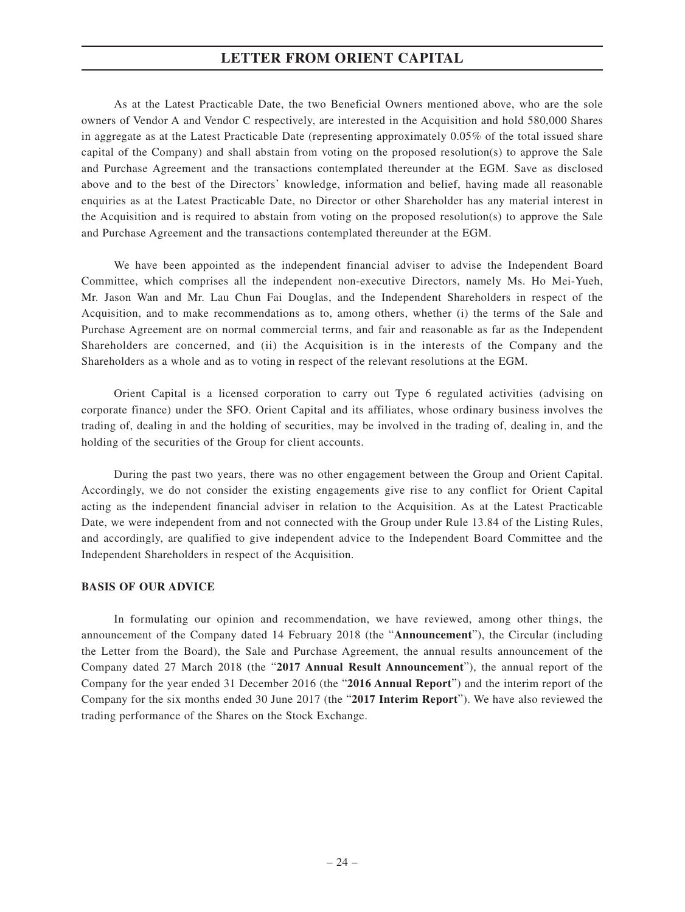As at the Latest Practicable Date, the two Beneficial Owners mentioned above, who are the sole owners of Vendor A and Vendor C respectively, are interested in the Acquisition and hold 580,000 Shares in aggregate as at the Latest Practicable Date (representing approximately 0.05% of the total issued share capital of the Company) and shall abstain from voting on the proposed resolution(s) to approve the Sale and Purchase Agreement and the transactions contemplated thereunder at the EGM. Save as disclosed above and to the best of the Directors' knowledge, information and belief, having made all reasonable enquiries as at the Latest Practicable Date, no Director or other Shareholder has any material interest in the Acquisition and is required to abstain from voting on the proposed resolution(s) to approve the Sale and Purchase Agreement and the transactions contemplated thereunder at the EGM.

We have been appointed as the independent financial adviser to advise the Independent Board Committee, which comprises all the independent non-executive Directors, namely Ms. Ho Mei-Yueh, Mr. Jason Wan and Mr. Lau Chun Fai Douglas, and the Independent Shareholders in respect of the Acquisition, and to make recommendations as to, among others, whether (i) the terms of the Sale and Purchase Agreement are on normal commercial terms, and fair and reasonable as far as the Independent Shareholders are concerned, and (ii) the Acquisition is in the interests of the Company and the Shareholders as a whole and as to voting in respect of the relevant resolutions at the EGM.

Orient Capital is a licensed corporation to carry out Type 6 regulated activities (advising on corporate finance) under the SFO. Orient Capital and its affiliates, whose ordinary business involves the trading of, dealing in and the holding of securities, may be involved in the trading of, dealing in, and the holding of the securities of the Group for client accounts.

During the past two years, there was no other engagement between the Group and Orient Capital. Accordingly, we do not consider the existing engagements give rise to any conflict for Orient Capital acting as the independent financial adviser in relation to the Acquisition. As at the Latest Practicable Date, we were independent from and not connected with the Group under Rule 13.84 of the Listing Rules, and accordingly, are qualified to give independent advice to the Independent Board Committee and the Independent Shareholders in respect of the Acquisition.

#### **BASIS OF OUR ADVICE**

In formulating our opinion and recommendation, we have reviewed, among other things, the announcement of the Company dated 14 February 2018 (the "**Announcement**"), the Circular (including the Letter from the Board), the Sale and Purchase Agreement, the annual results announcement of the Company dated 27 March 2018 (the "**2017 Annual Result Announcement**"), the annual report of the Company for the year ended 31 December 2016 (the "**2016 Annual Report**") and the interim report of the Company for the six months ended 30 June 2017 (the "**2017 Interim Report**"). We have also reviewed the trading performance of the Shares on the Stock Exchange.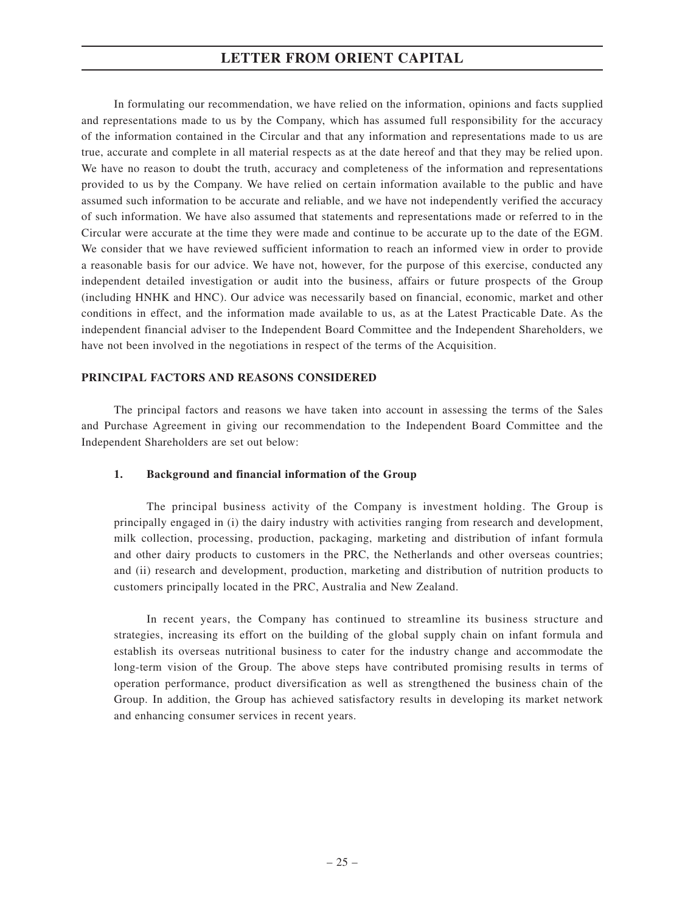In formulating our recommendation, we have relied on the information, opinions and facts supplied and representations made to us by the Company, which has assumed full responsibility for the accuracy of the information contained in the Circular and that any information and representations made to us are true, accurate and complete in all material respects as at the date hereof and that they may be relied upon. We have no reason to doubt the truth, accuracy and completeness of the information and representations provided to us by the Company. We have relied on certain information available to the public and have assumed such information to be accurate and reliable, and we have not independently verified the accuracy of such information. We have also assumed that statements and representations made or referred to in the Circular were accurate at the time they were made and continue to be accurate up to the date of the EGM. We consider that we have reviewed sufficient information to reach an informed view in order to provide a reasonable basis for our advice. We have not, however, for the purpose of this exercise, conducted any independent detailed investigation or audit into the business, affairs or future prospects of the Group (including HNHK and HNC). Our advice was necessarily based on financial, economic, market and other conditions in effect, and the information made available to us, as at the Latest Practicable Date. As the independent financial adviser to the Independent Board Committee and the Independent Shareholders, we have not been involved in the negotiations in respect of the terms of the Acquisition.

# **PRINCIPAL FACTORS AND REASONS CONSIDERED**

The principal factors and reasons we have taken into account in assessing the terms of the Sales and Purchase Agreement in giving our recommendation to the Independent Board Committee and the Independent Shareholders are set out below:

### **1. Background and financial information of the Group**

The principal business activity of the Company is investment holding. The Group is principally engaged in (i) the dairy industry with activities ranging from research and development, milk collection, processing, production, packaging, marketing and distribution of infant formula and other dairy products to customers in the PRC, the Netherlands and other overseas countries; and (ii) research and development, production, marketing and distribution of nutrition products to customers principally located in the PRC, Australia and New Zealand.

In recent years, the Company has continued to streamline its business structure and strategies, increasing its effort on the building of the global supply chain on infant formula and establish its overseas nutritional business to cater for the industry change and accommodate the long-term vision of the Group. The above steps have contributed promising results in terms of operation performance, product diversification as well as strengthened the business chain of the Group. In addition, the Group has achieved satisfactory results in developing its market network and enhancing consumer services in recent years.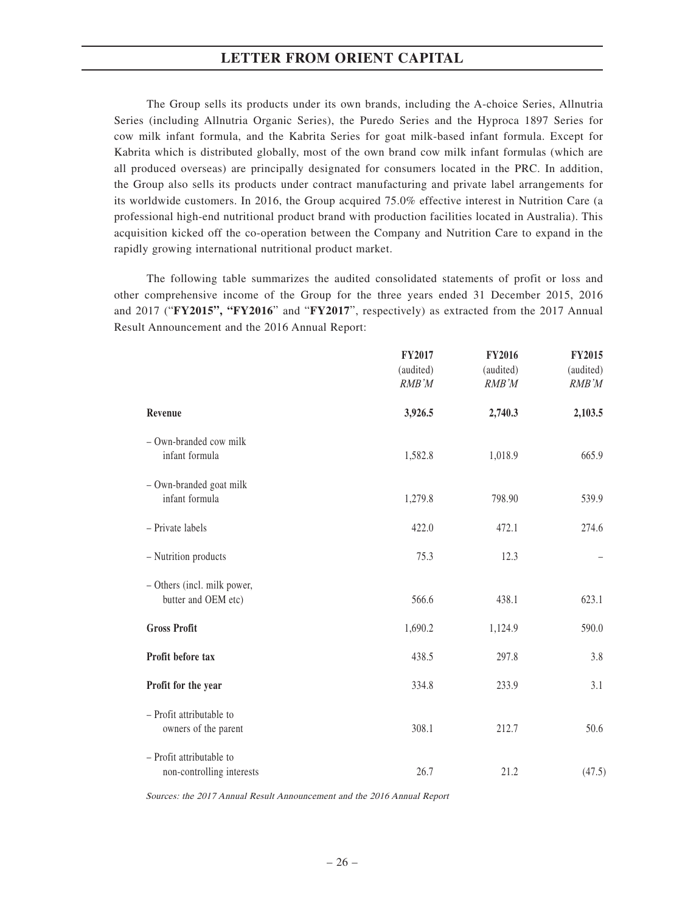The Group sells its products under its own brands, including the A-choice Series, Allnutria Series (including Allnutria Organic Series), the Puredo Series and the Hyproca 1897 Series for cow milk infant formula, and the Kabrita Series for goat milk-based infant formula. Except for Kabrita which is distributed globally, most of the own brand cow milk infant formulas (which are all produced overseas) are principally designated for consumers located in the PRC. In addition, the Group also sells its products under contract manufacturing and private label arrangements for its worldwide customers. In 2016, the Group acquired 75.0% effective interest in Nutrition Care (a professional high-end nutritional product brand with production facilities located in Australia). This acquisition kicked off the co-operation between the Company and Nutrition Care to expand in the rapidly growing international nutritional product market.

The following table summarizes the audited consolidated statements of profit or loss and other comprehensive income of the Group for the three years ended 31 December 2015, 2016 and 2017 ("**FY2015", "FY2016**" and "**FY2017**", respectively) as extracted from the 2017 Annual Result Announcement and the 2016 Annual Report:

|                                                       | <b>FY2017</b><br>(audited)<br>RMB'M | FY2016<br>(audited)<br>RMB'M | <b>FY2015</b><br>(audited)<br>RMB'M |
|-------------------------------------------------------|-------------------------------------|------------------------------|-------------------------------------|
| Revenue                                               | 3,926.5                             | 2,740.3                      | 2,103.5                             |
| - Own-branded cow milk<br>infant formula              | 1,582.8                             | 1,018.9                      | 665.9                               |
| - Own-branded goat milk<br>infant formula             | 1,279.8                             | 798.90                       | 539.9                               |
| - Private labels                                      | 422.0                               | 472.1                        | 274.6                               |
| - Nutrition products                                  | 75.3                                | 12.3                         |                                     |
| - Others (incl. milk power,<br>butter and OEM etc)    | 566.6                               | 438.1                        | 623.1                               |
| <b>Gross Profit</b>                                   | 1,690.2                             | 1,124.9                      | 590.0                               |
| Profit before tax                                     | 438.5                               | 297.8                        | 3.8                                 |
| Profit for the year                                   | 334.8                               | 233.9                        | 3.1                                 |
| - Profit attributable to<br>owners of the parent      | 308.1                               | 212.7                        | 50.6                                |
| - Profit attributable to<br>non-controlling interests | 26.7                                | 21.2                         | (47.5)                              |

Sources: the 2017 Annual Result Announcement and the 2016 Annual Report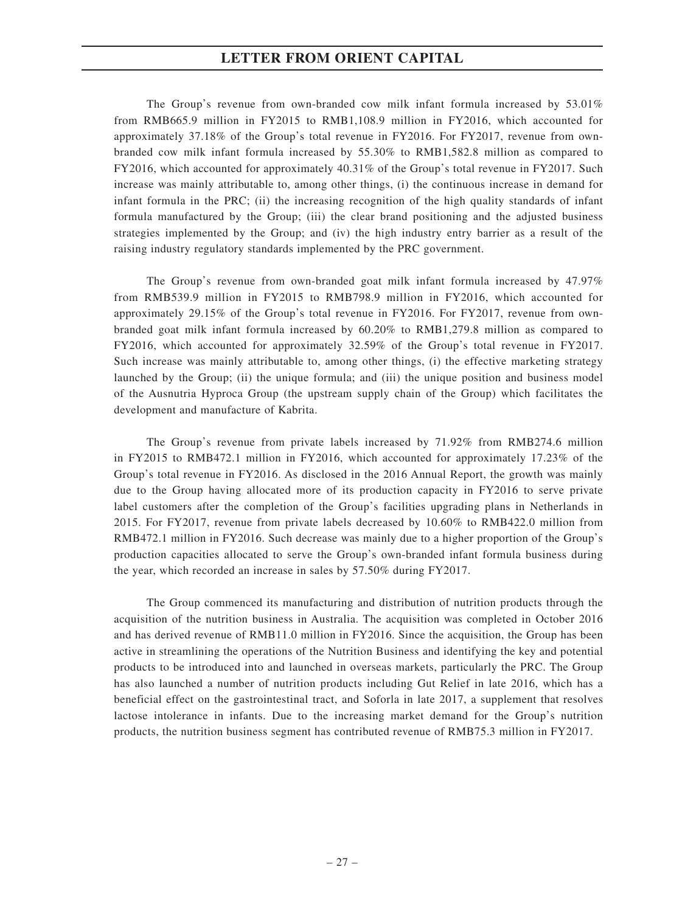The Group's revenue from own-branded cow milk infant formula increased by 53.01% from RMB665.9 million in FY2015 to RMB1,108.9 million in FY2016, which accounted for approximately 37.18% of the Group's total revenue in FY2016. For FY2017, revenue from ownbranded cow milk infant formula increased by 55.30% to RMB1,582.8 million as compared to FY2016, which accounted for approximately 40.31% of the Group's total revenue in FY2017. Such increase was mainly attributable to, among other things, (i) the continuous increase in demand for infant formula in the PRC; (ii) the increasing recognition of the high quality standards of infant formula manufactured by the Group; (iii) the clear brand positioning and the adjusted business strategies implemented by the Group; and (iv) the high industry entry barrier as a result of the raising industry regulatory standards implemented by the PRC government.

The Group's revenue from own-branded goat milk infant formula increased by 47.97% from RMB539.9 million in FY2015 to RMB798.9 million in FY2016, which accounted for approximately 29.15% of the Group's total revenue in FY2016. For FY2017, revenue from ownbranded goat milk infant formula increased by 60.20% to RMB1,279.8 million as compared to FY2016, which accounted for approximately 32.59% of the Group's total revenue in FY2017. Such increase was mainly attributable to, among other things, (i) the effective marketing strategy launched by the Group; (ii) the unique formula; and (iii) the unique position and business model of the Ausnutria Hyproca Group (the upstream supply chain of the Group) which facilitates the development and manufacture of Kabrita.

The Group's revenue from private labels increased by 71.92% from RMB274.6 million in FY2015 to RMB472.1 million in FY2016, which accounted for approximately 17.23% of the Group's total revenue in FY2016. As disclosed in the 2016 Annual Report, the growth was mainly due to the Group having allocated more of its production capacity in FY2016 to serve private label customers after the completion of the Group's facilities upgrading plans in Netherlands in 2015. For FY2017, revenue from private labels decreased by 10.60% to RMB422.0 million from RMB472.1 million in FY2016. Such decrease was mainly due to a higher proportion of the Group's production capacities allocated to serve the Group's own-branded infant formula business during the year, which recorded an increase in sales by 57.50% during FY2017.

The Group commenced its manufacturing and distribution of nutrition products through the acquisition of the nutrition business in Australia. The acquisition was completed in October 2016 and has derived revenue of RMB11.0 million in FY2016. Since the acquisition, the Group has been active in streamlining the operations of the Nutrition Business and identifying the key and potential products to be introduced into and launched in overseas markets, particularly the PRC. The Group has also launched a number of nutrition products including Gut Relief in late 2016, which has a beneficial effect on the gastrointestinal tract, and Soforla in late 2017, a supplement that resolves lactose intolerance in infants. Due to the increasing market demand for the Group's nutrition products, the nutrition business segment has contributed revenue of RMB75.3 million in FY2017.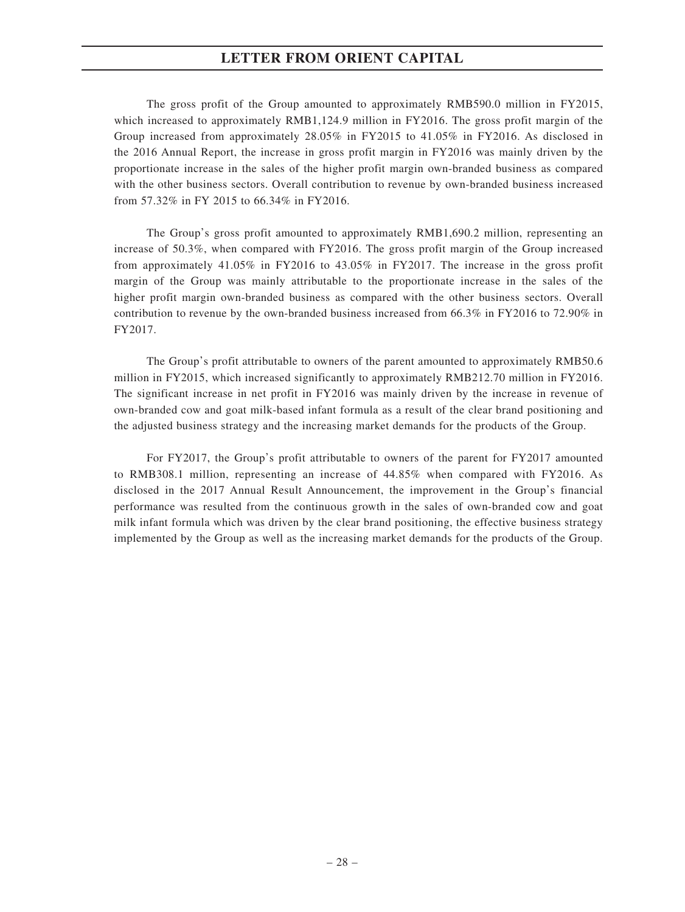The gross profit of the Group amounted to approximately RMB590.0 million in FY2015, which increased to approximately RMB1,124.9 million in FY2016. The gross profit margin of the Group increased from approximately 28.05% in FY2015 to 41.05% in FY2016. As disclosed in the 2016 Annual Report, the increase in gross profit margin in FY2016 was mainly driven by the proportionate increase in the sales of the higher profit margin own-branded business as compared with the other business sectors. Overall contribution to revenue by own-branded business increased from 57.32% in FY 2015 to 66.34% in FY2016.

The Group's gross profit amounted to approximately RMB1,690.2 million, representing an increase of 50.3%, when compared with FY2016. The gross profit margin of the Group increased from approximately 41.05% in FY2016 to 43.05% in FY2017. The increase in the gross profit margin of the Group was mainly attributable to the proportionate increase in the sales of the higher profit margin own-branded business as compared with the other business sectors. Overall contribution to revenue by the own-branded business increased from 66.3% in FY2016 to 72.90% in FY2017.

The Group's profit attributable to owners of the parent amounted to approximately RMB50.6 million in FY2015, which increased significantly to approximately RMB212.70 million in FY2016. The significant increase in net profit in FY2016 was mainly driven by the increase in revenue of own-branded cow and goat milk-based infant formula as a result of the clear brand positioning and the adjusted business strategy and the increasing market demands for the products of the Group.

For FY2017, the Group's profit attributable to owners of the parent for FY2017 amounted to RMB308.1 million, representing an increase of 44.85% when compared with FY2016. As disclosed in the 2017 Annual Result Announcement, the improvement in the Group's financial performance was resulted from the continuous growth in the sales of own-branded cow and goat milk infant formula which was driven by the clear brand positioning, the effective business strategy implemented by the Group as well as the increasing market demands for the products of the Group.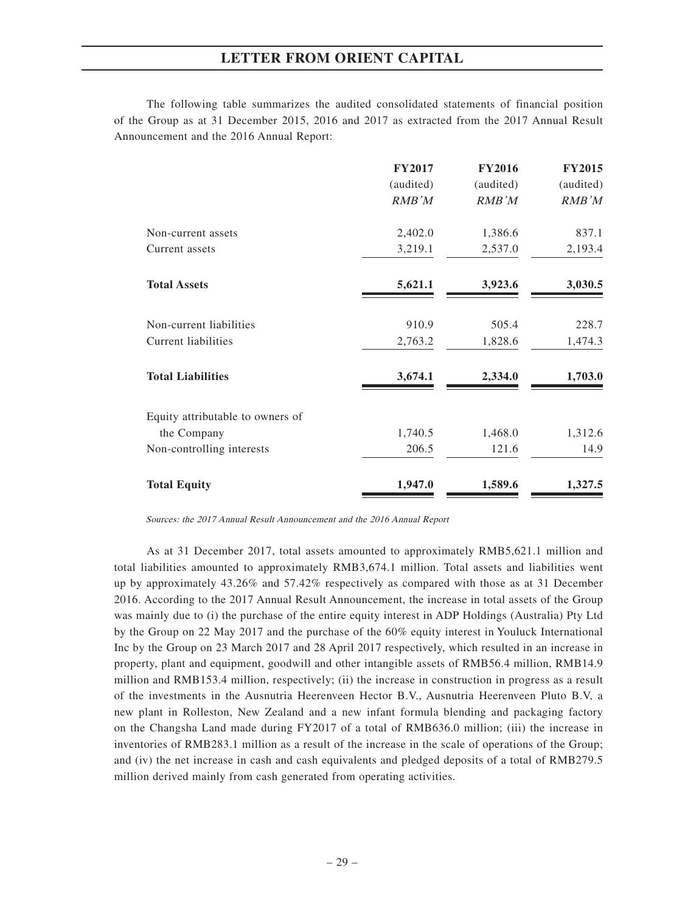The following table summarizes the audited consolidated statements of financial position of the Group as at 31 December 2015, 2016 and 2017 as extracted from the 2017 Annual Result Announcement and the 2016 Annual Report:

|                                  | <b>FY2017</b> | <b>FY2016</b> | <b>FY2015</b> |
|----------------------------------|---------------|---------------|---------------|
|                                  | (audited)     | (audited)     | (audited)     |
|                                  | RMB'M         | RMB'M         | RMB'M         |
| Non-current assets               | 2,402.0       | 1,386.6       | 837.1         |
| Current assets                   | 3,219.1       | 2,537.0       | 2,193.4       |
| <b>Total Assets</b>              | 5,621.1       | 3,923.6       | 3,030.5       |
| Non-current liabilities          | 910.9         | 505.4         | 228.7         |
| Current liabilities              | 2,763.2       | 1,828.6       | 1,474.3       |
| <b>Total Liabilities</b>         | 3,674.1       | 2,334.0       | 1,703.0       |
| Equity attributable to owners of |               |               |               |
| the Company                      | 1,740.5       | 1,468.0       | 1,312.6       |
| Non-controlling interests        | 206.5         | 121.6         | 14.9          |
| <b>Total Equity</b>              | 1,947.0       | 1,589.6       | 1,327.5       |

Sources: the 2017 Annual Result Announcement and the 2016 Annual Report

As at 31 December 2017, total assets amounted to approximately RMB5,621.1 million and total liabilities amounted to approximately RMB3,674.1 million. Total assets and liabilities went up by approximately 43.26% and 57.42% respectively as compared with those as at 31 December 2016. According to the 2017 Annual Result Announcement, the increase in total assets of the Group was mainly due to (i) the purchase of the entire equity interest in ADP Holdings (Australia) Pty Ltd by the Group on 22 May 2017 and the purchase of the 60% equity interest in Youluck International Inc by the Group on 23 March 2017 and 28 April 2017 respectively, which resulted in an increase in property, plant and equipment, goodwill and other intangible assets of RMB56.4 million, RMB14.9 million and RMB153.4 million, respectively; (ii) the increase in construction in progress as a result of the investments in the Ausnutria Heerenveen Hector B.V., Ausnutria Heerenveen Pluto B.V, a new plant in Rolleston, New Zealand and a new infant formula blending and packaging factory on the Changsha Land made during FY2017 of a total of RMB636.0 million; (iii) the increase in inventories of RMB283.1 million as a result of the increase in the scale of operations of the Group; and (iv) the net increase in cash and cash equivalents and pledged deposits of a total of RMB279.5 million derived mainly from cash generated from operating activities.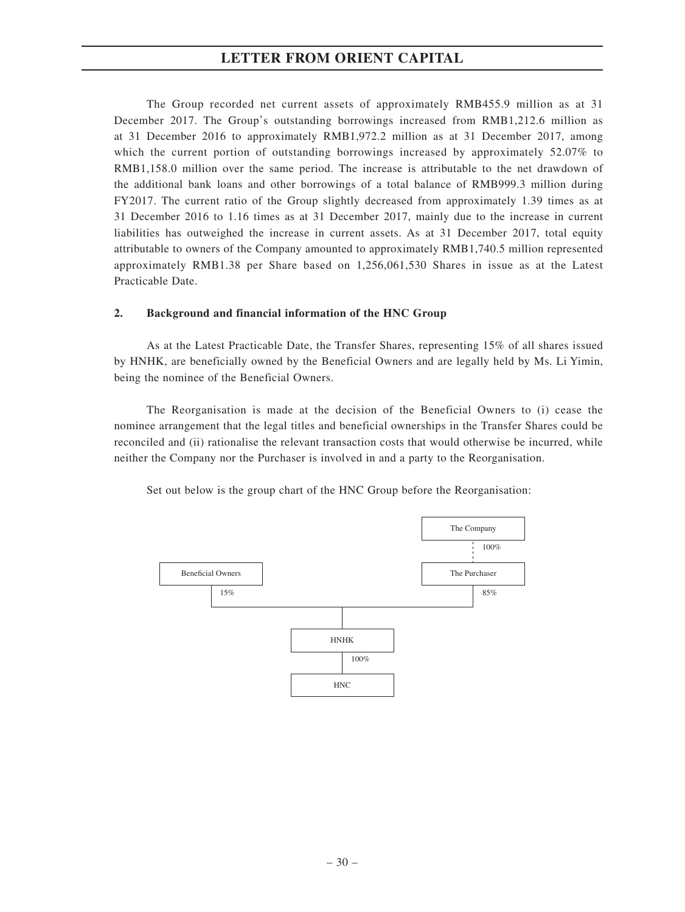The Group recorded net current assets of approximately RMB455.9 million as at 31 December 2017. The Group's outstanding borrowings increased from RMB1,212.6 million as at 31 December 2016 to approximately RMB1,972.2 million as at 31 December 2017, among which the current portion of outstanding borrowings increased by approximately 52.07% to RMB1,158.0 million over the same period. The increase is attributable to the net drawdown of the additional bank loans and other borrowings of a total balance of RMB999.3 million during FY2017. The current ratio of the Group slightly decreased from approximately 1.39 times as at 31 December 2016 to 1.16 times as at 31 December 2017, mainly due to the increase in current liabilities has outweighed the increase in current assets. As at 31 December 2017, total equity attributable to owners of the Company amounted to approximately RMB1,740.5 million represented approximately RMB1.38 per Share based on 1,256,061,530 Shares in issue as at the Latest Practicable Date.

# **2. Background and financial information of the HNC Group**

As at the Latest Practicable Date, the Transfer Shares, representing 15% of all shares issued by HNHK, are beneficially owned by the Beneficial Owners and are legally held by Ms. Li Yimin, being the nominee of the Beneficial Owners.

The Reorganisation is made at the decision of the Beneficial Owners to (i) cease the nominee arrangement that the legal titles and beneficial ownerships in the Transfer Shares could be reconciled and (ii) rationalise the relevant transaction costs that would otherwise be incurred, while neither the Company nor the Purchaser is involved in and a party to the Reorganisation.

Set out below is the group chart of the HNC Group before the Reorganisation:

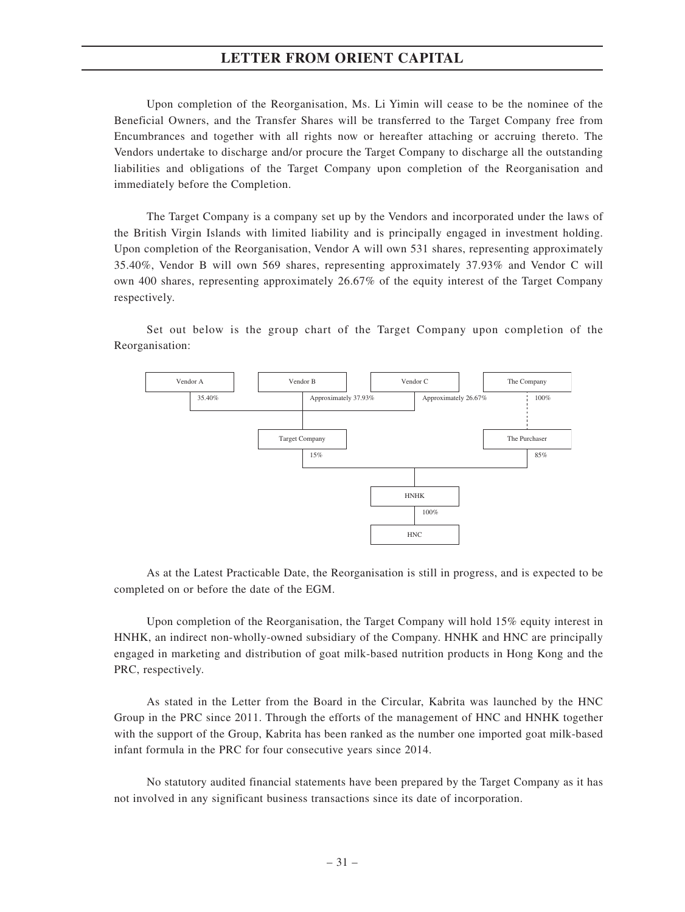Upon completion of the Reorganisation, Ms. Li Yimin will cease to be the nominee of the Beneficial Owners, and the Transfer Shares will be transferred to the Target Company free from Encumbrances and together with all rights now or hereafter attaching or accruing thereto. The Vendors undertake to discharge and/or procure the Target Company to discharge all the outstanding liabilities and obligations of the Target Company upon completion of the Reorganisation and immediately before the Completion.

The Target Company is a company set up by the Vendors and incorporated under the laws of the British Virgin Islands with limited liability and is principally engaged in investment holding. Upon completion of the Reorganisation, Vendor A will own 531 shares, representing approximately 35.40%, Vendor B will own 569 shares, representing approximately 37.93% and Vendor C will own 400 shares, representing approximately 26.67% of the equity interest of the Target Company respectively.

Set out below is the group chart of the Target Company upon completion of the Reorganisation:



As at the Latest Practicable Date, the Reorganisation is still in progress, and is expected to be completed on or before the date of the EGM.

Upon completion of the Reorganisation, the Target Company will hold 15% equity interest in HNHK, an indirect non-wholly-owned subsidiary of the Company. HNHK and HNC are principally engaged in marketing and distribution of goat milk-based nutrition products in Hong Kong and the PRC, respectively.

As stated in the Letter from the Board in the Circular, Kabrita was launched by the HNC Group in the PRC since 2011. Through the efforts of the management of HNC and HNHK together with the support of the Group, Kabrita has been ranked as the number one imported goat milk-based infant formula in the PRC for four consecutive years since 2014.

No statutory audited financial statements have been prepared by the Target Company as it has not involved in any significant business transactions since its date of incorporation.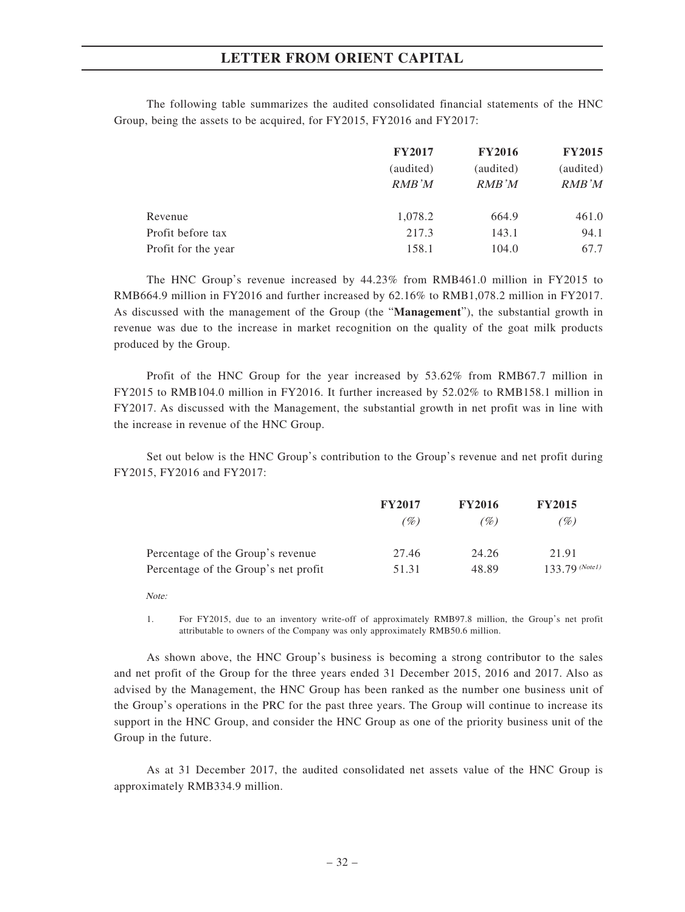The following table summarizes the audited consolidated financial statements of the HNC Group, being the assets to be acquired, for FY2015, FY2016 and FY2017:

|                     | <b>FY2017</b> | <b>FY2016</b> | <b>FY2015</b> |
|---------------------|---------------|---------------|---------------|
|                     | (audited)     | (audited)     | (audited)     |
|                     | RMB'M         | RMB'M         | RMB'M         |
| Revenue             | 1,078.2       | 664.9         | 461.0         |
| Profit before tax   | 217.3         | 143.1         | 94.1          |
| Profit for the year | 158.1         | 104.0         | 67.7          |

The HNC Group's revenue increased by 44.23% from RMB461.0 million in FY2015 to RMB664.9 million in FY2016 and further increased by 62.16% to RMB1,078.2 million in FY2017. As discussed with the management of the Group (the "**Management**"), the substantial growth in revenue was due to the increase in market recognition on the quality of the goat milk products produced by the Group.

Profit of the HNC Group for the year increased by 53.62% from RMB67.7 million in FY2015 to RMB104.0 million in FY2016. It further increased by 52.02% to RMB158.1 million in FY2017. As discussed with the Management, the substantial growth in net profit was in line with the increase in revenue of the HNC Group.

Set out below is the HNC Group's contribution to the Group's revenue and net profit during FY2015, FY2016 and FY2017:

|                                      | <b>FY2017</b> | <b>FY2016</b> | <b>FY2015</b>    |
|--------------------------------------|---------------|---------------|------------------|
|                                      | (%)           | (%)           | (%)              |
| Percentage of the Group's revenue    | 27.46         | 24.26         | 21.91            |
| Percentage of the Group's net profit | 51.31         | 48.89         | $133.79$ (Note1) |

Note:

1. For FY2015, due to an inventory write-off of approximately RMB97.8 million, the Group's net profit attributable to owners of the Company was only approximately RMB50.6 million.

As shown above, the HNC Group's business is becoming a strong contributor to the sales and net profit of the Group for the three years ended 31 December 2015, 2016 and 2017. Also as advised by the Management, the HNC Group has been ranked as the number one business unit of the Group's operations in the PRC for the past three years. The Group will continue to increase its support in the HNC Group, and consider the HNC Group as one of the priority business unit of the Group in the future.

As at 31 December 2017, the audited consolidated net assets value of the HNC Group is approximately RMB334.9 million.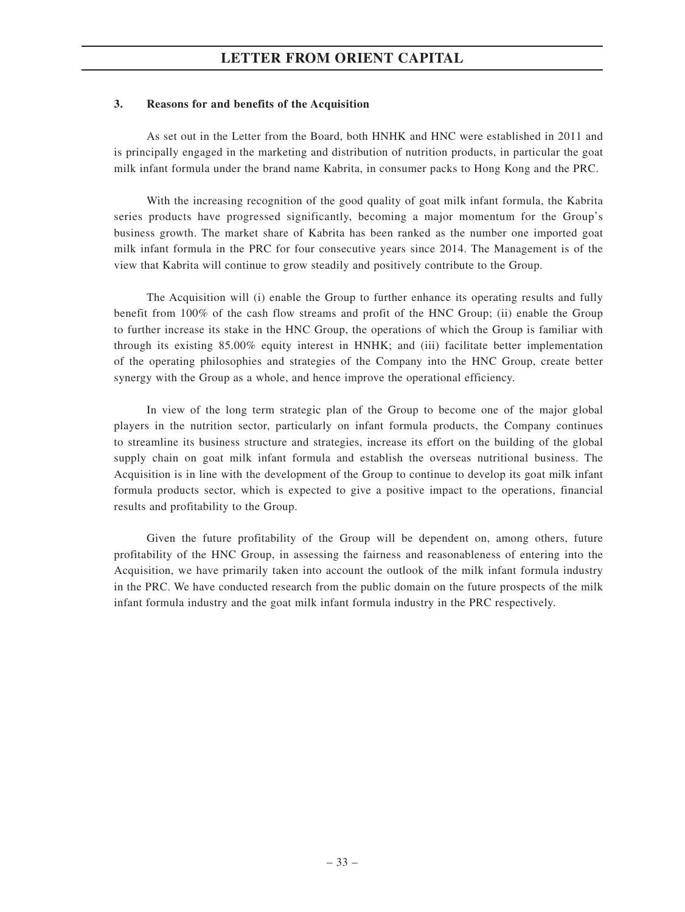### **3. Reasons for and benefits of the Acquisition**

As set out in the Letter from the Board, both HNHK and HNC were established in 2011 and is principally engaged in the marketing and distribution of nutrition products, in particular the goat milk infant formula under the brand name Kabrita, in consumer packs to Hong Kong and the PRC.

With the increasing recognition of the good quality of goat milk infant formula, the Kabrita series products have progressed significantly, becoming a major momentum for the Group's business growth. The market share of Kabrita has been ranked as the number one imported goat milk infant formula in the PRC for four consecutive years since 2014. The Management is of the view that Kabrita will continue to grow steadily and positively contribute to the Group.

The Acquisition will (i) enable the Group to further enhance its operating results and fully benefit from 100% of the cash flow streams and profit of the HNC Group; (ii) enable the Group to further increase its stake in the HNC Group, the operations of which the Group is familiar with through its existing 85.00% equity interest in HNHK; and (iii) facilitate better implementation of the operating philosophies and strategies of the Company into the HNC Group, create better synergy with the Group as a whole, and hence improve the operational efficiency.

In view of the long term strategic plan of the Group to become one of the major global players in the nutrition sector, particularly on infant formula products, the Company continues to streamline its business structure and strategies, increase its effort on the building of the global supply chain on goat milk infant formula and establish the overseas nutritional business. The Acquisition is in line with the development of the Group to continue to develop its goat milk infant formula products sector, which is expected to give a positive impact to the operations, financial results and profitability to the Group.

Given the future profitability of the Group will be dependent on, among others, future profitability of the HNC Group, in assessing the fairness and reasonableness of entering into the Acquisition, we have primarily taken into account the outlook of the milk infant formula industry in the PRC. We have conducted research from the public domain on the future prospects of the milk infant formula industry and the goat milk infant formula industry in the PRC respectively.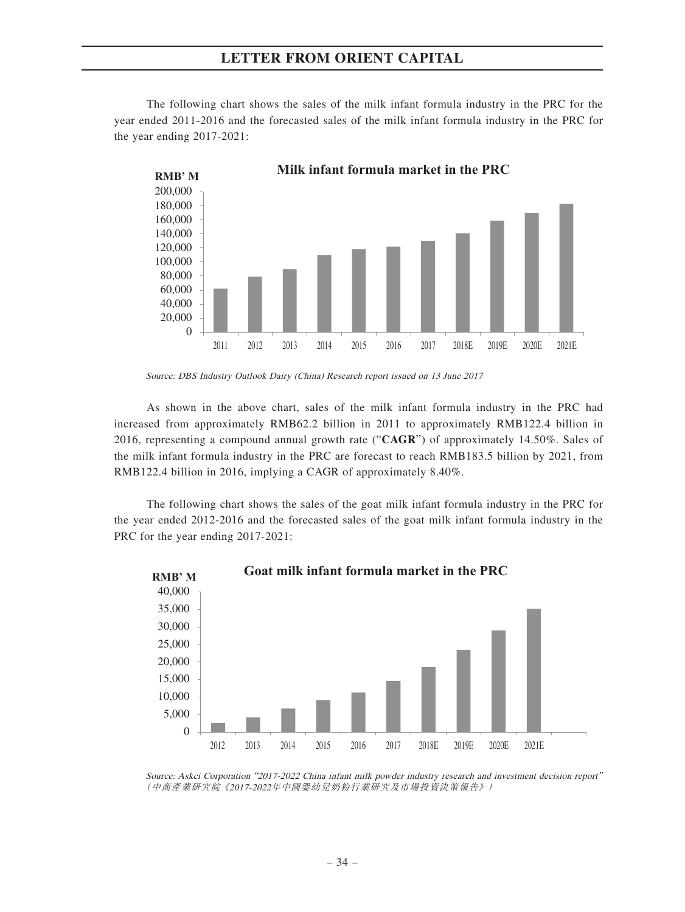The following chart shows the sales of the milk infant formula industry in the PRC for the year ended 2011-2016 and the forecasted sales of the milk infant formula industry in the PRC for the year ending 2017-2021:



Source: DBS Industry Outlook Dairy (China) Research report issued on 13 June 2017

As shown in the above chart, sales of the milk infant formula industry in the PRC had increased from approximately RMB62.2 billion in 2011 to approximately RMB122.4 billion in 2016, representing a compound annual growth rate ("**CAGR**") of approximately 14.50%. Sales of the milk infant formula industry in the PRC are forecast to reach RMB183.5 billion by 2021, from RMB122.4 billion in 2016, implying a CAGR of approximately 8.40%.

The following chart shows the sales of the goat milk infant formula industry in the PRC for the year ended 2012-2016 and the forecasted sales of the goat milk infant formula industry in the PRC for the year ending 2017-2021:



Source: Askci Corporation "2017-2022 China infant milk powder industry research and investment decision report" (中商產業研究院《2017-2022年中國嬰幼兒奶粉行業研究及市場投資決策報告》)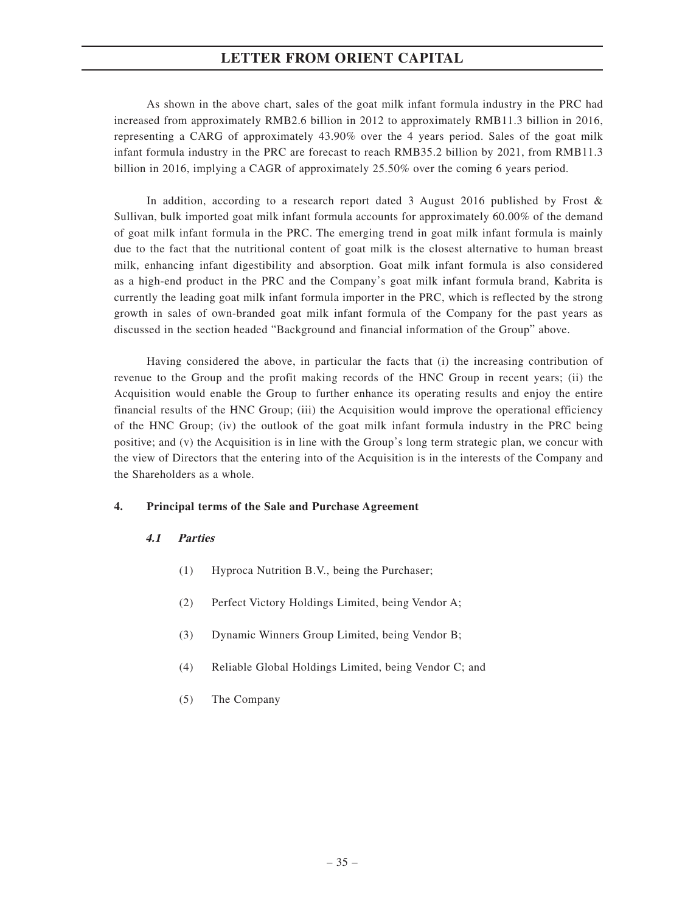As shown in the above chart, sales of the goat milk infant formula industry in the PRC had increased from approximately RMB2.6 billion in 2012 to approximately RMB11.3 billion in 2016, representing a CARG of approximately 43.90% over the 4 years period. Sales of the goat milk infant formula industry in the PRC are forecast to reach RMB35.2 billion by 2021, from RMB11.3 billion in 2016, implying a CAGR of approximately 25.50% over the coming 6 years period.

In addition, according to a research report dated 3 August 2016 published by Frost & Sullivan, bulk imported goat milk infant formula accounts for approximately 60.00% of the demand of goat milk infant formula in the PRC. The emerging trend in goat milk infant formula is mainly due to the fact that the nutritional content of goat milk is the closest alternative to human breast milk, enhancing infant digestibility and absorption. Goat milk infant formula is also considered as a high-end product in the PRC and the Company's goat milk infant formula brand, Kabrita is currently the leading goat milk infant formula importer in the PRC, which is reflected by the strong growth in sales of own-branded goat milk infant formula of the Company for the past years as discussed in the section headed "Background and financial information of the Group" above.

Having considered the above, in particular the facts that (i) the increasing contribution of revenue to the Group and the profit making records of the HNC Group in recent years; (ii) the Acquisition would enable the Group to further enhance its operating results and enjoy the entire financial results of the HNC Group; (iii) the Acquisition would improve the operational efficiency of the HNC Group; (iv) the outlook of the goat milk infant formula industry in the PRC being positive; and (v) the Acquisition is in line with the Group's long term strategic plan, we concur with the view of Directors that the entering into of the Acquisition is in the interests of the Company and the Shareholders as a whole.

### **4. Principal terms of the Sale and Purchase Agreement**

# **4.1 Parties**

- (1) Hyproca Nutrition B.V., being the Purchaser;
- (2) Perfect Victory Holdings Limited, being Vendor A;
- (3) Dynamic Winners Group Limited, being Vendor B;
- (4) Reliable Global Holdings Limited, being Vendor C; and
- (5) The Company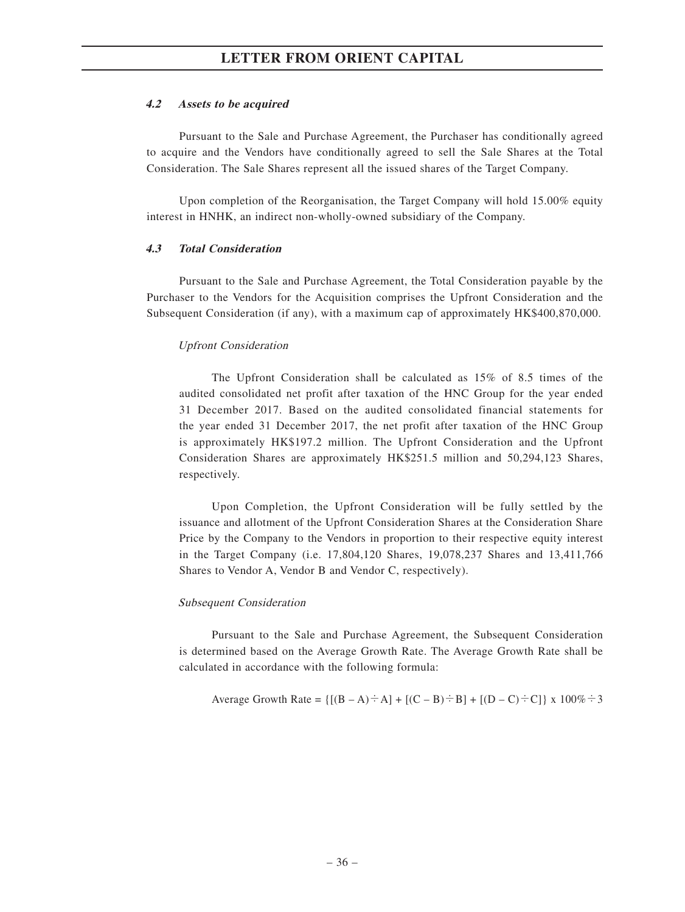#### **4.2 Assets to be acquired**

Pursuant to the Sale and Purchase Agreement, the Purchaser has conditionally agreed to acquire and the Vendors have conditionally agreed to sell the Sale Shares at the Total Consideration. The Sale Shares represent all the issued shares of the Target Company.

Upon completion of the Reorganisation, the Target Company will hold 15.00% equity interest in HNHK, an indirect non-wholly-owned subsidiary of the Company.

#### **4.3 Total Consideration**

Pursuant to the Sale and Purchase Agreement, the Total Consideration payable by the Purchaser to the Vendors for the Acquisition comprises the Upfront Consideration and the Subsequent Consideration (if any), with a maximum cap of approximately HK\$400,870,000.

#### Upfront Consideration

The Upfront Consideration shall be calculated as 15% of 8.5 times of the audited consolidated net profit after taxation of the HNC Group for the year ended 31 December 2017. Based on the audited consolidated financial statements for the year ended 31 December 2017, the net profit after taxation of the HNC Group is approximately HK\$197.2 million. The Upfront Consideration and the Upfront Consideration Shares are approximately HK\$251.5 million and 50,294,123 Shares, respectively.

Upon Completion, the Upfront Consideration will be fully settled by the issuance and allotment of the Upfront Consideration Shares at the Consideration Share Price by the Company to the Vendors in proportion to their respective equity interest in the Target Company (i.e. 17,804,120 Shares, 19,078,237 Shares and 13,411,766 Shares to Vendor A, Vendor B and Vendor C, respectively).

#### Subsequent Consideration

Pursuant to the Sale and Purchase Agreement, the Subsequent Consideration is determined based on the Average Growth Rate. The Average Growth Rate shall be calculated in accordance with the following formula:

Average Growth Rate = 
$$
\{[(B - A) \div A] + [(C - B) \div B] + [(D - C) \div C]\}
$$
 x 100%  $\div 3$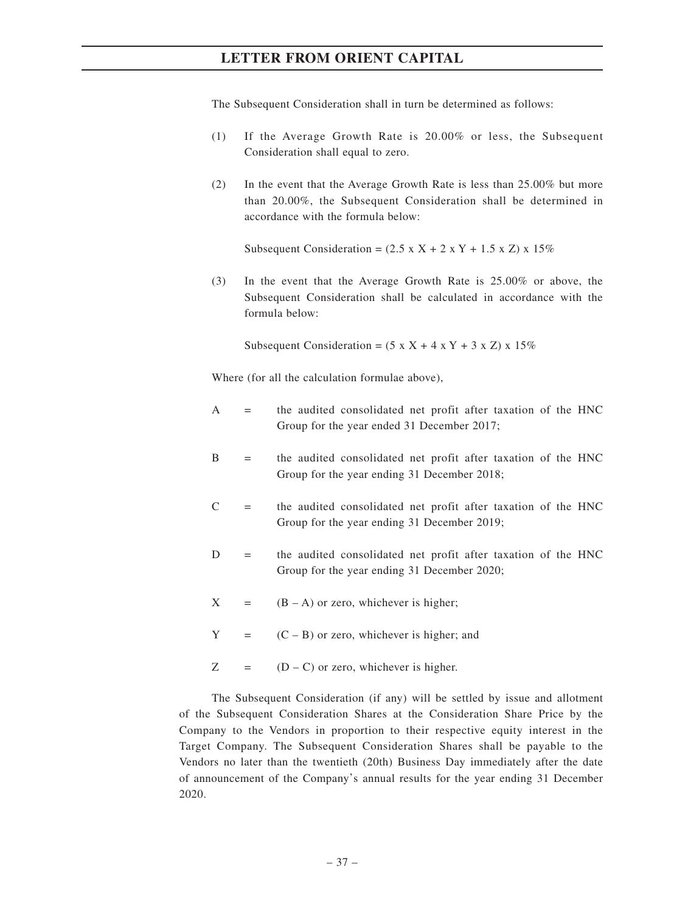The Subsequent Consideration shall in turn be determined as follows:

- (1) If the Average Growth Rate is 20.00% or less, the Subsequent Consideration shall equal to zero.
- (2) In the event that the Average Growth Rate is less than 25.00% but more than 20.00%, the Subsequent Consideration shall be determined in accordance with the formula below:

Subsequent Consideration =  $(2.5 \times X + 2 \times Y + 1.5 \times Z) \times 15\%$ 

(3) In the event that the Average Growth Rate is 25.00% or above, the Subsequent Consideration shall be calculated in accordance with the formula below:

Subsequent Consideration =  $(5 \times X + 4 \times Y + 3 \times Z) \times 15\%$ 

Where (for all the calculation formulae above),

- $A =$  the audited consolidated net profit after taxation of the HNC Group for the year ended 31 December 2017;
- B = the audited consolidated net profit after taxation of the HNC Group for the year ending 31 December 2018;
- $C =$  the audited consolidated net profit after taxation of the HNC Group for the year ending 31 December 2019;
- D = the audited consolidated net profit after taxation of the HNC Group for the year ending 31 December 2020;
- $X = (B A)$  or zero, whichever is higher;
- $Y = (C B)$  or zero, whichever is higher; and
- $Z = (D C)$  or zero, whichever is higher.

The Subsequent Consideration (if any) will be settled by issue and allotment of the Subsequent Consideration Shares at the Consideration Share Price by the Company to the Vendors in proportion to their respective equity interest in the Target Company. The Subsequent Consideration Shares shall be payable to the Vendors no later than the twentieth (20th) Business Day immediately after the date of announcement of the Company's annual results for the year ending 31 December 2020.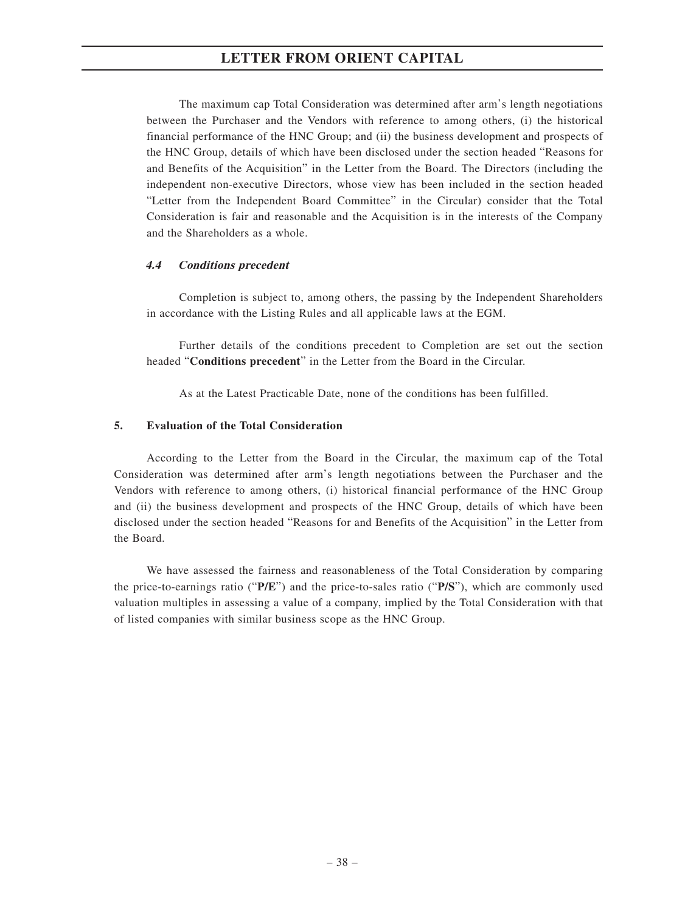The maximum cap Total Consideration was determined after arm's length negotiations between the Purchaser and the Vendors with reference to among others, (i) the historical financial performance of the HNC Group; and (ii) the business development and prospects of the HNC Group, details of which have been disclosed under the section headed "Reasons for and Benefits of the Acquisition" in the Letter from the Board. The Directors (including the independent non-executive Directors, whose view has been included in the section headed "Letter from the Independent Board Committee" in the Circular) consider that the Total Consideration is fair and reasonable and the Acquisition is in the interests of the Company and the Shareholders as a whole.

#### **4.4 Conditions precedent**

Completion is subject to, among others, the passing by the Independent Shareholders in accordance with the Listing Rules and all applicable laws at the EGM.

Further details of the conditions precedent to Completion are set out the section headed "**Conditions precedent**" in the Letter from the Board in the Circular.

As at the Latest Practicable Date, none of the conditions has been fulfilled.

#### **5. Evaluation of the Total Consideration**

According to the Letter from the Board in the Circular, the maximum cap of the Total Consideration was determined after arm's length negotiations between the Purchaser and the Vendors with reference to among others, (i) historical financial performance of the HNC Group and (ii) the business development and prospects of the HNC Group, details of which have been disclosed under the section headed "Reasons for and Benefits of the Acquisition" in the Letter from the Board.

We have assessed the fairness and reasonableness of the Total Consideration by comparing the price-to-earnings ratio ("**P/E**") and the price-to-sales ratio ("**P/S**"), which are commonly used valuation multiples in assessing a value of a company, implied by the Total Consideration with that of listed companies with similar business scope as the HNC Group.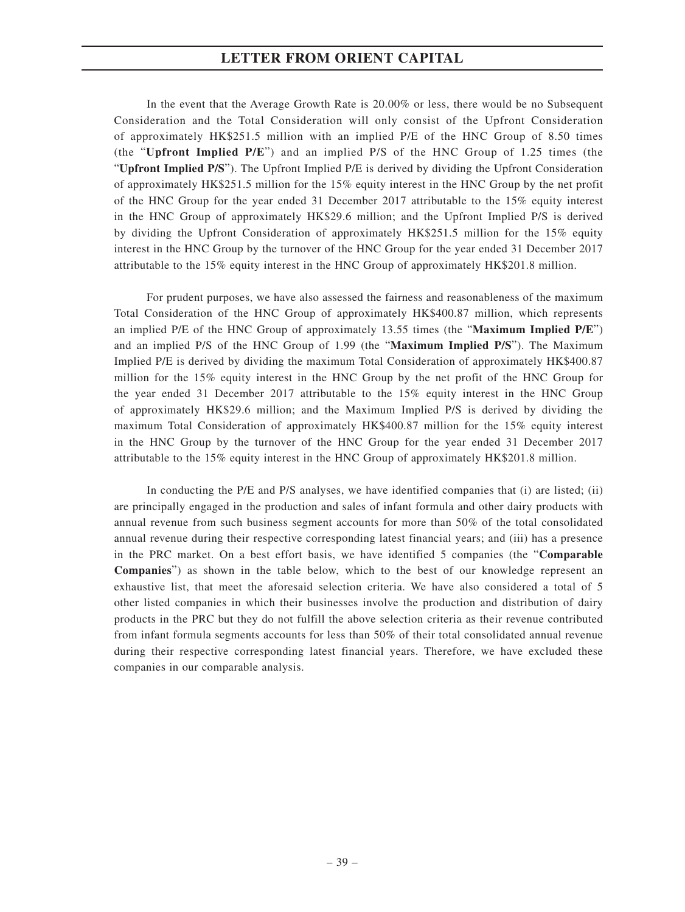In the event that the Average Growth Rate is 20.00% or less, there would be no Subsequent Consideration and the Total Consideration will only consist of the Upfront Consideration of approximately HK\$251.5 million with an implied P/E of the HNC Group of 8.50 times (the "**Upfront Implied P/E**") and an implied P/S of the HNC Group of 1.25 times (the "**Upfront Implied P/S**"). The Upfront Implied P/E is derived by dividing the Upfront Consideration of approximately HK\$251.5 million for the 15% equity interest in the HNC Group by the net profit of the HNC Group for the year ended 31 December 2017 attributable to the 15% equity interest in the HNC Group of approximately HK\$29.6 million; and the Upfront Implied P/S is derived by dividing the Upfront Consideration of approximately HK\$251.5 million for the 15% equity interest in the HNC Group by the turnover of the HNC Group for the year ended 31 December 2017 attributable to the 15% equity interest in the HNC Group of approximately HK\$201.8 million.

For prudent purposes, we have also assessed the fairness and reasonableness of the maximum Total Consideration of the HNC Group of approximately HK\$400.87 million, which represents an implied P/E of the HNC Group of approximately 13.55 times (the "**Maximum Implied P/E**") and an implied P/S of the HNC Group of 1.99 (the "**Maximum Implied P/S**"). The Maximum Implied P/E is derived by dividing the maximum Total Consideration of approximately HK\$400.87 million for the 15% equity interest in the HNC Group by the net profit of the HNC Group for the year ended 31 December 2017 attributable to the 15% equity interest in the HNC Group of approximately HK\$29.6 million; and the Maximum Implied P/S is derived by dividing the maximum Total Consideration of approximately HK\$400.87 million for the 15% equity interest in the HNC Group by the turnover of the HNC Group for the year ended 31 December 2017 attributable to the 15% equity interest in the HNC Group of approximately HK\$201.8 million.

In conducting the P/E and P/S analyses, we have identified companies that (i) are listed; (ii) are principally engaged in the production and sales of infant formula and other dairy products with annual revenue from such business segment accounts for more than 50% of the total consolidated annual revenue during their respective corresponding latest financial years; and (iii) has a presence in the PRC market. On a best effort basis, we have identified 5 companies (the "**Comparable Companies**") as shown in the table below, which to the best of our knowledge represent an exhaustive list, that meet the aforesaid selection criteria. We have also considered a total of 5 other listed companies in which their businesses involve the production and distribution of dairy products in the PRC but they do not fulfill the above selection criteria as their revenue contributed from infant formula segments accounts for less than 50% of their total consolidated annual revenue during their respective corresponding latest financial years. Therefore, we have excluded these companies in our comparable analysis.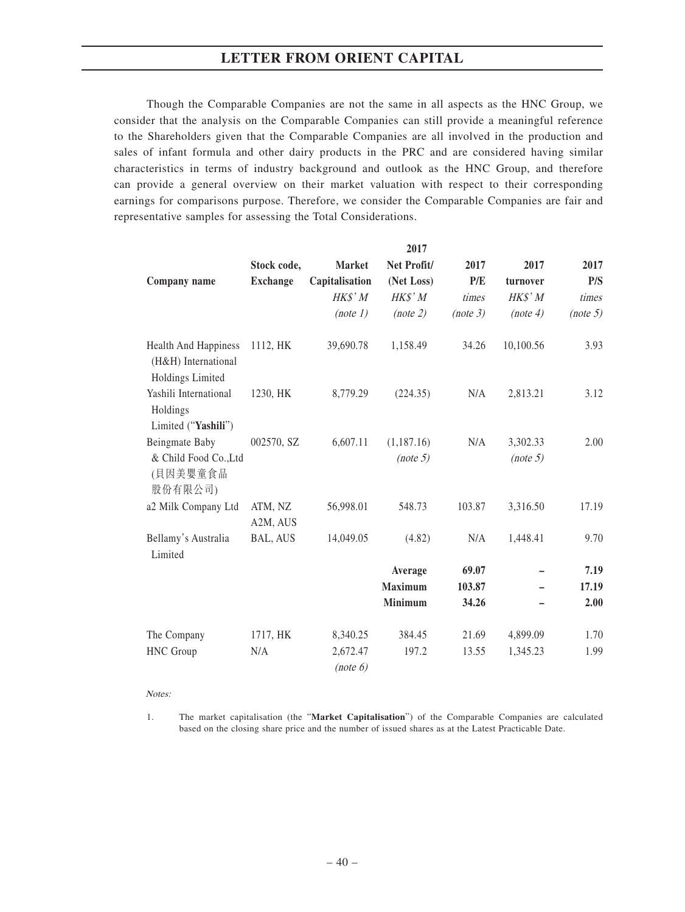Though the Comparable Companies are not the same in all aspects as the HNC Group, we consider that the analysis on the Comparable Companies can still provide a meaningful reference to the Shareholders given that the Comparable Companies are all involved in the production and sales of infant formula and other dairy products in the PRC and are considered having similar characteristics in terms of industry background and outlook as the HNC Group, and therefore can provide a general overview on their market valuation with respect to their corresponding earnings for comparisons purpose. Therefore, we consider the Comparable Companies are fair and representative samples for assessing the Total Considerations.

|                                                                        |                     |                      | 2017                   |          |                      |          |
|------------------------------------------------------------------------|---------------------|----------------------|------------------------|----------|----------------------|----------|
|                                                                        | Stock code,         | <b>Market</b>        | Net Profit/            | 2017     | 2017                 | 2017     |
| Company name                                                           | <b>Exchange</b>     | Capitalisation       | (Net Loss)             | P/E      | turnover             | P/S      |
|                                                                        |                     | HK\$' M              | HK\$' M                | times    | HK\$' M              | times    |
|                                                                        |                     | (note 1)             | (note 2)               | (note 3) | (note 4)             | (note 5) |
| <b>Health And Happiness</b><br>(H&H) International<br>Holdings Limited | 1112, HK            | 39,690.78            | 1,158.49               | 34.26    | 10,100.56            | 3.93     |
| Yashili International<br>Holdings<br>Limited ("Yashili")               | 1230, HK            | 8,779.29             | (224.35)               | N/A      | 2,813.21             | 3.12     |
| Beingmate Baby<br>& Child Food Co., Ltd<br>(貝因美嬰童食品<br>股份有限公司)         | 002570, SZ          | 6,607.11             | (1,187.16)<br>(note 5) | N/A      | 3,302.33<br>(note 5) | 2.00     |
| a2 Milk Company Ltd                                                    | ATM, NZ<br>A2M, AUS | 56,998.01            | 548.73                 | 103.87   | 3,316.50             | 17.19    |
| Bellamy's Australia<br>Limited                                         | BAL, AUS            | 14,049.05            | (4.82)                 | N/A      | 1,448.41             | 9.70     |
|                                                                        |                     |                      | Average                | 69.07    |                      | 7.19     |
|                                                                        |                     |                      | <b>Maximum</b>         | 103.87   |                      | 17.19    |
|                                                                        |                     |                      | <b>Minimum</b>         | 34.26    |                      | 2.00     |
| The Company                                                            | 1717, HK            | 8,340.25             | 384.45                 | 21.69    | 4,899.09             | 1.70     |
| HNC Group                                                              | N/A                 | 2,672.47<br>(note 6) | 197.2                  | 13.55    | 1,345.23             | 1.99     |

Notes:

1. The market capitalisation (the "**Market Capitalisation**") of the Comparable Companies are calculated based on the closing share price and the number of issued shares as at the Latest Practicable Date.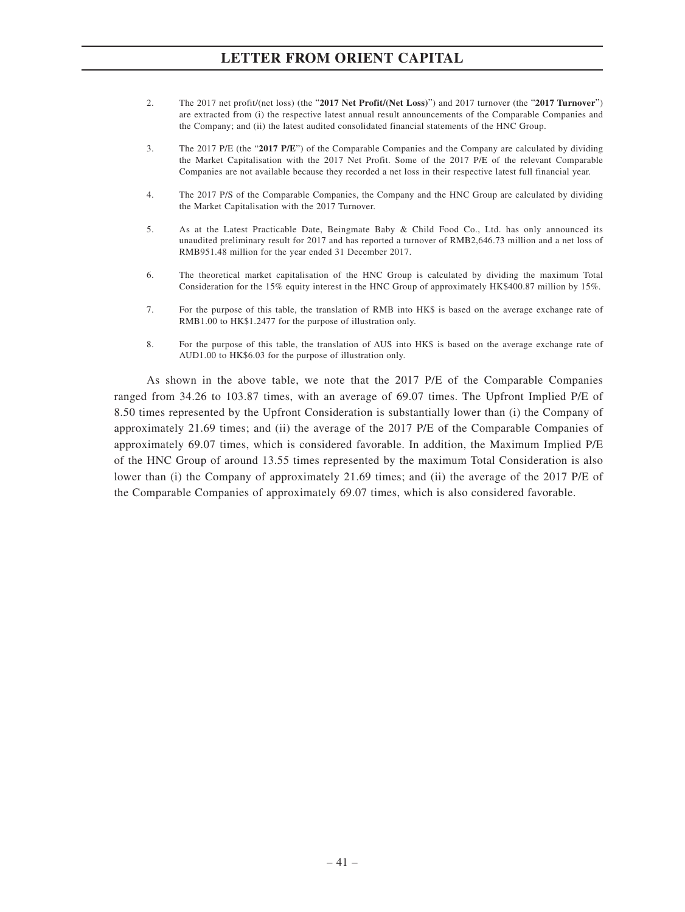- 2. The 2017 net profit/(net loss) (the "**2017 Net Profit/(Net Loss)**") and 2017 turnover (the "**2017 Turnover**") are extracted from (i) the respective latest annual result announcements of the Comparable Companies and the Company; and (ii) the latest audited consolidated financial statements of the HNC Group.
- 3. The 2017 P/E (the "**2017 P/E**") of the Comparable Companies and the Company are calculated by dividing the Market Capitalisation with the 2017 Net Profit. Some of the 2017 P/E of the relevant Comparable Companies are not available because they recorded a net loss in their respective latest full financial year.
- 4. The 2017 P/S of the Comparable Companies, the Company and the HNC Group are calculated by dividing the Market Capitalisation with the 2017 Turnover.
- 5. As at the Latest Practicable Date, Beingmate Baby & Child Food Co., Ltd. has only announced its unaudited preliminary result for 2017 and has reported a turnover of RMB2,646.73 million and a net loss of RMB951.48 million for the year ended 31 December 2017.
- 6. The theoretical market capitalisation of the HNC Group is calculated by dividing the maximum Total Consideration for the 15% equity interest in the HNC Group of approximately HK\$400.87 million by 15%.
- 7. For the purpose of this table, the translation of RMB into HK\$ is based on the average exchange rate of RMB1.00 to HK\$1.2477 for the purpose of illustration only.
- 8. For the purpose of this table, the translation of AUS into HK\$ is based on the average exchange rate of AUD1.00 to HK\$6.03 for the purpose of illustration only.

As shown in the above table, we note that the 2017 P/E of the Comparable Companies ranged from 34.26 to 103.87 times, with an average of 69.07 times. The Upfront Implied P/E of 8.50 times represented by the Upfront Consideration is substantially lower than (i) the Company of approximately 21.69 times; and (ii) the average of the 2017 P/E of the Comparable Companies of approximately 69.07 times, which is considered favorable. In addition, the Maximum Implied P/E of the HNC Group of around 13.55 times represented by the maximum Total Consideration is also lower than (i) the Company of approximately 21.69 times; and (ii) the average of the 2017 P/E of the Comparable Companies of approximately 69.07 times, which is also considered favorable.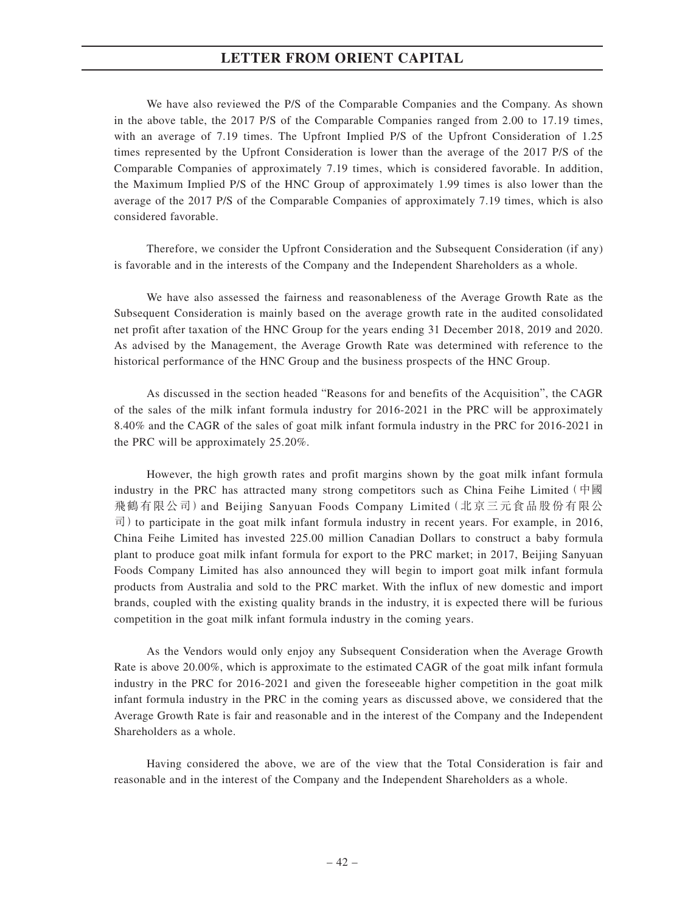We have also reviewed the P/S of the Comparable Companies and the Company. As shown in the above table, the 2017 P/S of the Comparable Companies ranged from 2.00 to 17.19 times, with an average of 7.19 times. The Upfront Implied P/S of the Upfront Consideration of 1.25 times represented by the Upfront Consideration is lower than the average of the 2017 P/S of the Comparable Companies of approximately 7.19 times, which is considered favorable. In addition, the Maximum Implied P/S of the HNC Group of approximately 1.99 times is also lower than the average of the 2017 P/S of the Comparable Companies of approximately 7.19 times, which is also considered favorable.

Therefore, we consider the Upfront Consideration and the Subsequent Consideration (if any) is favorable and in the interests of the Company and the Independent Shareholders as a whole.

We have also assessed the fairness and reasonableness of the Average Growth Rate as the Subsequent Consideration is mainly based on the average growth rate in the audited consolidated net profit after taxation of the HNC Group for the years ending 31 December 2018, 2019 and 2020. As advised by the Management, the Average Growth Rate was determined with reference to the historical performance of the HNC Group and the business prospects of the HNC Group.

As discussed in the section headed "Reasons for and benefits of the Acquisition", the CAGR of the sales of the milk infant formula industry for 2016-2021 in the PRC will be approximately 8.40% and the CAGR of the sales of goat milk infant formula industry in the PRC for 2016-2021 in the PRC will be approximately 25.20%.

However, the high growth rates and profit margins shown by the goat milk infant formula industry in the PRC has attracted many strong competitors such as China Feihe Limited  $(中國)$ 飛鶴有限公司)and Beijing Sanyuan Foods Company Limited(北京三元食品股份有限公  $\overline{\text{d}}$ ) to participate in the goat milk infant formula industry in recent years. For example, in 2016, China Feihe Limited has invested 225.00 million Canadian Dollars to construct a baby formula plant to produce goat milk infant formula for export to the PRC market; in 2017, Beijing Sanyuan Foods Company Limited has also announced they will begin to import goat milk infant formula products from Australia and sold to the PRC market. With the influx of new domestic and import brands, coupled with the existing quality brands in the industry, it is expected there will be furious competition in the goat milk infant formula industry in the coming years.

As the Vendors would only enjoy any Subsequent Consideration when the Average Growth Rate is above 20.00%, which is approximate to the estimated CAGR of the goat milk infant formula industry in the PRC for 2016-2021 and given the foreseeable higher competition in the goat milk infant formula industry in the PRC in the coming years as discussed above, we considered that the Average Growth Rate is fair and reasonable and in the interest of the Company and the Independent Shareholders as a whole.

Having considered the above, we are of the view that the Total Consideration is fair and reasonable and in the interest of the Company and the Independent Shareholders as a whole.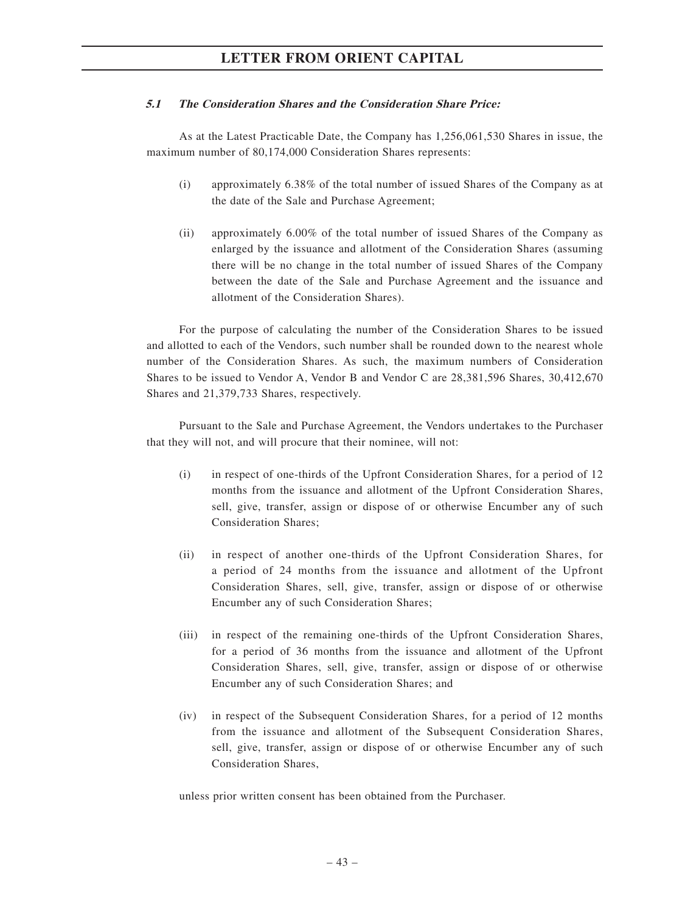## **5.1 The Consideration Shares and the Consideration Share Price:**

As at the Latest Practicable Date, the Company has 1,256,061,530 Shares in issue, the maximum number of 80,174,000 Consideration Shares represents:

- (i) approximately 6.38% of the total number of issued Shares of the Company as at the date of the Sale and Purchase Agreement;
- (ii) approximately 6.00% of the total number of issued Shares of the Company as enlarged by the issuance and allotment of the Consideration Shares (assuming there will be no change in the total number of issued Shares of the Company between the date of the Sale and Purchase Agreement and the issuance and allotment of the Consideration Shares).

For the purpose of calculating the number of the Consideration Shares to be issued and allotted to each of the Vendors, such number shall be rounded down to the nearest whole number of the Consideration Shares. As such, the maximum numbers of Consideration Shares to be issued to Vendor A, Vendor B and Vendor C are 28,381,596 Shares, 30,412,670 Shares and 21,379,733 Shares, respectively.

Pursuant to the Sale and Purchase Agreement, the Vendors undertakes to the Purchaser that they will not, and will procure that their nominee, will not:

- (i) in respect of one-thirds of the Upfront Consideration Shares, for a period of 12 months from the issuance and allotment of the Upfront Consideration Shares, sell, give, transfer, assign or dispose of or otherwise Encumber any of such Consideration Shares;
- (ii) in respect of another one-thirds of the Upfront Consideration Shares, for a period of 24 months from the issuance and allotment of the Upfront Consideration Shares, sell, give, transfer, assign or dispose of or otherwise Encumber any of such Consideration Shares;
- (iii) in respect of the remaining one-thirds of the Upfront Consideration Shares, for a period of 36 months from the issuance and allotment of the Upfront Consideration Shares, sell, give, transfer, assign or dispose of or otherwise Encumber any of such Consideration Shares; and
- (iv) in respect of the Subsequent Consideration Shares, for a period of 12 months from the issuance and allotment of the Subsequent Consideration Shares, sell, give, transfer, assign or dispose of or otherwise Encumber any of such Consideration Shares,

unless prior written consent has been obtained from the Purchaser.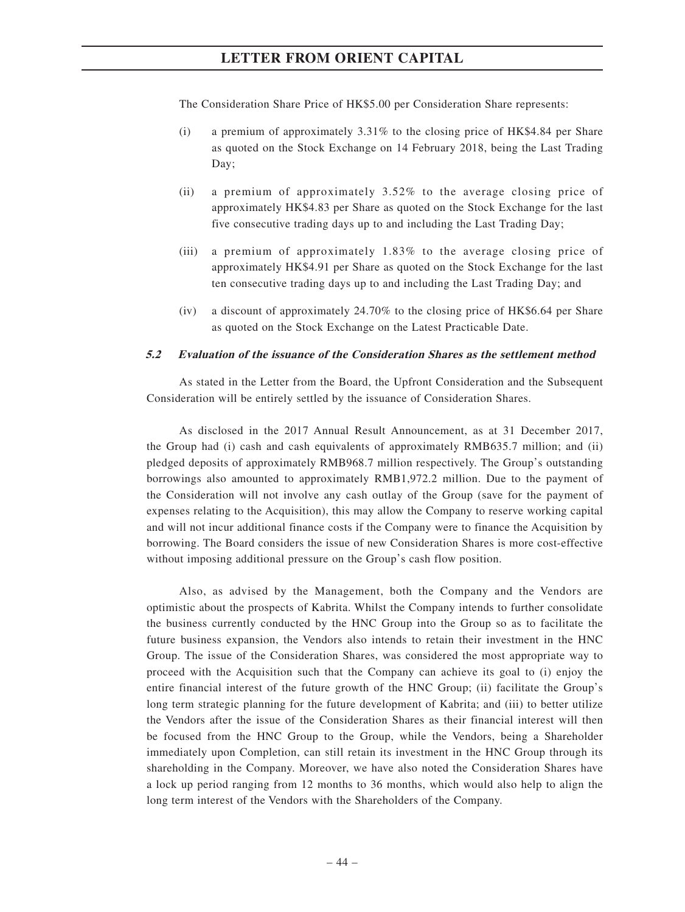The Consideration Share Price of HK\$5.00 per Consideration Share represents:

- (i) a premium of approximately 3.31% to the closing price of HK\$4.84 per Share as quoted on the Stock Exchange on 14 February 2018, being the Last Trading Day;
- (ii) a premium of approximately 3.52% to the average closing price of approximately HK\$4.83 per Share as quoted on the Stock Exchange for the last five consecutive trading days up to and including the Last Trading Day;
- (iii) a premium of approximately 1.83% to the average closing price of approximately HK\$4.91 per Share as quoted on the Stock Exchange for the last ten consecutive trading days up to and including the Last Trading Day; and
- (iv) a discount of approximately 24.70% to the closing price of HK\$6.64 per Share as quoted on the Stock Exchange on the Latest Practicable Date.

#### **5.2 Evaluation of the issuance of the Consideration Shares as the settlement method**

As stated in the Letter from the Board, the Upfront Consideration and the Subsequent Consideration will be entirely settled by the issuance of Consideration Shares.

As disclosed in the 2017 Annual Result Announcement, as at 31 December 2017, the Group had (i) cash and cash equivalents of approximately RMB635.7 million; and (ii) pledged deposits of approximately RMB968.7 million respectively. The Group's outstanding borrowings also amounted to approximately RMB1,972.2 million. Due to the payment of the Consideration will not involve any cash outlay of the Group (save for the payment of expenses relating to the Acquisition), this may allow the Company to reserve working capital and will not incur additional finance costs if the Company were to finance the Acquisition by borrowing. The Board considers the issue of new Consideration Shares is more cost-effective without imposing additional pressure on the Group's cash flow position.

Also, as advised by the Management, both the Company and the Vendors are optimistic about the prospects of Kabrita. Whilst the Company intends to further consolidate the business currently conducted by the HNC Group into the Group so as to facilitate the future business expansion, the Vendors also intends to retain their investment in the HNC Group. The issue of the Consideration Shares, was considered the most appropriate way to proceed with the Acquisition such that the Company can achieve its goal to (i) enjoy the entire financial interest of the future growth of the HNC Group; (ii) facilitate the Group's long term strategic planning for the future development of Kabrita; and (iii) to better utilize the Vendors after the issue of the Consideration Shares as their financial interest will then be focused from the HNC Group to the Group, while the Vendors, being a Shareholder immediately upon Completion, can still retain its investment in the HNC Group through its shareholding in the Company. Moreover, we have also noted the Consideration Shares have a lock up period ranging from 12 months to 36 months, which would also help to align the long term interest of the Vendors with the Shareholders of the Company.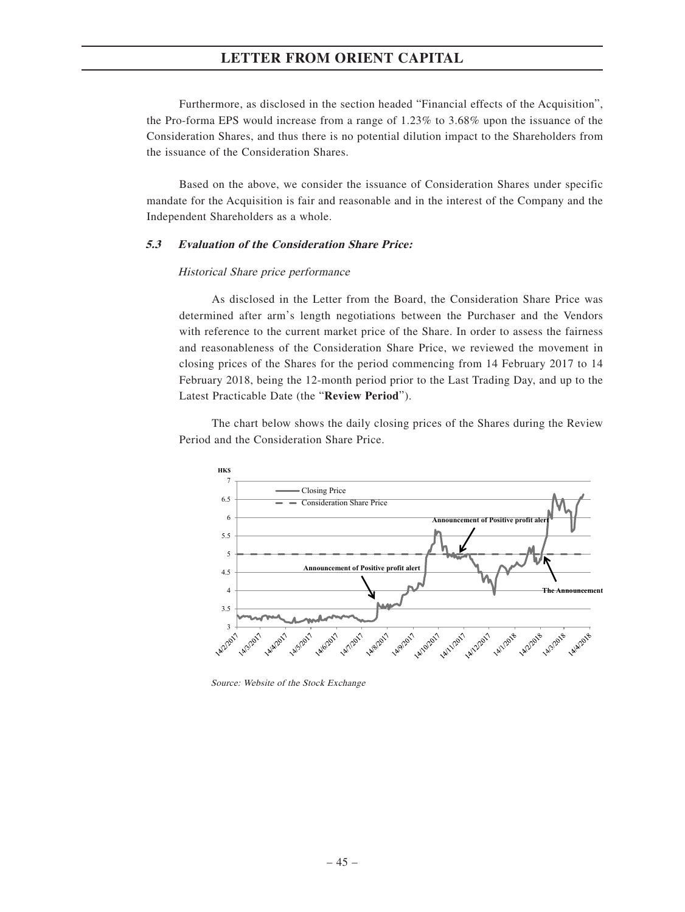Furthermore, as disclosed in the section headed "Financial effects of the Acquisition", the Pro-forma EPS would increase from a range of 1.23% to 3.68% upon the issuance of the Consideration Shares, and thus there is no potential dilution impact to the Shareholders from the issuance of the Consideration Shares.

Based on the above, we consider the issuance of Consideration Shares under specific mandate for the Acquisition is fair and reasonable and in the interest of the Company and the Independent Shareholders as a whole.

## **5.3 Evaluation of the Consideration Share Price:**

#### Historical Share price performance

As disclosed in the Letter from the Board, the Consideration Share Price was determined after arm's length negotiations between the Purchaser and the Vendors with reference to the current market price of the Share. In order to assess the fairness and reasonableness of the Consideration Share Price, we reviewed the movement in closing prices of the Shares for the period commencing from 14 February 2017 to 14 February 2018, being the 12-month period prior to the Last Trading Day, and up to the Latest Practicable Date (the "**Review Period**").

The chart below shows the daily closing prices of the Shares during the Review Period and the Consideration Share Price.



Source: Website of the Stock Exchange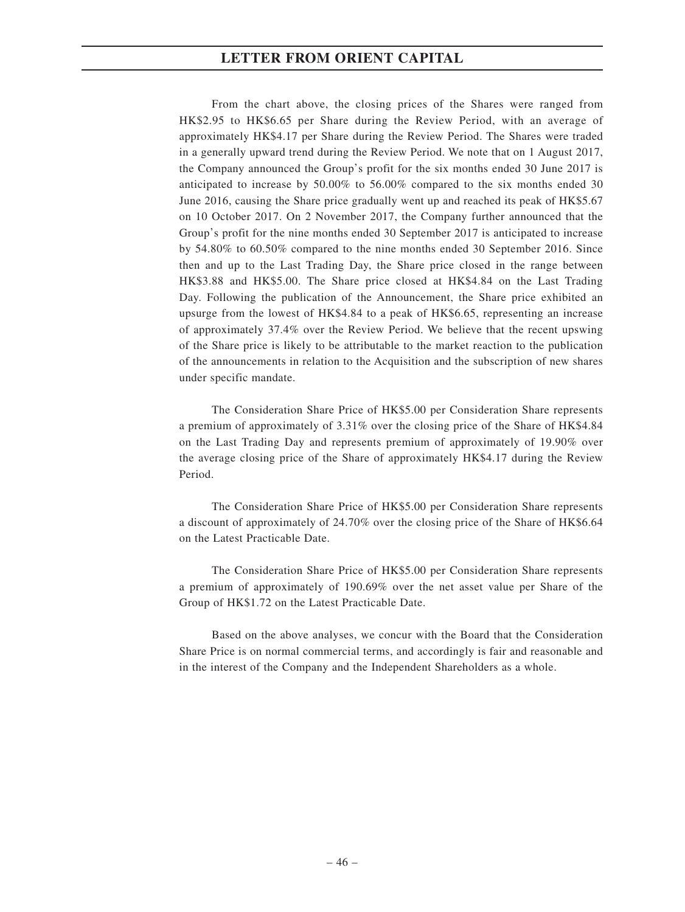From the chart above, the closing prices of the Shares were ranged from HK\$2.95 to HK\$6.65 per Share during the Review Period, with an average of approximately HK\$4.17 per Share during the Review Period. The Shares were traded in a generally upward trend during the Review Period. We note that on 1 August 2017, the Company announced the Group's profit for the six months ended 30 June 2017 is anticipated to increase by 50.00% to 56.00% compared to the six months ended 30 June 2016, causing the Share price gradually went up and reached its peak of HK\$5.67 on 10 October 2017. On 2 November 2017, the Company further announced that the Group's profit for the nine months ended 30 September 2017 is anticipated to increase by 54.80% to 60.50% compared to the nine months ended 30 September 2016. Since then and up to the Last Trading Day, the Share price closed in the range between HK\$3.88 and HK\$5.00. The Share price closed at HK\$4.84 on the Last Trading Day. Following the publication of the Announcement, the Share price exhibited an upsurge from the lowest of HK\$4.84 to a peak of HK\$6.65, representing an increase of approximately 37.4% over the Review Period. We believe that the recent upswing of the Share price is likely to be attributable to the market reaction to the publication of the announcements in relation to the Acquisition and the subscription of new shares under specific mandate.

The Consideration Share Price of HK\$5.00 per Consideration Share represents a premium of approximately of 3.31% over the closing price of the Share of HK\$4.84 on the Last Trading Day and represents premium of approximately of 19.90% over the average closing price of the Share of approximately HK\$4.17 during the Review Period.

The Consideration Share Price of HK\$5.00 per Consideration Share represents a discount of approximately of 24.70% over the closing price of the Share of HK\$6.64 on the Latest Practicable Date.

The Consideration Share Price of HK\$5.00 per Consideration Share represents a premium of approximately of 190.69% over the net asset value per Share of the Group of HK\$1.72 on the Latest Practicable Date.

Based on the above analyses, we concur with the Board that the Consideration Share Price is on normal commercial terms, and accordingly is fair and reasonable and in the interest of the Company and the Independent Shareholders as a whole.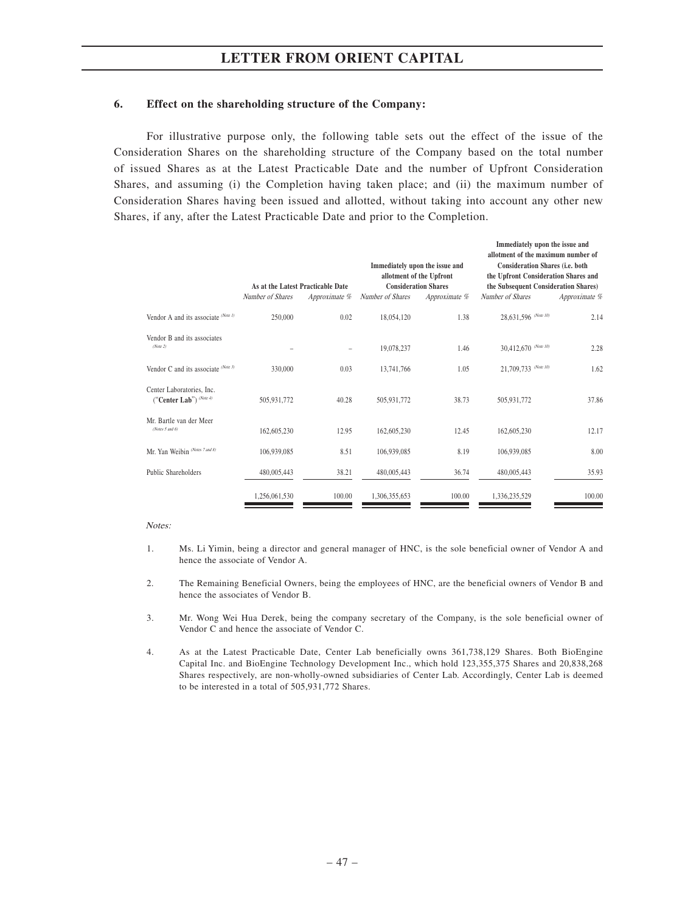# **6. Effect on the shareholding structure of the Company:**

For illustrative purpose only, the following table sets out the effect of the issue of the Consideration Shares on the shareholding structure of the Company based on the total number of issued Shares as at the Latest Practicable Date and the number of Upfront Consideration Shares, and assuming (i) the Completion having taken place; and (ii) the maximum number of Consideration Shares having been issued and allotted, without taking into account any other new Shares, if any, after the Latest Practicable Date and prior to the Completion.

|                                                      | As at the Latest Practicable Date |               | Immediately upon the issue and<br><b>Consideration Shares</b> | allotment of the Upfront | Immediately upon the issue and<br>allotment of the maximum number of<br>Consideration Shares (i.e. both<br>the Upfront Consideration Shares and<br>the Subsequent Consideration Shares) |               |
|------------------------------------------------------|-----------------------------------|---------------|---------------------------------------------------------------|--------------------------|-----------------------------------------------------------------------------------------------------------------------------------------------------------------------------------------|---------------|
|                                                      | Number of Shares                  | Approximate % | Number of Shares                                              | Approximate %            | Number of Shares                                                                                                                                                                        | Approximate % |
| Vendor A and its associate (Note 1)                  | 250,000                           | 0.02          | 18,054,120                                                    | 1.38                     | 28,631,596 (Note 10)                                                                                                                                                                    | 2.14          |
| Vendor B and its associates<br>(Note 2)              |                                   |               | 19,078,237                                                    | 1.46                     | 30,412,670 (Note 10)                                                                                                                                                                    | 2.28          |
| Vendor C and its associate $^{(Note 3)}$             | 330,000                           | 0.03          | 13,741,766                                                    | 1.05                     | 21,709,733 (Note 10)                                                                                                                                                                    | 1.62          |
| Center Laboratories, Inc.<br>("Center Lab") (Note 4) | 505,931,772                       | 40.28         | 505,931,772                                                   | 38.73                    | 505,931,772                                                                                                                                                                             | 37.86         |
| Mr. Bartle van der Meer<br>(Notes 5 and 6)           | 162,605,230                       | 12.95         | 162,605,230                                                   | 12.45                    | 162,605,230                                                                                                                                                                             | 12.17         |
| Mr. Yan Weibin (Notes 7 and 8)                       | 106,939,085                       | 8.51          | 106,939,085                                                   | 8.19                     | 106,939,085                                                                                                                                                                             | 8.00          |
| Public Shareholders                                  | 480,005,443                       | 38.21         | 480,005,443                                                   | 36.74                    | 480,005,443                                                                                                                                                                             | 35.93         |
|                                                      | 1,256,061,530                     | 100.00        | 1,306,355,653                                                 | 100.00                   | 1,336,235,529                                                                                                                                                                           | 100.00        |

#### Notes:

- 1. Ms. Li Yimin, being a director and general manager of HNC, is the sole beneficial owner of Vendor A and hence the associate of Vendor A.
- 2. The Remaining Beneficial Owners, being the employees of HNC, are the beneficial owners of Vendor B and hence the associates of Vendor B.
- 3. Mr. Wong Wei Hua Derek, being the company secretary of the Company, is the sole beneficial owner of Vendor C and hence the associate of Vendor C.
- 4. As at the Latest Practicable Date, Center Lab beneficially owns 361,738,129 Shares. Both BioEngine Capital Inc. and BioEngine Technology Development Inc., which hold 123,355,375 Shares and 20,838,268 Shares respectively, are non-wholly-owned subsidiaries of Center Lab. Accordingly, Center Lab is deemed to be interested in a total of 505,931,772 Shares.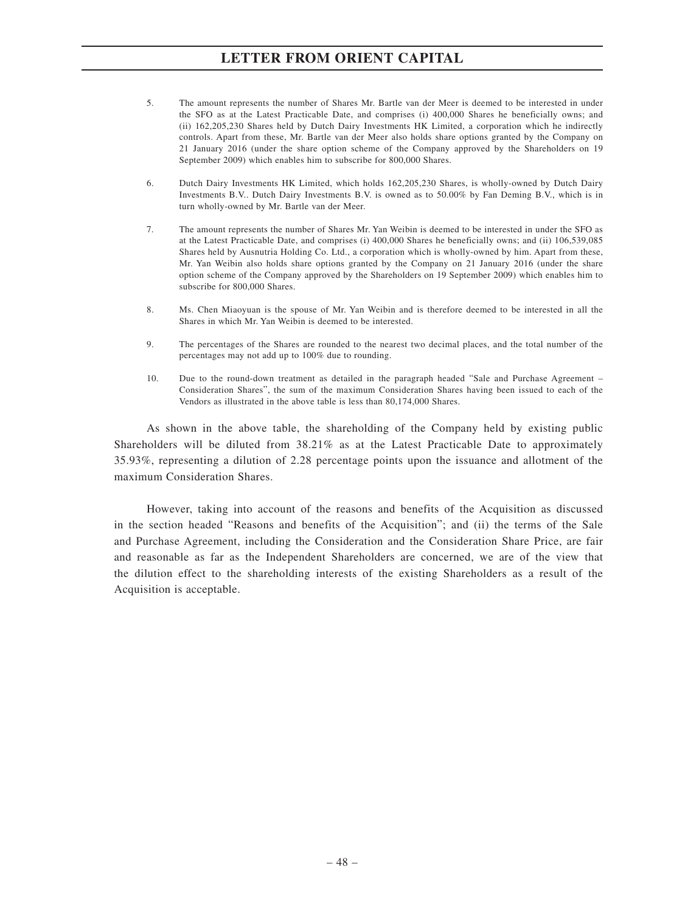- 5. The amount represents the number of Shares Mr. Bartle van der Meer is deemed to be interested in under the SFO as at the Latest Practicable Date, and comprises (i) 400,000 Shares he beneficially owns; and (ii) 162,205,230 Shares held by Dutch Dairy Investments HK Limited, a corporation which he indirectly controls. Apart from these, Mr. Bartle van der Meer also holds share options granted by the Company on 21 January 2016 (under the share option scheme of the Company approved by the Shareholders on 19 September 2009) which enables him to subscribe for 800,000 Shares.
- 6. Dutch Dairy Investments HK Limited, which holds 162,205,230 Shares, is wholly-owned by Dutch Dairy Investments B.V.. Dutch Dairy Investments B.V. is owned as to 50.00% by Fan Deming B.V., which is in turn wholly-owned by Mr. Bartle van der Meer.
- 7. The amount represents the number of Shares Mr. Yan Weibin is deemed to be interested in under the SFO as at the Latest Practicable Date, and comprises (i) 400,000 Shares he beneficially owns; and (ii) 106,539,085 Shares held by Ausnutria Holding Co. Ltd., a corporation which is wholly-owned by him. Apart from these, Mr. Yan Weibin also holds share options granted by the Company on 21 January 2016 (under the share option scheme of the Company approved by the Shareholders on 19 September 2009) which enables him to subscribe for 800,000 Shares.
- 8. Ms. Chen Miaoyuan is the spouse of Mr. Yan Weibin and is therefore deemed to be interested in all the Shares in which Mr. Yan Weibin is deemed to be interested.
- 9. The percentages of the Shares are rounded to the nearest two decimal places, and the total number of the percentages may not add up to 100% due to rounding.
- 10. Due to the round-down treatment as detailed in the paragraph headed "Sale and Purchase Agreement Consideration Shares", the sum of the maximum Consideration Shares having been issued to each of the Vendors as illustrated in the above table is less than 80,174,000 Shares.

As shown in the above table, the shareholding of the Company held by existing public Shareholders will be diluted from 38.21% as at the Latest Practicable Date to approximately 35.93%, representing a dilution of 2.28 percentage points upon the issuance and allotment of the maximum Consideration Shares.

However, taking into account of the reasons and benefits of the Acquisition as discussed in the section headed "Reasons and benefits of the Acquisition"; and (ii) the terms of the Sale and Purchase Agreement, including the Consideration and the Consideration Share Price, are fair and reasonable as far as the Independent Shareholders are concerned, we are of the view that the dilution effect to the shareholding interests of the existing Shareholders as a result of the Acquisition is acceptable.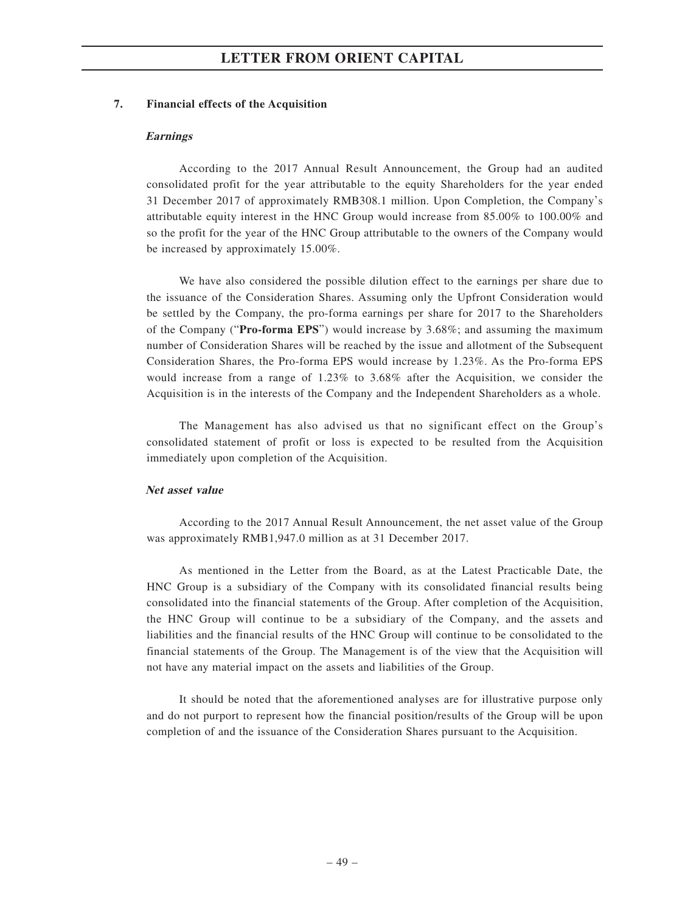## **7. Financial effects of the Acquisition**

#### **Earnings**

According to the 2017 Annual Result Announcement, the Group had an audited consolidated profit for the year attributable to the equity Shareholders for the year ended 31 December 2017 of approximately RMB308.1 million. Upon Completion, the Company's attributable equity interest in the HNC Group would increase from 85.00% to 100.00% and so the profit for the year of the HNC Group attributable to the owners of the Company would be increased by approximately 15.00%.

We have also considered the possible dilution effect to the earnings per share due to the issuance of the Consideration Shares. Assuming only the Upfront Consideration would be settled by the Company, the pro-forma earnings per share for 2017 to the Shareholders of the Company ("**Pro-forma EPS**") would increase by 3.68%; and assuming the maximum number of Consideration Shares will be reached by the issue and allotment of the Subsequent Consideration Shares, the Pro-forma EPS would increase by 1.23%. As the Pro-forma EPS would increase from a range of 1.23% to 3.68% after the Acquisition, we consider the Acquisition is in the interests of the Company and the Independent Shareholders as a whole.

The Management has also advised us that no significant effect on the Group's consolidated statement of profit or loss is expected to be resulted from the Acquisition immediately upon completion of the Acquisition.

# **Net asset value**

According to the 2017 Annual Result Announcement, the net asset value of the Group was approximately RMB1,947.0 million as at 31 December 2017.

As mentioned in the Letter from the Board, as at the Latest Practicable Date, the HNC Group is a subsidiary of the Company with its consolidated financial results being consolidated into the financial statements of the Group. After completion of the Acquisition, the HNC Group will continue to be a subsidiary of the Company, and the assets and liabilities and the financial results of the HNC Group will continue to be consolidated to the financial statements of the Group. The Management is of the view that the Acquisition will not have any material impact on the assets and liabilities of the Group.

It should be noted that the aforementioned analyses are for illustrative purpose only and do not purport to represent how the financial position/results of the Group will be upon completion of and the issuance of the Consideration Shares pursuant to the Acquisition.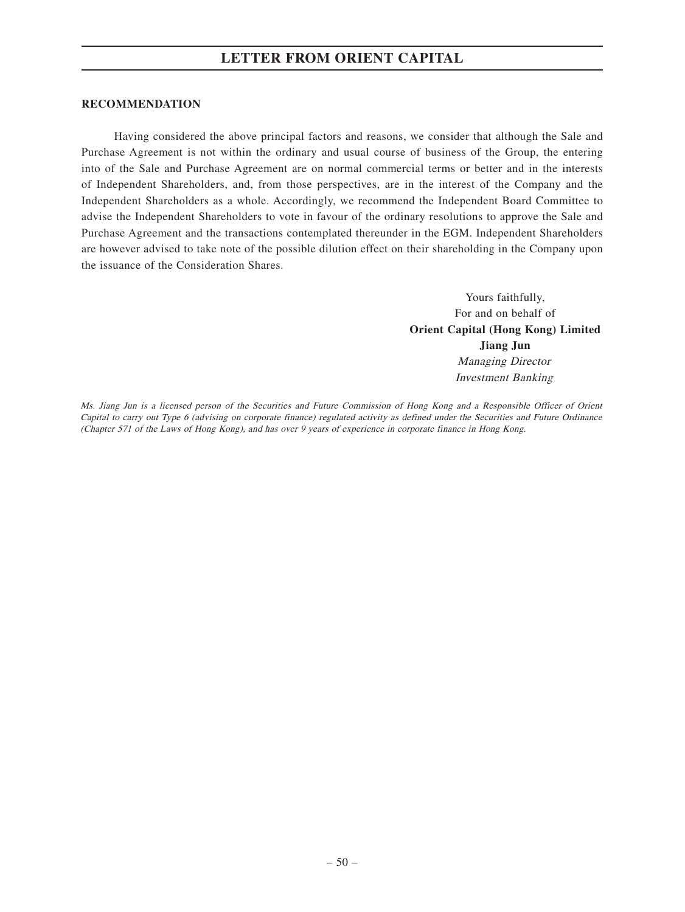#### **RECOMMENDATION**

Having considered the above principal factors and reasons, we consider that although the Sale and Purchase Agreement is not within the ordinary and usual course of business of the Group, the entering into of the Sale and Purchase Agreement are on normal commercial terms or better and in the interests of Independent Shareholders, and, from those perspectives, are in the interest of the Company and the Independent Shareholders as a whole. Accordingly, we recommend the Independent Board Committee to advise the Independent Shareholders to vote in favour of the ordinary resolutions to approve the Sale and Purchase Agreement and the transactions contemplated thereunder in the EGM. Independent Shareholders are however advised to take note of the possible dilution effect on their shareholding in the Company upon the issuance of the Consideration Shares.

> Yours faithfully, For and on behalf of **Orient Capital (Hong Kong) Limited Jiang Jun** Managing Director Investment Banking

Ms. Jiang Jun is a licensed person of the Securities and Future Commission of Hong Kong and a Responsible Officer of Orient Capital to carry out Type 6 (advising on corporate finance) regulated activity as defined under the Securities and Future Ordinance (Chapter 571 of the Laws of Hong Kong), and has over 9 years of experience in corporate finance in Hong Kong.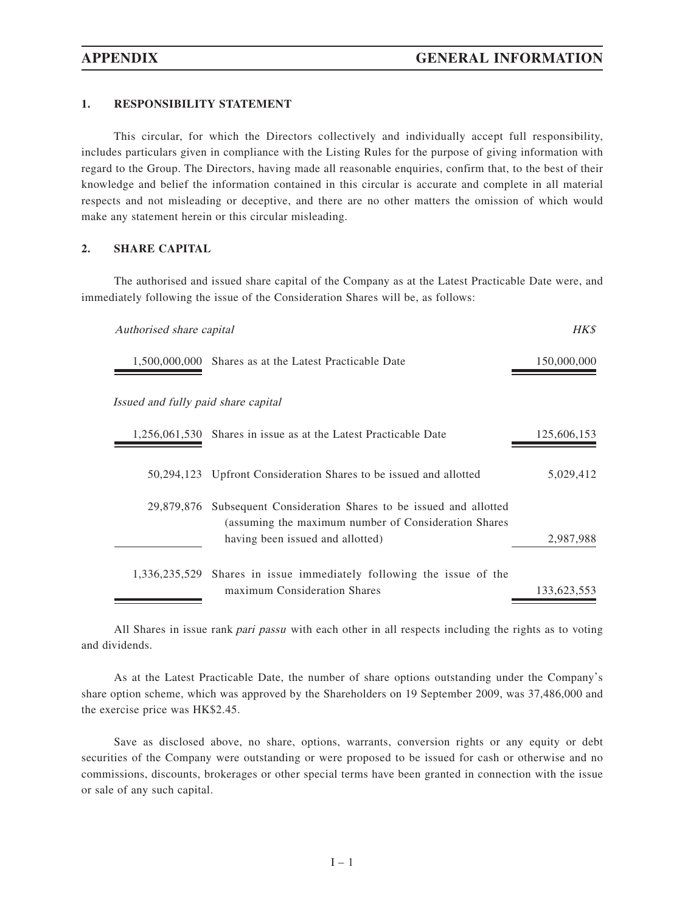## **1. RESPONSIBILITY STATEMENT**

This circular, for which the Directors collectively and individually accept full responsibility, includes particulars given in compliance with the Listing Rules for the purpose of giving information with regard to the Group. The Directors, having made all reasonable enquiries, confirm that, to the best of their knowledge and belief the information contained in this circular is accurate and complete in all material respects and not misleading or deceptive, and there are no other matters the omission of which would make any statement herein or this circular misleading.

#### **2. SHARE CAPITAL**

The authorised and issued share capital of the Company as at the Latest Practicable Date were, and immediately following the issue of the Consideration Shares will be, as follows:

| Authorised share capital            |                                                                                                                                                                   | HKS         |
|-------------------------------------|-------------------------------------------------------------------------------------------------------------------------------------------------------------------|-------------|
|                                     | 1,500,000,000 Shares as at the Latest Practicable Date                                                                                                            | 150,000,000 |
| Issued and fully paid share capital |                                                                                                                                                                   |             |
|                                     | 1,256,061,530 Shares in issue as at the Latest Practicable Date                                                                                                   | 125,606,153 |
|                                     | 50,294,123 Upfront Consideration Shares to be issued and allotted                                                                                                 | 5,029,412   |
|                                     | 29,879,876 Subsequent Consideration Shares to be issued and allotted<br>(assuming the maximum number of Consideration Shares)<br>having been issued and allotted) | 2,987,988   |
|                                     | 1,336,235,529 Shares in issue immediately following the issue of the<br>maximum Consideration Shares                                                              | 133,623,553 |

All Shares in issue rank pari passu with each other in all respects including the rights as to voting and dividends.

As at the Latest Practicable Date, the number of share options outstanding under the Company's share option scheme, which was approved by the Shareholders on 19 September 2009, was 37,486,000 and the exercise price was HK\$2.45.

Save as disclosed above, no share, options, warrants, conversion rights or any equity or debt securities of the Company were outstanding or were proposed to be issued for cash or otherwise and no commissions, discounts, brokerages or other special terms have been granted in connection with the issue or sale of any such capital.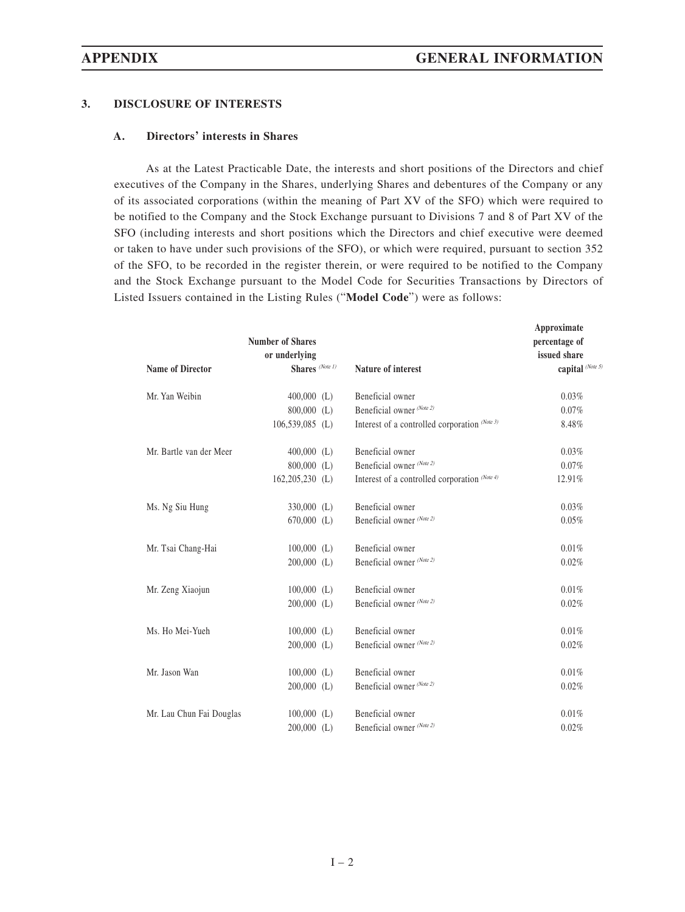# **3. DISCLOSURE OF INTERESTS**

# **A. Directors' interests in Shares**

As at the Latest Practicable Date, the interests and short positions of the Directors and chief executives of the Company in the Shares, underlying Shares and debentures of the Company or any of its associated corporations (within the meaning of Part XV of the SFO) which were required to be notified to the Company and the Stock Exchange pursuant to Divisions 7 and 8 of Part XV of the SFO (including interests and short positions which the Directors and chief executive were deemed or taken to have under such provisions of the SFO), or which were required, pursuant to section 352 of the SFO, to be recorded in the register therein, or were required to be notified to the Company and the Stock Exchange pursuant to the Model Code for Securities Transactions by Directors of Listed Issuers contained in the Listing Rules ("**Model Code**") were as follows:

| capital (Note 5)<br>Shares (Note 1)<br><b>Name of Director</b><br><b>Nature of interest</b><br>Beneficial owner<br>0.03%<br>Mr. Yan Weibin<br>$400,000$ (L)<br>Beneficial owner (Note 2)<br>800,000 (L)<br>0.07%<br>Interest of a controlled corporation (Note 3)<br>$106,539,085$ (L)<br>8.48%<br>Beneficial owner<br>0.03%<br>Mr. Bartle van der Meer<br>$400,000$ (L)<br>Beneficial owner (Note 2)<br>$800,000$ (L)<br>0.07%<br>$162,205,230$ (L)<br>Interest of a controlled corporation (Note 4)<br>12.91%<br>Beneficial owner<br>0.03%<br>Ms. Ng Siu Hung<br>$330,000$ (L)<br>Beneficial owner (Note 2)<br>$670,000$ (L)<br>0.05%<br>Beneficial owner<br>$100,000$ (L)<br>0.01%<br>Mr. Tsai Chang-Hai<br>Beneficial owner (Note 2)<br>$200,000$ (L)<br>0.02%<br>$100,000$ (L)<br>Beneficial owner<br>0.01%<br>Mr. Zeng Xiaojun<br>Beneficial owner (Note 2)<br>$200,000$ (L)<br>0.02%<br>Beneficial owner<br>0.01%<br>Ms. Ho Mei-Yueh<br>$100,000$ (L)<br>Beneficial owner (Note 2)<br>$200,000$ (L)<br>0.02%<br>Mr. Jason Wan<br>$100,000$ (L)<br>Beneficial owner<br>0.01%<br>Beneficial owner (Note 2)<br>$200,000$ (L)<br>0.02%<br>Mr. Lau Chun Fai Douglas<br>Beneficial owner<br>0.01%<br>$100,000$ (L) | <b>Number of Shares</b><br>or underlying |                           | Approximate<br>percentage of<br>issued share |
|---------------------------------------------------------------------------------------------------------------------------------------------------------------------------------------------------------------------------------------------------------------------------------------------------------------------------------------------------------------------------------------------------------------------------------------------------------------------------------------------------------------------------------------------------------------------------------------------------------------------------------------------------------------------------------------------------------------------------------------------------------------------------------------------------------------------------------------------------------------------------------------------------------------------------------------------------------------------------------------------------------------------------------------------------------------------------------------------------------------------------------------------------------------------------------------------------------------------|------------------------------------------|---------------------------|----------------------------------------------|
|                                                                                                                                                                                                                                                                                                                                                                                                                                                                                                                                                                                                                                                                                                                                                                                                                                                                                                                                                                                                                                                                                                                                                                                                                     |                                          |                           |                                              |
|                                                                                                                                                                                                                                                                                                                                                                                                                                                                                                                                                                                                                                                                                                                                                                                                                                                                                                                                                                                                                                                                                                                                                                                                                     |                                          |                           |                                              |
|                                                                                                                                                                                                                                                                                                                                                                                                                                                                                                                                                                                                                                                                                                                                                                                                                                                                                                                                                                                                                                                                                                                                                                                                                     |                                          |                           |                                              |
|                                                                                                                                                                                                                                                                                                                                                                                                                                                                                                                                                                                                                                                                                                                                                                                                                                                                                                                                                                                                                                                                                                                                                                                                                     |                                          |                           |                                              |
|                                                                                                                                                                                                                                                                                                                                                                                                                                                                                                                                                                                                                                                                                                                                                                                                                                                                                                                                                                                                                                                                                                                                                                                                                     |                                          |                           |                                              |
|                                                                                                                                                                                                                                                                                                                                                                                                                                                                                                                                                                                                                                                                                                                                                                                                                                                                                                                                                                                                                                                                                                                                                                                                                     |                                          |                           |                                              |
|                                                                                                                                                                                                                                                                                                                                                                                                                                                                                                                                                                                                                                                                                                                                                                                                                                                                                                                                                                                                                                                                                                                                                                                                                     |                                          |                           |                                              |
|                                                                                                                                                                                                                                                                                                                                                                                                                                                                                                                                                                                                                                                                                                                                                                                                                                                                                                                                                                                                                                                                                                                                                                                                                     |                                          |                           |                                              |
|                                                                                                                                                                                                                                                                                                                                                                                                                                                                                                                                                                                                                                                                                                                                                                                                                                                                                                                                                                                                                                                                                                                                                                                                                     |                                          |                           |                                              |
|                                                                                                                                                                                                                                                                                                                                                                                                                                                                                                                                                                                                                                                                                                                                                                                                                                                                                                                                                                                                                                                                                                                                                                                                                     |                                          |                           |                                              |
|                                                                                                                                                                                                                                                                                                                                                                                                                                                                                                                                                                                                                                                                                                                                                                                                                                                                                                                                                                                                                                                                                                                                                                                                                     |                                          |                           |                                              |
|                                                                                                                                                                                                                                                                                                                                                                                                                                                                                                                                                                                                                                                                                                                                                                                                                                                                                                                                                                                                                                                                                                                                                                                                                     |                                          |                           |                                              |
|                                                                                                                                                                                                                                                                                                                                                                                                                                                                                                                                                                                                                                                                                                                                                                                                                                                                                                                                                                                                                                                                                                                                                                                                                     |                                          |                           |                                              |
|                                                                                                                                                                                                                                                                                                                                                                                                                                                                                                                                                                                                                                                                                                                                                                                                                                                                                                                                                                                                                                                                                                                                                                                                                     |                                          |                           |                                              |
|                                                                                                                                                                                                                                                                                                                                                                                                                                                                                                                                                                                                                                                                                                                                                                                                                                                                                                                                                                                                                                                                                                                                                                                                                     |                                          |                           |                                              |
|                                                                                                                                                                                                                                                                                                                                                                                                                                                                                                                                                                                                                                                                                                                                                                                                                                                                                                                                                                                                                                                                                                                                                                                                                     |                                          |                           |                                              |
|                                                                                                                                                                                                                                                                                                                                                                                                                                                                                                                                                                                                                                                                                                                                                                                                                                                                                                                                                                                                                                                                                                                                                                                                                     |                                          |                           |                                              |
|                                                                                                                                                                                                                                                                                                                                                                                                                                                                                                                                                                                                                                                                                                                                                                                                                                                                                                                                                                                                                                                                                                                                                                                                                     |                                          |                           |                                              |
| $200,000$ (L)                                                                                                                                                                                                                                                                                                                                                                                                                                                                                                                                                                                                                                                                                                                                                                                                                                                                                                                                                                                                                                                                                                                                                                                                       |                                          | Beneficial owner (Note 2) | 0.02%                                        |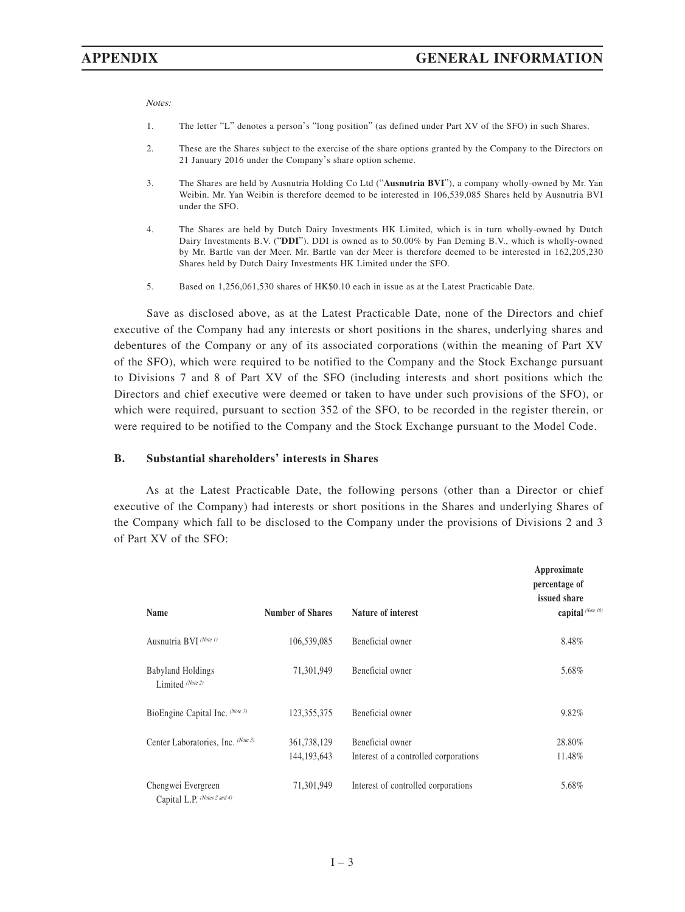Notes:

- 1. The letter "L" denotes a person's "long position" (as defined under Part XV of the SFO) in such Shares.
- 2. These are the Shares subject to the exercise of the share options granted by the Company to the Directors on 21 January 2016 under the Company's share option scheme.
- 3. The Shares are held by Ausnutria Holding Co Ltd ("**Ausnutria BVI**"), a company wholly-owned by Mr. Yan Weibin. Mr. Yan Weibin is therefore deemed to be interested in 106,539,085 Shares held by Ausnutria BVI under the SFO.
- 4. The Shares are held by Dutch Dairy Investments HK Limited, which is in turn wholly-owned by Dutch Dairy Investments B.V. ("**DDI**"). DDI is owned as to 50.00% by Fan Deming B.V., which is wholly-owned by Mr. Bartle van der Meer. Mr. Bartle van der Meer is therefore deemed to be interested in 162,205,230 Shares held by Dutch Dairy Investments HK Limited under the SFO.
- 5. Based on 1,256,061,530 shares of HK\$0.10 each in issue as at the Latest Practicable Date.

Save as disclosed above, as at the Latest Practicable Date, none of the Directors and chief executive of the Company had any interests or short positions in the shares, underlying shares and debentures of the Company or any of its associated corporations (within the meaning of Part XV of the SFO), which were required to be notified to the Company and the Stock Exchange pursuant to Divisions 7 and 8 of Part XV of the SFO (including interests and short positions which the Directors and chief executive were deemed or taken to have under such provisions of the SFO), or which were required, pursuant to section 352 of the SFO, to be recorded in the register therein, or were required to be notified to the Company and the Stock Exchange pursuant to the Model Code.

#### **B. Substantial shareholders' interests in Shares**

As at the Latest Practicable Date, the following persons (other than a Director or chief executive of the Company) had interests or short positions in the Shares and underlying Shares of the Company which fall to be disclosed to the Company under the provisions of Divisions 2 and 3 of Part XV of the SFO:

| Name                                               | <b>Number of Shares</b>      | Nature of interest                                        | Approximate<br>percentage of<br>issued share<br>capital (Note 10) |
|----------------------------------------------------|------------------------------|-----------------------------------------------------------|-------------------------------------------------------------------|
| Ausnutria BVI (Note 1)                             | 106,539,085                  | Beneficial owner                                          | 8.48%                                                             |
| Babyland Holdings<br>Limited (Note 2)              | 71,301,949                   | Beneficial owner                                          | 5.68%                                                             |
| BioEngine Capital Inc. (Note 3)                    | 123,355,375                  | Beneficial owner                                          | 9.82%                                                             |
| Center Laboratories, Inc. (Note 3)                 | 361,738,129<br>144, 193, 643 | Beneficial owner<br>Interest of a controlled corporations | 28.80%<br>11.48%                                                  |
| Chengwei Evergreen<br>Capital L.P. (Notes 2 and 4) | 71,301,949                   | Interest of controlled corporations                       | 5.68%                                                             |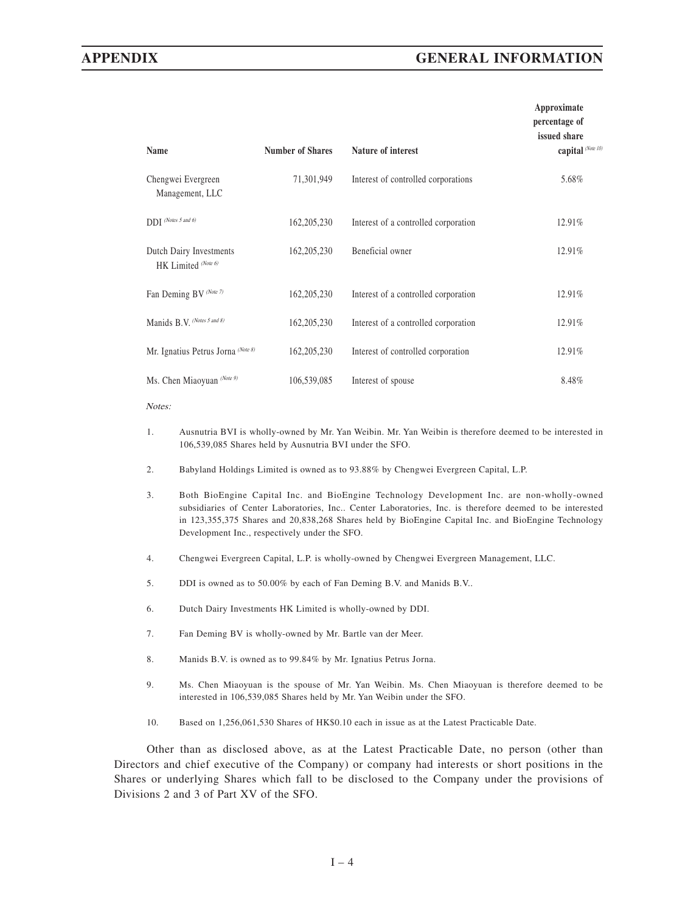# **APPENDIX GENERAL INFORMATION**

| Name                                           | <b>Number of Shares</b> | Nature of interest                   | Approximate<br>percentage of<br>issued share<br>capital (Note 10) |
|------------------------------------------------|-------------------------|--------------------------------------|-------------------------------------------------------------------|
| Chengwei Evergreen<br>Management, LLC          | 71,301,949              | Interest of controlled corporations  | 5.68%                                                             |
| $DDI$ (Notes 5 and 6)                          | 162, 205, 230           | Interest of a controlled corporation | 12.91%                                                            |
| Dutch Dairy Investments<br>HK Limited (Note 6) | 162, 205, 230           | Beneficial owner                     | 12.91%                                                            |
| Fan Deming BV (Note 7)                         | 162, 205, 230           | Interest of a controlled corporation | 12.91%                                                            |
| Manids B.V. (Notes 5 and 8)                    | 162, 205, 230           | Interest of a controlled corporation | 12.91%                                                            |
| Mr. Ignatius Petrus Jorna (Note 8)             | 162, 205, 230           | Interest of controlled corporation   | 12.91%                                                            |
| Ms. Chen Miaoyuan (Note 9)                     | 106,539,085             | Interest of spouse                   | 8.48%                                                             |

Notes:

- 1. Ausnutria BVI is wholly-owned by Mr. Yan Weibin. Mr. Yan Weibin is therefore deemed to be interested in 106,539,085 Shares held by Ausnutria BVI under the SFO.
- 2. Babyland Holdings Limited is owned as to 93.88% by Chengwei Evergreen Capital, L.P.
- 3. Both BioEngine Capital Inc. and BioEngine Technology Development Inc. are non-wholly-owned subsidiaries of Center Laboratories, Inc.. Center Laboratories, Inc. is therefore deemed to be interested in 123,355,375 Shares and 20,838,268 Shares held by BioEngine Capital Inc. and BioEngine Technology Development Inc., respectively under the SFO.
- 4. Chengwei Evergreen Capital, L.P. is wholly-owned by Chengwei Evergreen Management, LLC.
- 5. DDI is owned as to 50.00% by each of Fan Deming B.V. and Manids B.V..
- 6. Dutch Dairy Investments HK Limited is wholly-owned by DDI.
- 7. Fan Deming BV is wholly-owned by Mr. Bartle van der Meer.
- 8. Manids B.V. is owned as to 99.84% by Mr. Ignatius Petrus Jorna.
- 9. Ms. Chen Miaoyuan is the spouse of Mr. Yan Weibin. Ms. Chen Miaoyuan is therefore deemed to be interested in 106,539,085 Shares held by Mr. Yan Weibin under the SFO.
- 10. Based on 1,256,061,530 Shares of HK\$0.10 each in issue as at the Latest Practicable Date.

Other than as disclosed above, as at the Latest Practicable Date, no person (other than Directors and chief executive of the Company) or company had interests or short positions in the Shares or underlying Shares which fall to be disclosed to the Company under the provisions of Divisions 2 and 3 of Part XV of the SFO.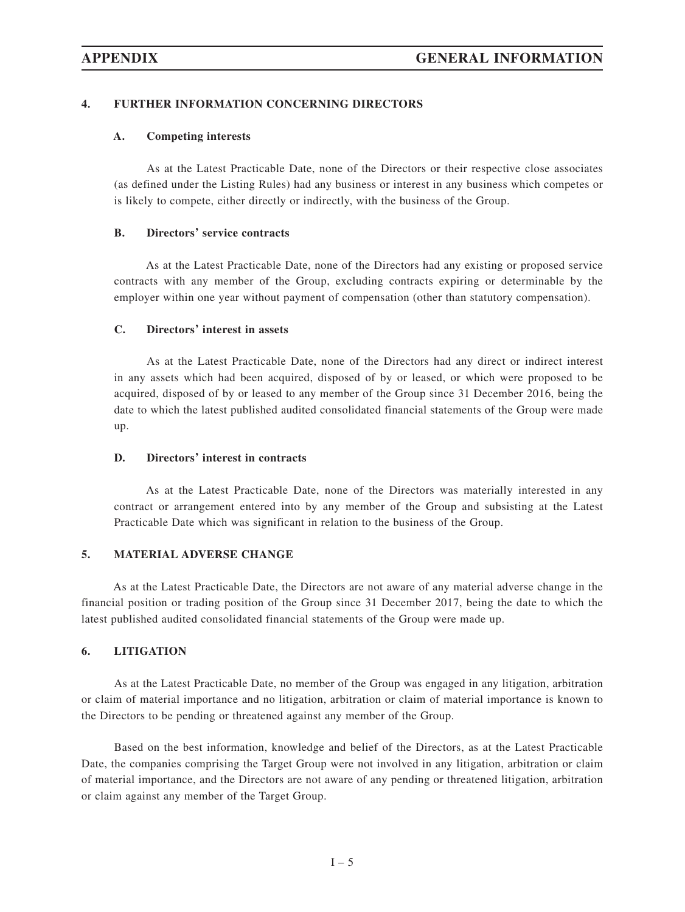# **4. FURTHER INFORMATION CONCERNING DIRECTORS**

# **A. Competing interests**

As at the Latest Practicable Date, none of the Directors or their respective close associates (as defined under the Listing Rules) had any business or interest in any business which competes or is likely to compete, either directly or indirectly, with the business of the Group.

## **B. Directors' service contracts**

As at the Latest Practicable Date, none of the Directors had any existing or proposed service contracts with any member of the Group, excluding contracts expiring or determinable by the employer within one year without payment of compensation (other than statutory compensation).

## **C. Directors' interest in assets**

As at the Latest Practicable Date, none of the Directors had any direct or indirect interest in any assets which had been acquired, disposed of by or leased, or which were proposed to be acquired, disposed of by or leased to any member of the Group since 31 December 2016, being the date to which the latest published audited consolidated financial statements of the Group were made up.

#### **D. Directors' interest in contracts**

As at the Latest Practicable Date, none of the Directors was materially interested in any contract or arrangement entered into by any member of the Group and subsisting at the Latest Practicable Date which was significant in relation to the business of the Group.

### **5. MATERIAL ADVERSE CHANGE**

As at the Latest Practicable Date, the Directors are not aware of any material adverse change in the financial position or trading position of the Group since 31 December 2017, being the date to which the latest published audited consolidated financial statements of the Group were made up.

#### **6. LITIGATION**

As at the Latest Practicable Date, no member of the Group was engaged in any litigation, arbitration or claim of material importance and no litigation, arbitration or claim of material importance is known to the Directors to be pending or threatened against any member of the Group.

Based on the best information, knowledge and belief of the Directors, as at the Latest Practicable Date, the companies comprising the Target Group were not involved in any litigation, arbitration or claim of material importance, and the Directors are not aware of any pending or threatened litigation, arbitration or claim against any member of the Target Group.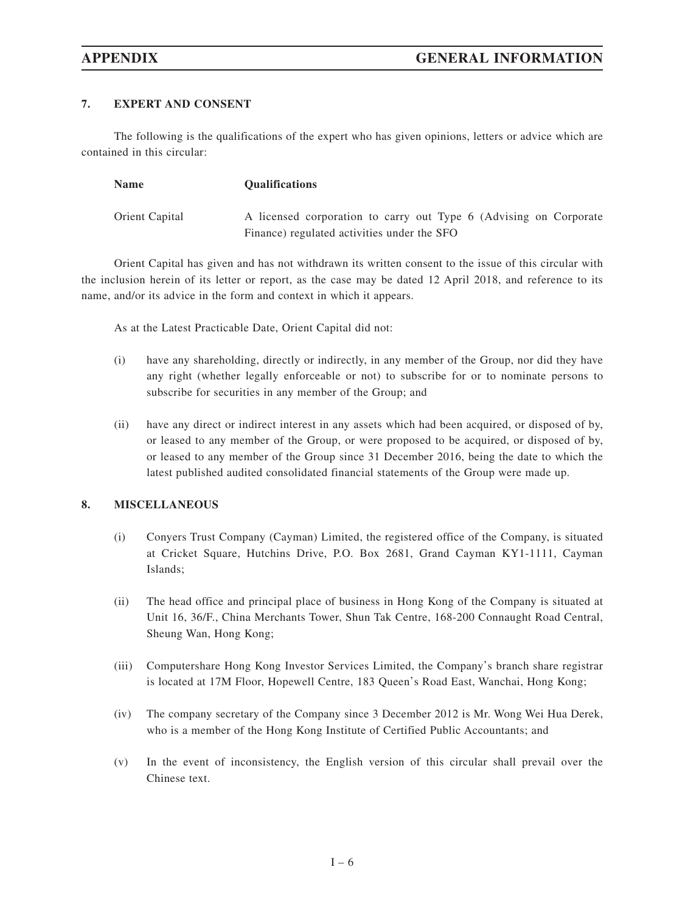# **7. EXPERT AND CONSENT**

The following is the qualifications of the expert who has given opinions, letters or advice which are contained in this circular:

| <b>Name</b>    | <b>Oualifications</b>                                             |
|----------------|-------------------------------------------------------------------|
| Orient Capital | A licensed corporation to carry out Type 6 (Advising on Corporate |
|                | Finance) regulated activities under the SFO                       |

Orient Capital has given and has not withdrawn its written consent to the issue of this circular with the inclusion herein of its letter or report, as the case may be dated 12 April 2018, and reference to its name, and/or its advice in the form and context in which it appears.

As at the Latest Practicable Date, Orient Capital did not:

- (i) have any shareholding, directly or indirectly, in any member of the Group, nor did they have any right (whether legally enforceable or not) to subscribe for or to nominate persons to subscribe for securities in any member of the Group; and
- (ii) have any direct or indirect interest in any assets which had been acquired, or disposed of by, or leased to any member of the Group, or were proposed to be acquired, or disposed of by, or leased to any member of the Group since 31 December 2016, being the date to which the latest published audited consolidated financial statements of the Group were made up.

### **8. MISCELLANEOUS**

- (i) Conyers Trust Company (Cayman) Limited, the registered office of the Company, is situated at Cricket Square, Hutchins Drive, P.O. Box 2681, Grand Cayman KY1-1111, Cayman Islands;
- (ii) The head office and principal place of business in Hong Kong of the Company is situated at Unit 16, 36/F., China Merchants Tower, Shun Tak Centre, 168-200 Connaught Road Central, Sheung Wan, Hong Kong;
- (iii) Computershare Hong Kong Investor Services Limited, the Company's branch share registrar is located at 17M Floor, Hopewell Centre, 183 Queen's Road East, Wanchai, Hong Kong;
- (iv) The company secretary of the Company since 3 December 2012 is Mr. Wong Wei Hua Derek, who is a member of the Hong Kong Institute of Certified Public Accountants; and
- (v) In the event of inconsistency, the English version of this circular shall prevail over the Chinese text.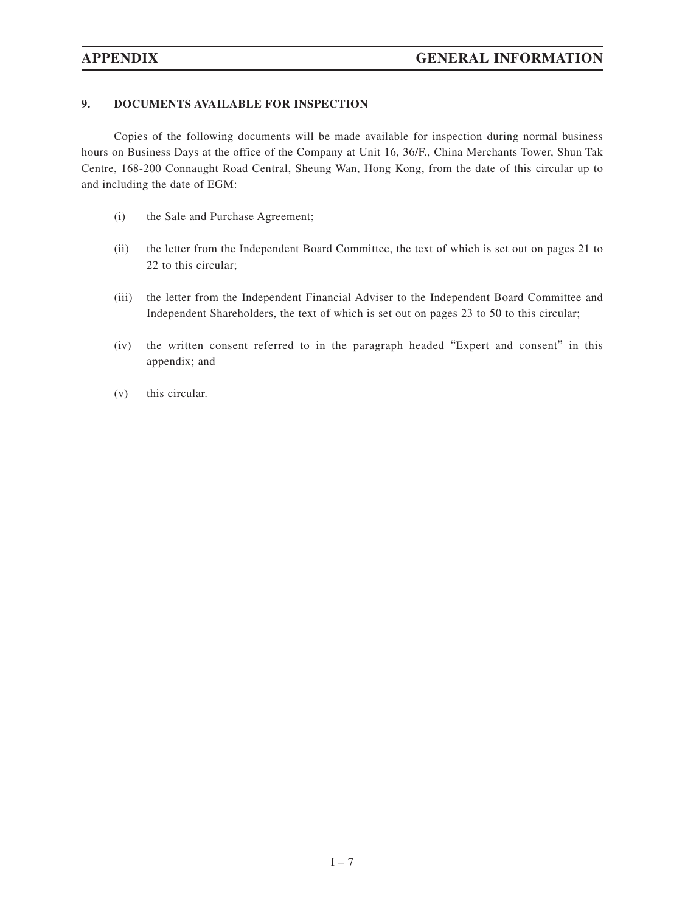# **9. DOCUMENTS AVAILABLE FOR INSPECTION**

Copies of the following documents will be made available for inspection during normal business hours on Business Days at the office of the Company at Unit 16, 36/F., China Merchants Tower, Shun Tak Centre, 168-200 Connaught Road Central, Sheung Wan, Hong Kong, from the date of this circular up to and including the date of EGM:

- (i) the Sale and Purchase Agreement;
- (ii) the letter from the Independent Board Committee, the text of which is set out on pages 21 to 22 to this circular;
- (iii) the letter from the Independent Financial Adviser to the Independent Board Committee and Independent Shareholders, the text of which is set out on pages 23 to 50 to this circular;
- (iv) the written consent referred to in the paragraph headed "Expert and consent" in this appendix; and
- (v) this circular.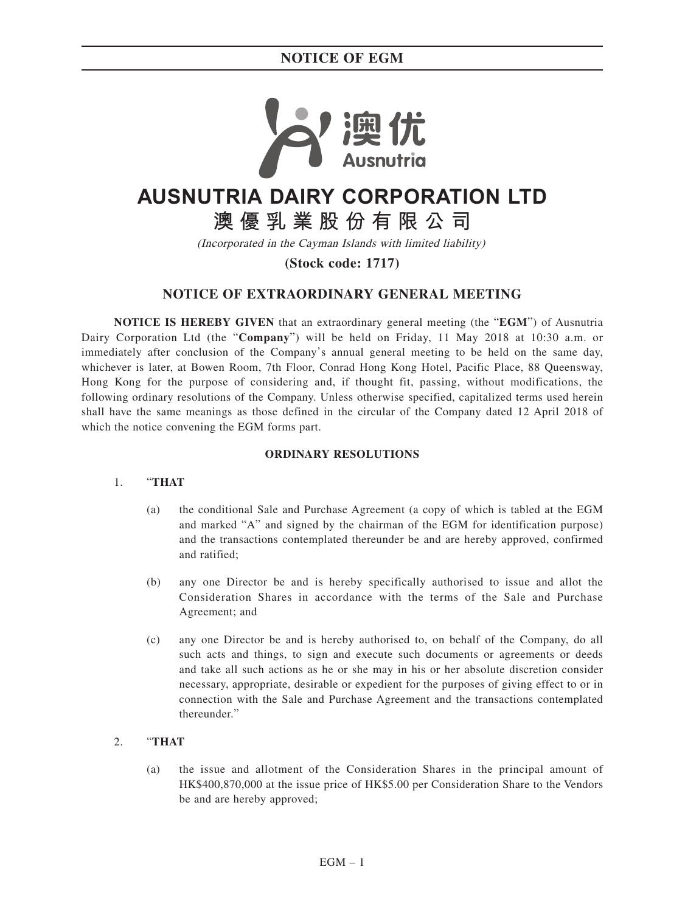

# **AUSNUTRIA DAIRY CORPORATION LTD**

**澳優乳業股份有限公司**

(Incorporated in the Cayman Islands with limited liability)

**(Stock code: 1717)**

# **NOTICE OF EXTRAORDINARY GENERAL MEETING**

**NOTICE IS HEREBY GIVEN** that an extraordinary general meeting (the "**EGM**") of Ausnutria Dairy Corporation Ltd (the "**Company**") will be held on Friday, 11 May 2018 at 10:30 a.m. or immediately after conclusion of the Company's annual general meeting to be held on the same day, whichever is later, at Bowen Room, 7th Floor, Conrad Hong Kong Hotel, Pacific Place, 88 Queensway, Hong Kong for the purpose of considering and, if thought fit, passing, without modifications, the following ordinary resolutions of the Company. Unless otherwise specified, capitalized terms used herein shall have the same meanings as those defined in the circular of the Company dated 12 April 2018 of which the notice convening the EGM forms part.

## **ORDINARY RESOLUTIONS**

### 1. "**THAT**

- (a) the conditional Sale and Purchase Agreement (a copy of which is tabled at the EGM and marked "A" and signed by the chairman of the EGM for identification purpose) and the transactions contemplated thereunder be and are hereby approved, confirmed and ratified;
- (b) any one Director be and is hereby specifically authorised to issue and allot the Consideration Shares in accordance with the terms of the Sale and Purchase Agreement; and
- (c) any one Director be and is hereby authorised to, on behalf of the Company, do all such acts and things, to sign and execute such documents or agreements or deeds and take all such actions as he or she may in his or her absolute discretion consider necessary, appropriate, desirable or expedient for the purposes of giving effect to or in connection with the Sale and Purchase Agreement and the transactions contemplated thereunder."

### 2. "**THAT**

(a) the issue and allotment of the Consideration Shares in the principal amount of HK\$400,870,000 at the issue price of HK\$5.00 per Consideration Share to the Vendors be and are hereby approved;